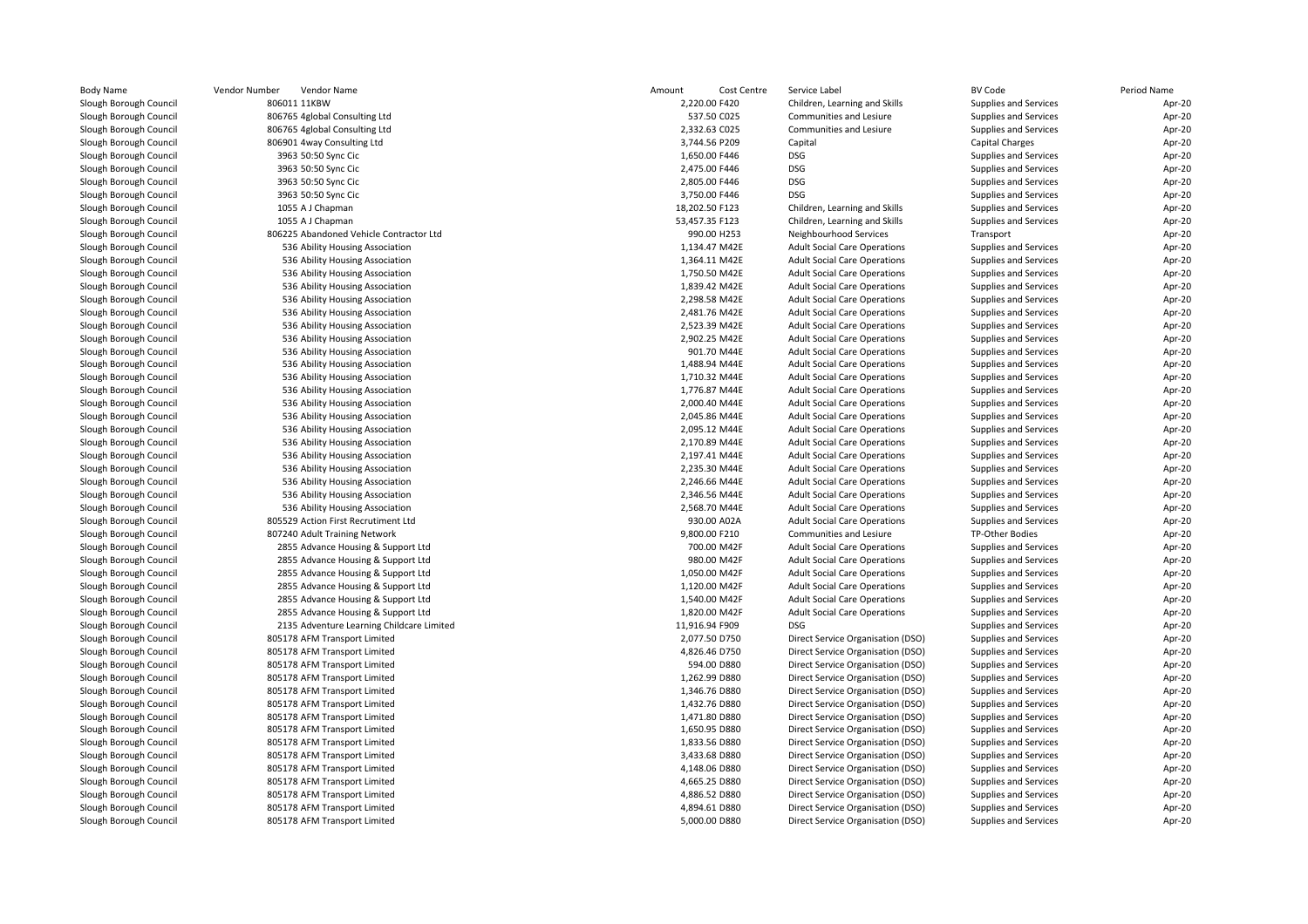| <b>Body Name</b>       | Vendor Number<br>Vendor Name              | Amount<br>Cost Centre | Service Label                       | <b>BV Code</b>        | Period Name |
|------------------------|-------------------------------------------|-----------------------|-------------------------------------|-----------------------|-------------|
| Slough Borough Council | 806011 11KBW                              | 2,220.00 F420         | Children, Learning and Skills       | Supplies and Services | Apr-20      |
| Slough Borough Council | 806765 4global Consulting Ltd             | 537.50 C025           | Communities and Lesiure             | Supplies and Services | Apr-20      |
| Slough Borough Council | 806765 4global Consulting Ltd             | 2,332.63 C025         | Communities and Lesiure             | Supplies and Services | Apr-20      |
| Slough Borough Council | 806901 4way Consulting Ltd                | 3,744.56 P209         | Capital                             | Capital Charges       | Apr-20      |
| Slough Borough Council | 3963 50:50 Sync Cic                       | 1,650.00 F446         | <b>DSG</b>                          | Supplies and Services | Apr-20      |
| Slough Borough Council | 3963 50:50 Sync Cic                       | 2,475.00 F446         | <b>DSG</b>                          | Supplies and Services | Apr-20      |
| Slough Borough Council | 3963 50:50 Sync Cic                       | 2,805.00 F446         | <b>DSG</b>                          | Supplies and Services | Apr-20      |
| Slough Borough Council | 3963 50:50 Sync Cic                       | 3,750.00 F446         | <b>DSG</b>                          | Supplies and Services | Apr-20      |
| Slough Borough Council | 1055 A J Chapman                          | 18,202.50 F123        | Children, Learning and Skills       | Supplies and Services | Apr-20      |
| Slough Borough Council | 1055 A J Chapman                          | 53,457.35 F123        | Children, Learning and Skills       | Supplies and Services | Apr-20      |
| Slough Borough Council | 806225 Abandoned Vehicle Contractor Ltd   | 990.00 H253           | Neighbourhood Services              | Transport             | Apr-20      |
| Slough Borough Council | 536 Ability Housing Association           | 1,134.47 M42E         | <b>Adult Social Care Operations</b> | Supplies and Services | Apr-20      |
| Slough Borough Council | 536 Ability Housing Association           | 1,364.11 M42E         | <b>Adult Social Care Operations</b> | Supplies and Services | Apr-20      |
| Slough Borough Council | 536 Ability Housing Association           | 1,750.50 M42E         | <b>Adult Social Care Operations</b> | Supplies and Services | Apr-20      |
| Slough Borough Council | 536 Ability Housing Association           | 1,839.42 M42E         | <b>Adult Social Care Operations</b> | Supplies and Services | Apr-20      |
| Slough Borough Council | 536 Ability Housing Association           | 2,298.58 M42E         | <b>Adult Social Care Operations</b> | Supplies and Services | Apr-20      |
| Slough Borough Council | 536 Ability Housing Association           | 2,481.76 M42E         | <b>Adult Social Care Operations</b> | Supplies and Services | Apr-20      |
| Slough Borough Council | 536 Ability Housing Association           | 2.523.39 M42E         | <b>Adult Social Care Operations</b> | Supplies and Services | Apr-20      |
| Slough Borough Council | 536 Ability Housing Association           | 2,902.25 M42E         | <b>Adult Social Care Operations</b> | Supplies and Services | Apr-20      |
| Slough Borough Council | 536 Ability Housing Association           | 901.70 M44E           | <b>Adult Social Care Operations</b> | Supplies and Services | Apr-20      |
| Slough Borough Council | 536 Ability Housing Association           | 1,488.94 M44E         | <b>Adult Social Care Operations</b> | Supplies and Services | Apr-20      |
| Slough Borough Council | 536 Ability Housing Association           | 1,710.32 M44E         | <b>Adult Social Care Operations</b> | Supplies and Services | Apr-20      |
| Slough Borough Council | 536 Ability Housing Association           | 1,776.87 M44E         | <b>Adult Social Care Operations</b> | Supplies and Services | Apr-20      |
| Slough Borough Council | 536 Ability Housing Association           | 2,000.40 M44E         | <b>Adult Social Care Operations</b> | Supplies and Services | Apr-20      |
| Slough Borough Council | 536 Ability Housing Association           | 2,045.86 M44E         | <b>Adult Social Care Operations</b> | Supplies and Services | Apr-20      |
| Slough Borough Council | 536 Ability Housing Association           | 2,095.12 M44E         | <b>Adult Social Care Operations</b> | Supplies and Services | Apr-20      |
| Slough Borough Council | 536 Ability Housing Association           | 2,170.89 M44E         | <b>Adult Social Care Operations</b> | Supplies and Services | Apr-20      |
| Slough Borough Council | 536 Ability Housing Association           | 2,197.41 M44E         | <b>Adult Social Care Operations</b> | Supplies and Services | Apr-20      |
| Slough Borough Council | 536 Ability Housing Association           | 2,235.30 M44E         | <b>Adult Social Care Operations</b> | Supplies and Services | Apr-20      |
| Slough Borough Council | 536 Ability Housing Association           | 2,246.66 M44E         | <b>Adult Social Care Operations</b> | Supplies and Services | Apr-20      |
| Slough Borough Council | 536 Ability Housing Association           | 2,346.56 M44E         | <b>Adult Social Care Operations</b> | Supplies and Services | Apr-20      |
| Slough Borough Council | 536 Ability Housing Association           | 2,568.70 M44E         | <b>Adult Social Care Operations</b> | Supplies and Services | Apr-20      |
| Slough Borough Council | 805529 Action First Recrutiment Ltd       | 930.00 A02A           | <b>Adult Social Care Operations</b> | Supplies and Services | Apr-20      |
| Slough Borough Council | 807240 Adult Training Network             | 9,800.00 F210         | Communities and Lesiure             | TP-Other Bodies       | Apr-20      |
| Slough Borough Council | 2855 Advance Housing & Support Ltd        | 700.00 M42F           | <b>Adult Social Care Operations</b> | Supplies and Services | Apr-20      |
| Slough Borough Council | 2855 Advance Housing & Support Ltd        | 980.00 M42F           | <b>Adult Social Care Operations</b> | Supplies and Services | Apr-20      |
| Slough Borough Council | 2855 Advance Housing & Support Ltd        | 1,050.00 M42F         | <b>Adult Social Care Operations</b> | Supplies and Services | Apr-20      |
| Slough Borough Council | 2855 Advance Housing & Support Ltd        | 1,120.00 M42F         | <b>Adult Social Care Operations</b> | Supplies and Services | Apr-20      |
| Slough Borough Council | 2855 Advance Housing & Support Ltd        | 1,540.00 M42F         | <b>Adult Social Care Operations</b> | Supplies and Services | Apr-20      |
| Slough Borough Council | 2855 Advance Housing & Support Ltd        | 1,820.00 M42F         | <b>Adult Social Care Operations</b> | Supplies and Services | Apr-20      |
| Slough Borough Council | 2135 Adventure Learning Childcare Limited | 11,916.94 F909        | DSG                                 | Supplies and Services | Apr-20      |
| Slough Borough Council | 805178 AFM Transport Limited              | 2,077.50 D750         | Direct Service Organisation (DSO)   | Supplies and Services | Apr-20      |
| Slough Borough Council | 805178 AFM Transport Limited              | 4,826.46 D750         | Direct Service Organisation (DSO)   | Supplies and Services | Apr-20      |
| Slough Borough Council | 805178 AFM Transport Limited              | 594.00 D880           | Direct Service Organisation (DSO)   | Supplies and Services | Apr-20      |
| Slough Borough Council | 805178 AFM Transport Limited              | 1,262.99 D880         | Direct Service Organisation (DSO)   | Supplies and Services | Apr-20      |
| Slough Borough Council | 805178 AFM Transport Limited              | 1,346.76 D880         | Direct Service Organisation (DSO)   | Supplies and Services | Apr-20      |
| Slough Borough Council | 805178 AFM Transport Limited              | 1,432.76 D880         | Direct Service Organisation (DSO)   | Supplies and Services | Apr-20      |
| Slough Borough Council | 805178 AFM Transport Limited              | 1,471.80 D880         | Direct Service Organisation (DSO)   | Supplies and Services | Apr-20      |
| Slough Borough Council | 805178 AFM Transport Limited              | 1,650.95 D880         | Direct Service Organisation (DSO)   | Supplies and Services | Apr-20      |
| Slough Borough Council | 805178 AFM Transport Limited              | 1,833.56 D880         | Direct Service Organisation (DSO)   | Supplies and Services | Apr-20      |
| Slough Borough Council | 805178 AFM Transport Limited              | 3,433.68 D880         | Direct Service Organisation (DSO)   | Supplies and Services | Apr-20      |
| Slough Borough Council | 805178 AFM Transport Limited              | 4,148.06 D880         | Direct Service Organisation (DSO)   | Supplies and Services | Apr-20      |
| Slough Borough Council | 805178 AFM Transport Limited              | 4,665.25 D880         | Direct Service Organisation (DSO)   | Supplies and Services | Apr-20      |
| Slough Borough Council | 805178 AFM Transport Limited              | 4,886.52 D880         | Direct Service Organisation (DSO)   | Supplies and Services | Apr-20      |
| Slough Borough Council | 805178 AFM Transport Limited              | 4,894.61 D880         | Direct Service Organisation (DSO)   | Supplies and Services | Apr-20      |
| Slough Borough Council | 805178 AFM Transport Limited              | 5,000.00 D880         | Direct Service Organisation (DSO)   | Supplies and Services | Apr-20      |
|                        |                                           |                       |                                     |                       |             |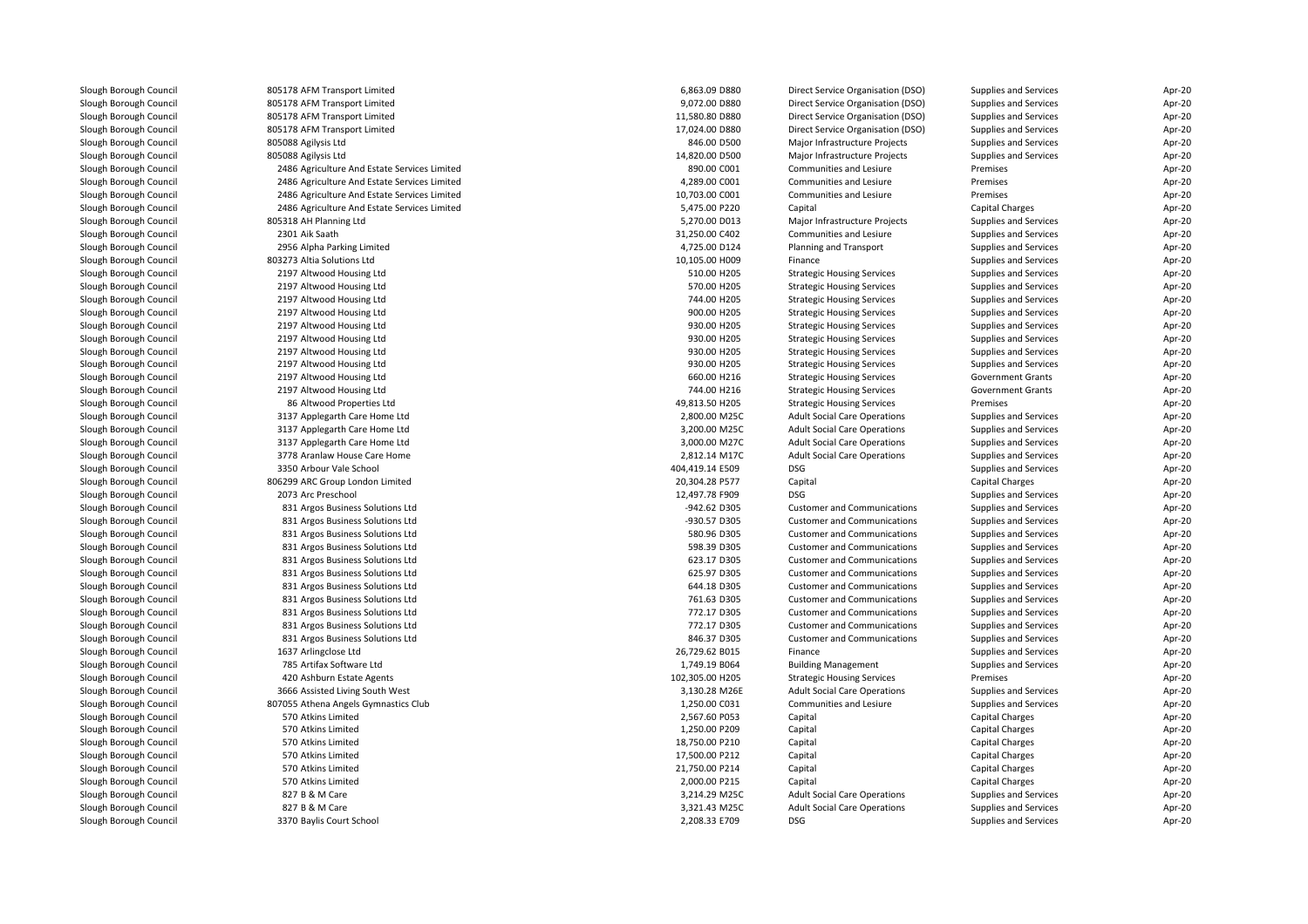| Slough Borough Council | 805178 AFM Transport Limited                 | 6,863.09 D880   | Direct Service Organisation (DSO)   | Supplies and Services        | Apr-20 |
|------------------------|----------------------------------------------|-----------------|-------------------------------------|------------------------------|--------|
| Slough Borough Council | 805178 AFM Transport Limited                 | 9,072.00 D880   | Direct Service Organisation (DSO)   | Supplies and Services        | Apr-20 |
| Slough Borough Council | 805178 AFM Transport Limited                 | 11,580.80 D880  | Direct Service Organisation (DSO)   | Supplies and Services        | Apr-20 |
| Slough Borough Council | 805178 AFM Transport Limited                 | 17,024.00 D880  | Direct Service Organisation (DSO)   | Supplies and Services        | Apr-20 |
| Slough Borough Council | 805088 Agilysis Ltd                          | 846.00 D500     | Major Infrastructure Projects       | Supplies and Services        | Apr-20 |
| Slough Borough Council | 805088 Agilysis Ltd                          | 14,820.00 D500  | Major Infrastructure Projects       | Supplies and Services        | Apr-20 |
| Slough Borough Council | 2486 Agriculture And Estate Services Limited | 890.00 C001     | Communities and Lesiure             | Premises                     | Apr-20 |
| Slough Borough Council | 2486 Agriculture And Estate Services Limited | 4,289.00 C001   | Communities and Lesiure             | Premises                     | Apr-20 |
| Slough Borough Council | 2486 Agriculture And Estate Services Limited | 10,703.00 C001  | Communities and Lesiure             | Premises                     | Apr-20 |
| Slough Borough Council | 2486 Agriculture And Estate Services Limited | 5,475.00 P220   | Capital                             | Capital Charges              | Apr-20 |
| Slough Borough Council | 805318 AH Planning Ltd                       | 5,270.00 D013   | Major Infrastructure Projects       | Supplies and Services        | Apr-20 |
| Slough Borough Council | 2301 Aik Saath                               | 31,250.00 C402  | Communities and Lesiure             | Supplies and Services        | Apr-20 |
| Slough Borough Council | 2956 Alpha Parking Limited                   | 4,725.00 D124   | Planning and Transport              | Supplies and Services        | Apr-20 |
| Slough Borough Council | 803273 Altia Solutions Ltd                   | 10,105.00 H009  | Finance                             | Supplies and Services        | Apr-20 |
| Slough Borough Council | 2197 Altwood Housing Ltd                     | 510.00 H205     | <b>Strategic Housing Services</b>   | Supplies and Services        | Apr-20 |
| Slough Borough Council | 2197 Altwood Housing Ltd                     | 570.00 H205     | <b>Strategic Housing Services</b>   | Supplies and Services        | Apr-20 |
| Slough Borough Council | 2197 Altwood Housing Ltd                     | 744.00 H205     | <b>Strategic Housing Services</b>   | Supplies and Services        | Apr-20 |
| Slough Borough Council | 2197 Altwood Housing Ltd                     | 900.00 H205     | <b>Strategic Housing Services</b>   | Supplies and Services        | Apr-20 |
| Slough Borough Council | 2197 Altwood Housing Ltd                     | 930.00 H205     | <b>Strategic Housing Services</b>   | Supplies and Services        | Apr-20 |
| Slough Borough Council |                                              | 930.00 H205     |                                     |                              | Apr-20 |
|                        | 2197 Altwood Housing Ltd                     | 930.00 H205     | <b>Strategic Housing Services</b>   | Supplies and Services        | Apr-20 |
| Slough Borough Council | 2197 Altwood Housing Ltd                     |                 | <b>Strategic Housing Services</b>   | Supplies and Services        |        |
| Slough Borough Council | 2197 Altwood Housing Ltd                     | 930.00 H205     | <b>Strategic Housing Services</b>   | Supplies and Services        | Apr-20 |
| Slough Borough Council | 2197 Altwood Housing Ltd                     | 660.00 H216     | <b>Strategic Housing Services</b>   | <b>Government Grants</b>     | Apr-20 |
| Slough Borough Council | 2197 Altwood Housing Ltd                     | 744.00 H216     | <b>Strategic Housing Services</b>   | <b>Government Grants</b>     | Apr-20 |
| Slough Borough Council | 86 Altwood Properties Ltd                    | 49,813.50 H205  | <b>Strategic Housing Services</b>   | Premises                     | Apr-20 |
| Slough Borough Council | 3137 Applegarth Care Home Ltd                | 2,800.00 M25C   | <b>Adult Social Care Operations</b> | Supplies and Services        | Apr-20 |
| Slough Borough Council | 3137 Applegarth Care Home Ltd                | 3,200.00 M25C   | <b>Adult Social Care Operations</b> | Supplies and Services        | Apr-20 |
| Slough Borough Council | 3137 Applegarth Care Home Ltd                | 3,000.00 M27C   | <b>Adult Social Care Operations</b> | Supplies and Services        | Apr-20 |
| Slough Borough Council | 3778 Aranlaw House Care Home                 | 2,812.14 M17C   | <b>Adult Social Care Operations</b> | Supplies and Services        | Apr-20 |
| Slough Borough Council | 3350 Arbour Vale School                      | 404,419.14 E509 | DSG                                 | Supplies and Services        | Apr-20 |
| Slough Borough Council | 806299 ARC Group London Limited              | 20,304.28 P577  | Capital                             | Capital Charges              | Apr-20 |
| Slough Borough Council | 2073 Arc Preschool                           | 12,497.78 F909  | <b>DSG</b>                          | Supplies and Services        | Apr-20 |
| Slough Borough Council | 831 Argos Business Solutions Ltd             | -942.62 D305    | <b>Customer and Communications</b>  | Supplies and Services        | Apr-20 |
| Slough Borough Council | 831 Argos Business Solutions Ltd             | -930.57 D305    | <b>Customer and Communications</b>  | Supplies and Services        | Apr-20 |
| Slough Borough Council | 831 Argos Business Solutions Ltd             | 580.96 D305     | <b>Customer and Communications</b>  | Supplies and Services        | Apr-20 |
| Slough Borough Council | 831 Argos Business Solutions Ltd             | 598.39 D305     | <b>Customer and Communications</b>  | Supplies and Services        | Apr-20 |
| Slough Borough Council | 831 Argos Business Solutions Ltd             | 623.17 D305     | <b>Customer and Communications</b>  | Supplies and Services        | Apr-20 |
| Slough Borough Council | 831 Argos Business Solutions Ltd             | 625.97 D305     | <b>Customer and Communications</b>  | Supplies and Services        | Apr-20 |
| Slough Borough Council | 831 Argos Business Solutions Ltd             | 644.18 D305     | <b>Customer and Communications</b>  | Supplies and Services        | Apr-20 |
| Slough Borough Council | 831 Argos Business Solutions Ltd             | 761.63 D305     | <b>Customer and Communications</b>  | Supplies and Services        | Apr-20 |
| Slough Borough Council | 831 Argos Business Solutions Ltd             | 772.17 D305     | <b>Customer and Communications</b>  | <b>Supplies and Services</b> | Apr-20 |
| Slough Borough Council | 831 Argos Business Solutions Ltd             | 772.17 D305     | <b>Customer and Communications</b>  | Supplies and Services        | Apr-20 |
| Slough Borough Council | 831 Argos Business Solutions Ltd             | 846.37 D305     | <b>Customer and Communications</b>  | Supplies and Services        | Apr-20 |
| Slough Borough Council | 1637 Arlingclose Ltd                         | 26,729.62 B015  | Finance                             | Supplies and Services        | Apr-20 |
| Slough Borough Council | 785 Artifax Software Ltd                     | 1,749.19 B064   | <b>Building Management</b>          | Supplies and Services        | Apr-20 |
| Slough Borough Council | 420 Ashburn Estate Agents                    | 102,305.00 H205 | <b>Strategic Housing Services</b>   | Premises                     | Apr-20 |
| Slough Borough Council | 3666 Assisted Living South West              | 3,130.28 M26E   | <b>Adult Social Care Operations</b> | Supplies and Services        | Apr-20 |
| Slough Borough Council | 807055 Athena Angels Gymnastics Club         | 1,250.00 C031   | Communities and Lesiure             | Supplies and Services        | Apr-20 |
| Slough Borough Council | 570 Atkins Limited                           | 2,567.60 P053   | Capital                             | Capital Charges              | Apr-20 |
| Slough Borough Council | 570 Atkins Limited                           | 1,250.00 P209   | Capital                             | <b>Capital Charges</b>       | Apr-20 |
| Slough Borough Council | 570 Atkins Limited                           | 18,750.00 P210  | Capital                             | <b>Capital Charges</b>       | Apr-20 |
| Slough Borough Council | 570 Atkins Limited                           | 17,500.00 P212  | Capital                             | Capital Charges              | Apr-20 |
| Slough Borough Council | 570 Atkins Limited                           | 21,750.00 P214  | Capital                             | <b>Capital Charges</b>       | Apr-20 |
| Slough Borough Council | 570 Atkins Limited                           | 2,000.00 P215   | Capital                             | <b>Capital Charges</b>       | Apr-20 |
| Slough Borough Council | 827 B & M Care                               | 3,214.29 M25C   | <b>Adult Social Care Operations</b> | <b>Supplies and Services</b> | Apr-20 |
| Slough Borough Council | 827 B & M Care                               | 3.321.43 M25C   | <b>Adult Social Care Operations</b> | Supplies and Services        | Apr-20 |
| Slough Borough Council | 3370 Baylis Court School                     | 2,208.33 E709   | DSG                                 | Supplies and Services        | Apr-20 |
|                        |                                              |                 |                                     |                              |        |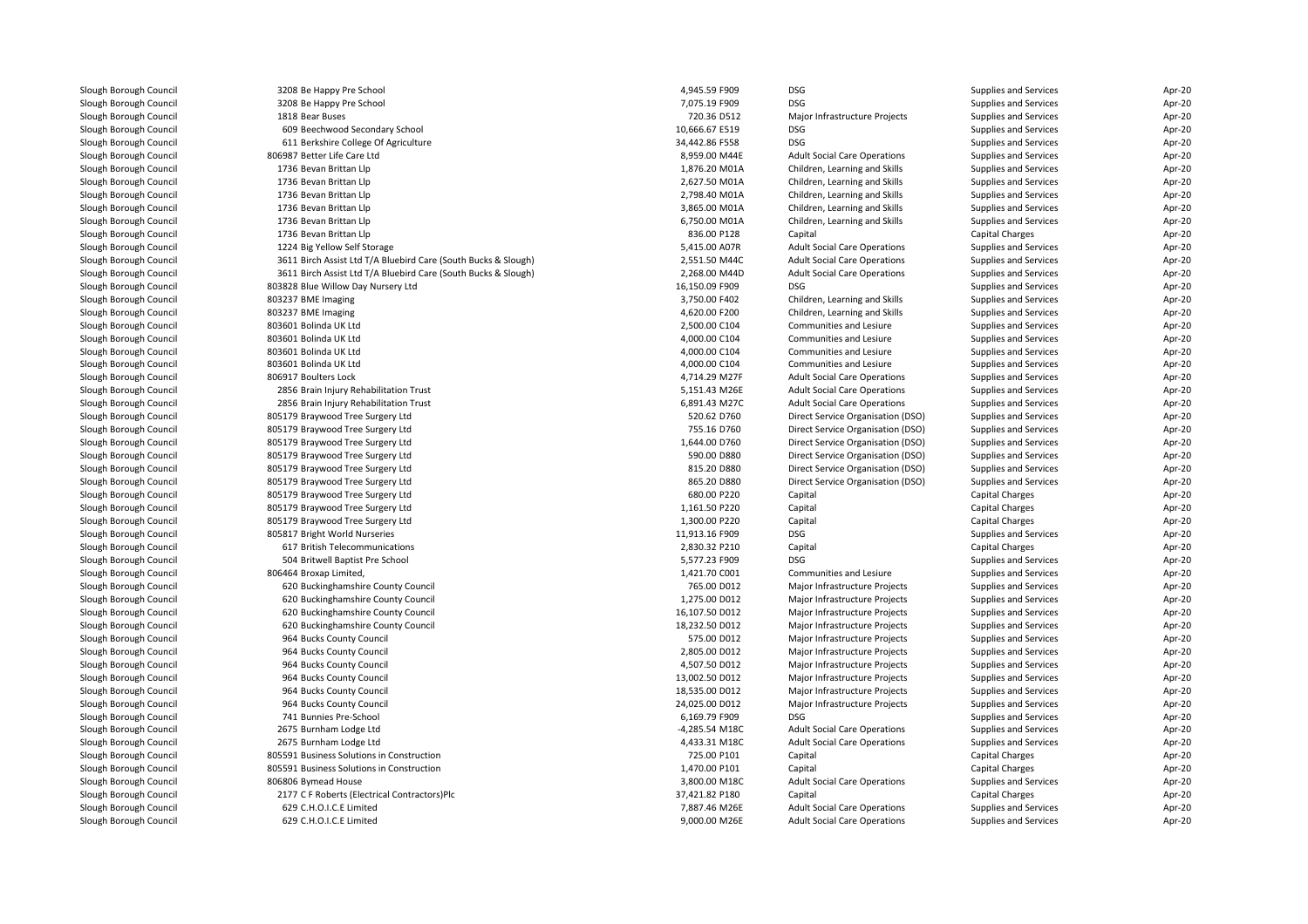| Slough Borough Council | 3208 Be Happy Pre School                                       | 4,945.59 F909  | <b>DSG</b>                          | Supplies and Services        | Apr-20 |
|------------------------|----------------------------------------------------------------|----------------|-------------------------------------|------------------------------|--------|
| Slough Borough Council | 3208 Be Happy Pre School                                       | 7,075.19 F909  | <b>DSG</b>                          | Supplies and Services        | Apr-20 |
| Slough Borough Council | 1818 Bear Buses                                                | 720.36 D512    | Major Infrastructure Projects       | Supplies and Services        | Apr-20 |
| Slough Borough Council | 609 Beechwood Secondary School                                 | 10,666.67 E519 | <b>DSG</b>                          | Supplies and Services        | Apr-20 |
| Slough Borough Council | 611 Berkshire College Of Agriculture                           | 34,442.86 F558 | <b>DSG</b>                          | Supplies and Services        | Apr-20 |
| Slough Borough Council | 806987 Better Life Care Ltd                                    | 8,959.00 M44E  | <b>Adult Social Care Operations</b> | Supplies and Services        | Apr-20 |
| Slough Borough Council | 1736 Bevan Brittan Llp                                         | 1,876.20 M01A  | Children, Learning and Skills       | Supplies and Services        | Apr-20 |
| Slough Borough Council | 1736 Bevan Brittan Llp                                         | 2,627.50 M01A  | Children, Learning and Skills       | Supplies and Services        | Apr-20 |
| Slough Borough Council | 1736 Bevan Brittan Llp                                         | 2,798.40 M01A  | Children, Learning and Skills       | Supplies and Services        | Apr-20 |
| Slough Borough Council | 1736 Bevan Brittan Llp                                         | 3,865.00 M01A  | Children, Learning and Skills       | Supplies and Services        | Apr-20 |
| Slough Borough Council | 1736 Bevan Brittan Llp                                         | 6,750.00 M01A  | Children, Learning and Skills       | Supplies and Services        | Apr-20 |
| Slough Borough Council | 1736 Bevan Brittan Llp                                         | 836.00 P128    | Capital                             | Capital Charges              | Apr-20 |
| Slough Borough Council | 1224 Big Yellow Self Storage                                   | 5,415.00 A07R  | <b>Adult Social Care Operations</b> | Supplies and Services        | Apr-20 |
| Slough Borough Council | 3611 Birch Assist Ltd T/A Bluebird Care (South Bucks & Slough) | 2,551.50 M44C  | <b>Adult Social Care Operations</b> | Supplies and Services        | Apr-20 |
| Slough Borough Council | 3611 Birch Assist Ltd T/A Bluebird Care (South Bucks & Slough) | 2,268.00 M44D  | <b>Adult Social Care Operations</b> | Supplies and Services        | Apr-20 |
| Slough Borough Council | 803828 Blue Willow Day Nursery Ltd                             | 16,150.09 F909 | <b>DSG</b>                          | Supplies and Services        | Apr-20 |
| Slough Borough Council | 803237 BME Imaging                                             | 3,750.00 F402  | Children, Learning and Skills       | Supplies and Services        | Apr-20 |
| Slough Borough Council | 803237 BME Imaging                                             | 4,620.00 F200  | Children, Learning and Skills       | Supplies and Services        | Apr-20 |
| Slough Borough Council | 803601 Bolinda UK Ltd                                          | 2,500.00 C104  | Communities and Lesiure             | Supplies and Services        | Apr-20 |
| Slough Borough Council | 803601 Bolinda UK Ltd                                          | 4,000.00 C104  | Communities and Lesiure             | <b>Supplies and Services</b> | Apr-20 |
| Slough Borough Council | 803601 Bolinda UK Ltd                                          | 4,000.00 C104  | Communities and Lesiure             | Supplies and Services        | Apr-20 |
| Slough Borough Council | 803601 Bolinda UK Ltd                                          | 4,000.00 C104  | Communities and Lesiure             | Supplies and Services        | Apr-20 |
| Slough Borough Council | 806917 Boulters Lock                                           | 4,714.29 M27F  | <b>Adult Social Care Operations</b> | Supplies and Services        | Apr-20 |
| Slough Borough Council | 2856 Brain Injury Rehabilitation Trust                         | 5,151.43 M26E  | <b>Adult Social Care Operations</b> | Supplies and Services        | Apr-20 |
| Slough Borough Council | 2856 Brain Injury Rehabilitation Trust                         | 6,891.43 M27C  | <b>Adult Social Care Operations</b> | Supplies and Services        | Apr-20 |
| Slough Borough Council | 805179 Braywood Tree Surgery Ltd                               | 520.62 D760    | Direct Service Organisation (DSO)   | Supplies and Services        | Apr-20 |
| Slough Borough Council | 805179 Braywood Tree Surgery Ltd                               | 755.16 D760    | Direct Service Organisation (DSO)   | Supplies and Services        | Apr-20 |
| Slough Borough Council | 805179 Braywood Tree Surgery Ltd                               | 1,644.00 D760  | Direct Service Organisation (DSO)   | Supplies and Services        | Apr-20 |
| Slough Borough Council | 805179 Braywood Tree Surgery Ltd                               | 590.00 D880    | Direct Service Organisation (DSO)   | Supplies and Services        | Apr-20 |
| Slough Borough Council | 805179 Braywood Tree Surgery Ltd                               | 815.20 D880    | Direct Service Organisation (DSO)   | Supplies and Services        | Apr-20 |
| Slough Borough Council | 805179 Braywood Tree Surgery Ltd                               | 865.20 D880    | Direct Service Organisation (DSO)   | Supplies and Services        | Apr-20 |
| Slough Borough Council | 805179 Braywood Tree Surgery Ltd                               | 680.00 P220    | Capital                             | Capital Charges              | Apr-20 |
| Slough Borough Council | 805179 Braywood Tree Surgery Ltd                               | 1,161.50 P220  | Capital                             | <b>Capital Charges</b>       | Apr-20 |
| Slough Borough Council | 805179 Braywood Tree Surgery Ltd                               | 1,300.00 P220  | Capital                             | Capital Charges              | Apr-20 |
| Slough Borough Council | 805817 Bright World Nurseries                                  | 11,913.16 F909 | <b>DSG</b>                          | Supplies and Services        | Apr-20 |
| Slough Borough Council | 617 British Telecommunications                                 | 2,830.32 P210  | Capital                             | Capital Charges              | Apr-20 |
| Slough Borough Council | 504 Britwell Baptist Pre School                                | 5,577.23 F909  | DSG                                 | Supplies and Services        | Apr-20 |
| Slough Borough Council | 806464 Broxap Limited,                                         | 1,421.70 C001  | Communities and Lesiure             | Supplies and Services        | Apr-20 |
| Slough Borough Council | 620 Buckinghamshire County Council                             | 765.00 D012    | Major Infrastructure Projects       | Supplies and Services        | Apr-20 |
| Slough Borough Council | 620 Buckinghamshire County Council                             | 1,275.00 D012  | Major Infrastructure Projects       | Supplies and Services        | Apr-20 |
| Slough Borough Council | 620 Buckinghamshire County Council                             | 16,107.50 D012 | Major Infrastructure Projects       | Supplies and Services        | Apr-20 |
| Slough Borough Council | 620 Buckinghamshire County Council                             | 18,232.50 D012 | Major Infrastructure Projects       | Supplies and Services        | Apr-20 |
| Slough Borough Council | 964 Bucks County Council                                       | 575.00 D012    | Major Infrastructure Projects       | Supplies and Services        | Apr-20 |
| Slough Borough Council | 964 Bucks County Council                                       | 2,805.00 D012  | Major Infrastructure Projects       | Supplies and Services        | Apr-20 |
| Slough Borough Council | 964 Bucks County Council                                       | 4,507.50 D012  | Major Infrastructure Projects       | Supplies and Services        | Apr-20 |
| Slough Borough Council | 964 Bucks County Council                                       | 13,002.50 D012 | Major Infrastructure Projects       | Supplies and Services        | Apr-20 |
| Slough Borough Council | 964 Bucks County Council                                       | 18,535.00 D012 | Major Infrastructure Projects       | Supplies and Services        | Apr-20 |
| Slough Borough Council | 964 Bucks County Council                                       | 24,025.00 D012 | Major Infrastructure Projects       | Supplies and Services        | Apr-20 |
| Slough Borough Council | 741 Bunnies Pre-School                                         | 6,169.79 F909  | <b>DSG</b>                          | Supplies and Services        | Apr-20 |
| Slough Borough Council | 2675 Burnham Lodge Ltd                                         | -4,285.54 M18C | <b>Adult Social Care Operations</b> | Supplies and Services        | Apr-20 |
| Slough Borough Council | 2675 Burnham Lodge Ltd                                         | 4,433.31 M18C  | <b>Adult Social Care Operations</b> | Supplies and Services        | Apr-20 |
| Slough Borough Council | 805591 Business Solutions in Construction                      | 725.00 P101    | Capital                             | Capital Charges              | Apr-20 |
| Slough Borough Council | 805591 Business Solutions in Construction                      | 1,470.00 P101  | Capital                             | Capital Charges              | Apr-20 |
| Slough Borough Council | 806806 Bymead House                                            | 3,800.00 M18C  | <b>Adult Social Care Operations</b> | Supplies and Services        | Apr-20 |
| Slough Borough Council | 2177 C F Roberts (Electrical Contractors)Plc                   | 37,421.82 P180 | Capital                             | Capital Charges              | Apr-20 |
| Slough Borough Council | 629 C.H.O.I.C.E Limited                                        | 7,887.46 M26E  | <b>Adult Social Care Operations</b> | Supplies and Services        | Apr-20 |
| Slough Borough Council | 629 C.H.O.I.C.E Limited                                        | 9,000.00 M26E  | <b>Adult Social Care Operations</b> | Supplies and Services        | Apr-20 |
|                        |                                                                |                |                                     |                              |        |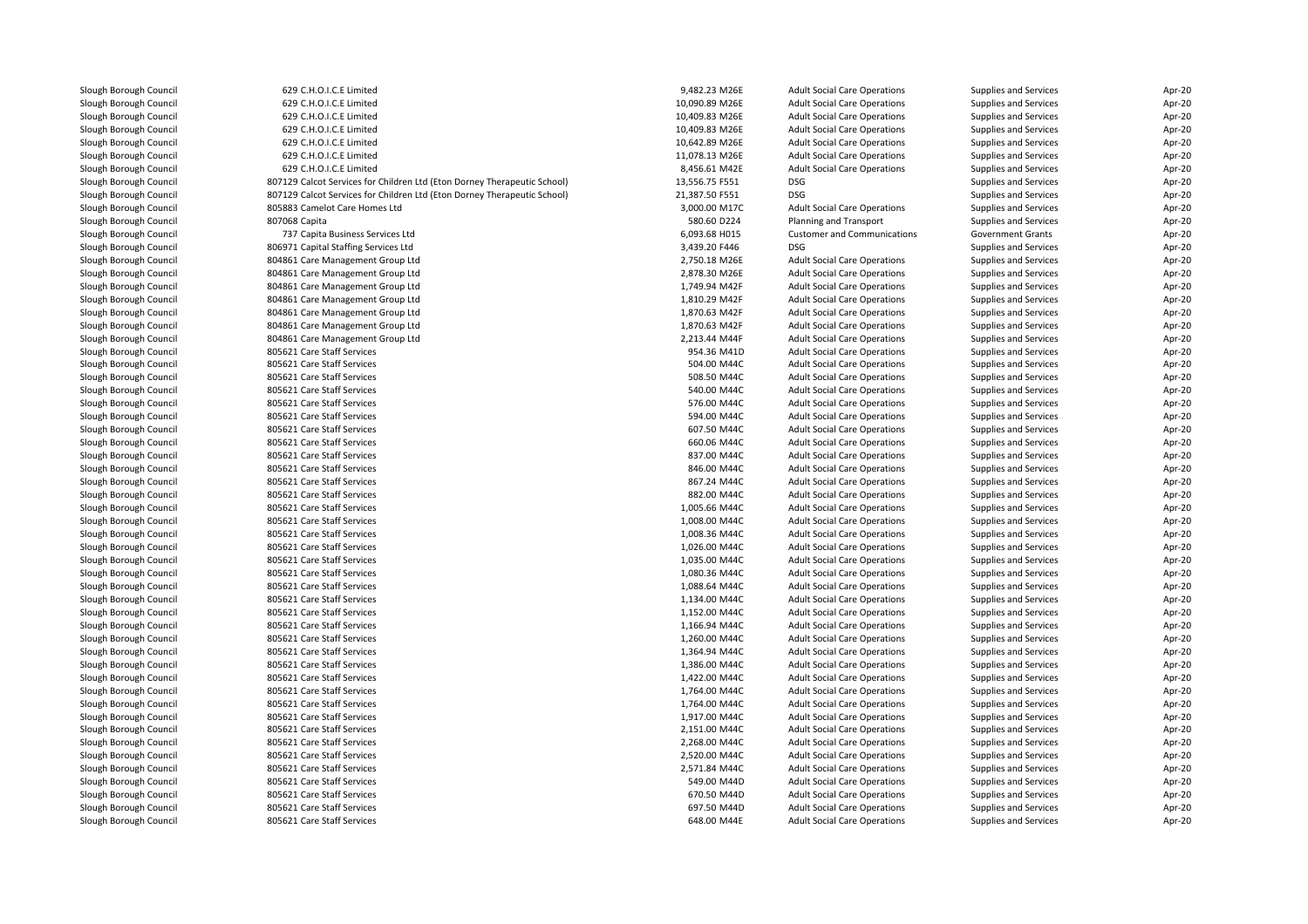| Slough Borough Council | 629 C.H.O.I.C.E Limited                                                  | 9,482.23 M26E  | <b>Adult Social Care Operations</b> | Supplies and Services                          | Apr-20 |
|------------------------|--------------------------------------------------------------------------|----------------|-------------------------------------|------------------------------------------------|--------|
| Slough Borough Council | 629 C.H.O.I.C.E Limited                                                  | 10,090.89 M26E | <b>Adult Social Care Operations</b> | Supplies and Services                          | Apr-20 |
| Slough Borough Council | 629 C.H.O.I.C.E Limited                                                  | 10,409.83 M26E | <b>Adult Social Care Operations</b> | Supplies and Services                          | Apr-20 |
| Slough Borough Council | 629 C.H.O.I.C.E Limited                                                  | 10,409.83 M26E | <b>Adult Social Care Operations</b> | Supplies and Services                          | Apr-20 |
| Slough Borough Council | 629 C.H.O.I.C.E Limited                                                  | 10,642.89 M26E | <b>Adult Social Care Operations</b> | Supplies and Services                          | Apr-20 |
| Slough Borough Council | 629 C.H.O.I.C.E Limited                                                  | 11,078.13 M26E | <b>Adult Social Care Operations</b> | Supplies and Services                          | Apr-20 |
| Slough Borough Council | 629 C.H.O.I.C.E Limited                                                  | 8,456.61 M42E  | <b>Adult Social Care Operations</b> | Supplies and Services                          | Apr-20 |
| Slough Borough Council | 807129 Calcot Services for Children Ltd (Eton Dorney Therapeutic School) | 13,556.75 F551 | <b>DSG</b>                          | Supplies and Services                          | Apr-20 |
| Slough Borough Council | 807129 Calcot Services for Children Ltd (Eton Dorney Therapeutic School) | 21,387.50 F551 | <b>DSG</b>                          | Supplies and Services                          | Apr-20 |
| Slough Borough Council | 805883 Camelot Care Homes Ltd                                            | 3,000.00 M17C  | <b>Adult Social Care Operations</b> | Supplies and Services                          | Apr-20 |
| Slough Borough Council | 807068 Capita                                                            | 580.60 D224    | Planning and Transport              | Supplies and Services                          | Apr-20 |
| Slough Borough Council | 737 Capita Business Services Ltd                                         | 6,093.68 H015  | <b>Customer and Communications</b>  | <b>Government Grants</b>                       | Apr-20 |
| Slough Borough Council | 806971 Capital Staffing Services Ltd                                     | 3,439.20 F446  | <b>DSG</b>                          | Supplies and Services                          | Apr-20 |
| Slough Borough Council | 804861 Care Management Group Ltd                                         | 2,750.18 M26E  | <b>Adult Social Care Operations</b> | Supplies and Services                          | Apr-20 |
| Slough Borough Council | 804861 Care Management Group Ltd                                         | 2,878.30 M26E  | <b>Adult Social Care Operations</b> | Supplies and Services                          | Apr-20 |
| Slough Borough Council | 804861 Care Management Group Ltd                                         | 1,749.94 M42F  | <b>Adult Social Care Operations</b> | Supplies and Services                          | Apr-20 |
| Slough Borough Council | 804861 Care Management Group Ltd                                         | 1,810.29 M42F  | <b>Adult Social Care Operations</b> | Supplies and Services                          | Apr-20 |
| Slough Borough Council | 804861 Care Management Group Ltd                                         | 1,870.63 M42F  | <b>Adult Social Care Operations</b> | Supplies and Services                          | Apr-20 |
| Slough Borough Council | 804861 Care Management Group Ltd                                         | 1,870.63 M42F  | <b>Adult Social Care Operations</b> | Supplies and Services                          | Apr-20 |
| Slough Borough Council | 804861 Care Management Group Ltd                                         | 2,213.44 M44F  | <b>Adult Social Care Operations</b> | Supplies and Services                          | Apr-20 |
| Slough Borough Council | 805621 Care Staff Services                                               | 954.36 M41D    | <b>Adult Social Care Operations</b> | Supplies and Services                          | Apr-20 |
| Slough Borough Council | 805621 Care Staff Services                                               | 504.00 M44C    | <b>Adult Social Care Operations</b> | Supplies and Services                          | Apr-20 |
| Slough Borough Council | 805621 Care Staff Services                                               | 508.50 M44C    | <b>Adult Social Care Operations</b> | Supplies and Services                          | Apr-20 |
| Slough Borough Council | 805621 Care Staff Services                                               | 540.00 M44C    | <b>Adult Social Care Operations</b> | Supplies and Services                          | Apr-20 |
| Slough Borough Council | 805621 Care Staff Services                                               | 576.00 M44C    | <b>Adult Social Care Operations</b> | Supplies and Services                          | Apr-20 |
| Slough Borough Council | 805621 Care Staff Services                                               | 594.00 M44C    | <b>Adult Social Care Operations</b> | Supplies and Services                          | Apr-20 |
| Slough Borough Council | 805621 Care Staff Services                                               | 607.50 M44C    | <b>Adult Social Care Operations</b> |                                                | Apr-20 |
| Slough Borough Council | 805621 Care Staff Services                                               | 660.06 M44C    | <b>Adult Social Care Operations</b> | Supplies and Services<br>Supplies and Services | Apr-20 |
|                        | 805621 Care Staff Services                                               | 837.00 M44C    | <b>Adult Social Care Operations</b> |                                                | Apr-20 |
| Slough Borough Council |                                                                          |                |                                     | Supplies and Services                          |        |
| Slough Borough Council | 805621 Care Staff Services                                               | 846.00 M44C    | <b>Adult Social Care Operations</b> | Supplies and Services                          | Apr-20 |
| Slough Borough Council | 805621 Care Staff Services                                               | 867.24 M44C    | <b>Adult Social Care Operations</b> | Supplies and Services                          | Apr-20 |
| Slough Borough Council | 805621 Care Staff Services                                               | 882.00 M44C    | <b>Adult Social Care Operations</b> | Supplies and Services                          | Apr-20 |
| Slough Borough Council | 805621 Care Staff Services                                               | 1,005.66 M44C  | <b>Adult Social Care Operations</b> | Supplies and Services                          | Apr-20 |
| Slough Borough Council | 805621 Care Staff Services                                               | 1,008.00 M44C  | <b>Adult Social Care Operations</b> | Supplies and Services                          | Apr-20 |
| Slough Borough Council | 805621 Care Staff Services                                               | 1,008.36 M44C  | <b>Adult Social Care Operations</b> | Supplies and Services                          | Apr-20 |
| Slough Borough Council | 805621 Care Staff Services                                               | 1,026.00 M44C  | <b>Adult Social Care Operations</b> | Supplies and Services                          | Apr-20 |
| Slough Borough Council | 805621 Care Staff Services                                               | 1,035.00 M44C  | <b>Adult Social Care Operations</b> | Supplies and Services                          | Apr-20 |
| Slough Borough Council | 805621 Care Staff Services                                               | 1,080.36 M44C  | <b>Adult Social Care Operations</b> | Supplies and Services                          | Apr-20 |
| Slough Borough Council | 805621 Care Staff Services                                               | 1,088.64 M44C  | <b>Adult Social Care Operations</b> | Supplies and Services                          | Apr-20 |
| Slough Borough Council | 805621 Care Staff Services                                               | 1,134.00 M44C  | <b>Adult Social Care Operations</b> | Supplies and Services                          | Apr-20 |
| Slough Borough Council | 805621 Care Staff Services                                               | 1,152.00 M44C  | <b>Adult Social Care Operations</b> | Supplies and Services                          | Apr-20 |
| Slough Borough Council | 805621 Care Staff Services                                               | 1,166.94 M44C  | <b>Adult Social Care Operations</b> | Supplies and Services                          | Apr-20 |
| Slough Borough Council | 805621 Care Staff Services                                               | 1,260.00 M44C  | <b>Adult Social Care Operations</b> | Supplies and Services                          | Apr-20 |
| Slough Borough Council | 805621 Care Staff Services                                               | 1,364.94 M44C  | <b>Adult Social Care Operations</b> | Supplies and Services                          | Apr-20 |
| Slough Borough Council | 805621 Care Staff Services                                               | 1,386.00 M44C  | <b>Adult Social Care Operations</b> | Supplies and Services                          | Apr-20 |
| Slough Borough Council | 805621 Care Staff Services                                               | 1,422.00 M44C  | <b>Adult Social Care Operations</b> | Supplies and Services                          | Apr-20 |
| Slough Borough Council | 805621 Care Staff Services                                               | 1,764.00 M44C  | <b>Adult Social Care Operations</b> | Supplies and Services                          | Apr-20 |
| Slough Borough Council | 805621 Care Staff Services                                               | 1,764.00 M44C  | <b>Adult Social Care Operations</b> | Supplies and Services                          | Apr-20 |
| Slough Borough Council | 805621 Care Staff Services                                               | 1,917.00 M44C  | <b>Adult Social Care Operations</b> | Supplies and Services                          | Apr-20 |
| Slough Borough Council | 805621 Care Staff Services                                               | 2,151.00 M44C  | <b>Adult Social Care Operations</b> | Supplies and Services                          | Apr-20 |
| Slough Borough Council | 805621 Care Staff Services                                               | 2.268.00 M44C  | <b>Adult Social Care Operations</b> | Supplies and Services                          | Apr-20 |
| Slough Borough Council | 805621 Care Staff Services                                               | 2,520.00 M44C  | <b>Adult Social Care Operations</b> | Supplies and Services                          | Apr-20 |
| Slough Borough Council | 805621 Care Staff Services                                               | 2,571.84 M44C  | <b>Adult Social Care Operations</b> | Supplies and Services                          | Apr-20 |
| Slough Borough Council | 805621 Care Staff Services                                               | 549.00 M44D    | <b>Adult Social Care Operations</b> | Supplies and Services                          | Apr-20 |
| Slough Borough Council | 805621 Care Staff Services                                               | 670.50 M44D    | <b>Adult Social Care Operations</b> | Supplies and Services                          | Apr-20 |
| Slough Borough Council | 805621 Care Staff Services                                               | 697.50 M44D    | <b>Adult Social Care Operations</b> | Supplies and Services                          | Apr-20 |
| Slough Borough Council | 805621 Care Staff Services                                               | 648.00 M44E    | <b>Adult Social Care Operations</b> | Supplies and Services                          | Apr-20 |
|                        |                                                                          |                |                                     |                                                |        |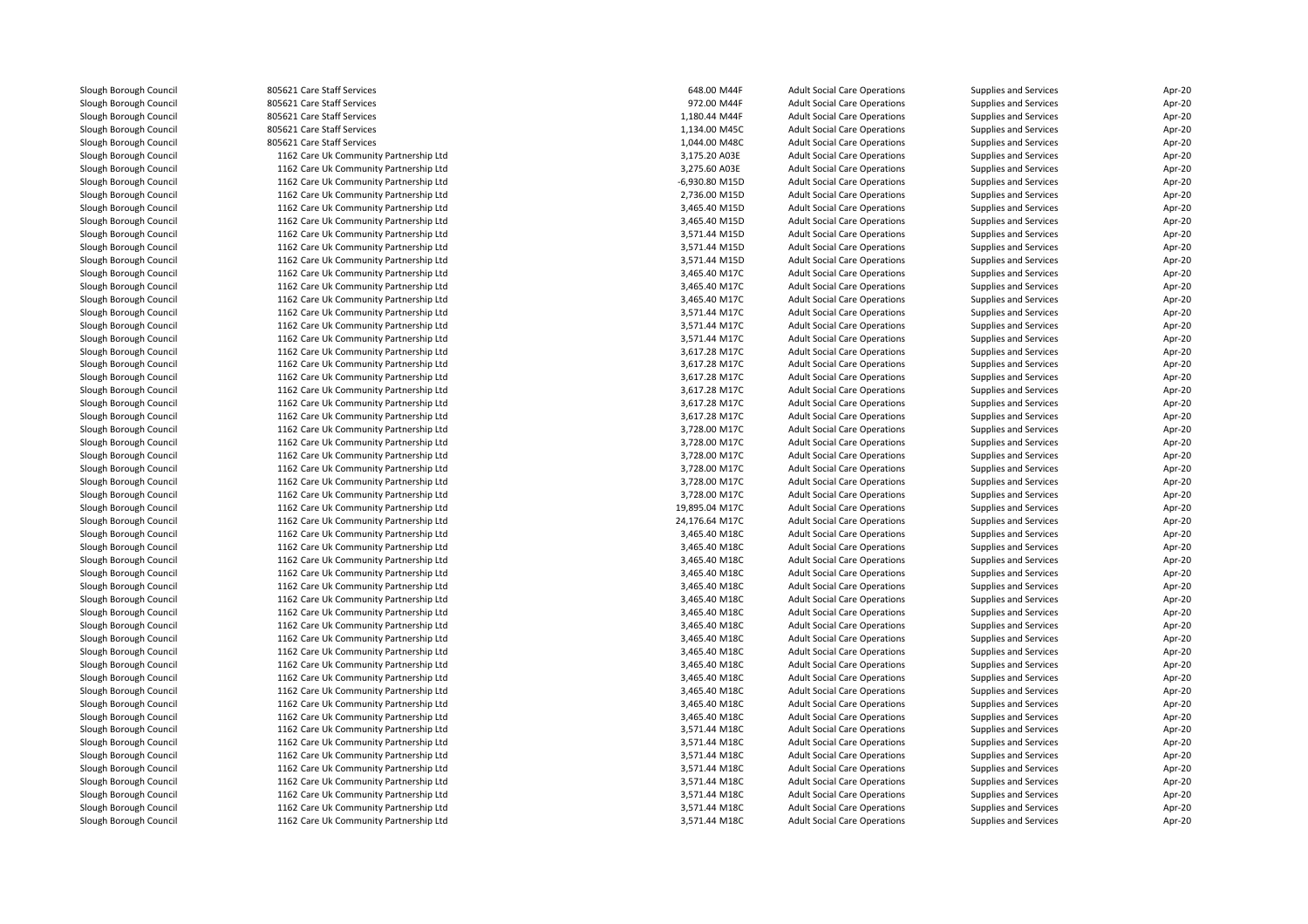| Slough Borough Council | 805621 Care Staff Services             | 648.00 M44F    | <b>Adult Social Care Operations</b> | Supplies and Services        | Apr-20 |
|------------------------|----------------------------------------|----------------|-------------------------------------|------------------------------|--------|
| Slough Borough Council | 805621 Care Staff Services             | 972.00 M44F    | <b>Adult Social Care Operations</b> | Supplies and Services        | Apr-20 |
| Slough Borough Council | 805621 Care Staff Services             | 1,180.44 M44F  | <b>Adult Social Care Operations</b> | Supplies and Services        | Apr-20 |
| Slough Borough Council | 805621 Care Staff Services             | 1,134.00 M45C  | <b>Adult Social Care Operations</b> | Supplies and Services        | Apr-20 |
| Slough Borough Council | 805621 Care Staff Services             | 1,044.00 M48C  | <b>Adult Social Care Operations</b> | Supplies and Services        | Apr-20 |
| Slough Borough Council | 1162 Care Uk Community Partnership Ltd | 3,175.20 A03E  | <b>Adult Social Care Operations</b> | Supplies and Services        | Apr-20 |
| Slough Borough Council | 1162 Care Uk Community Partnership Ltd | 3,275.60 A03E  | <b>Adult Social Care Operations</b> | Supplies and Services        | Apr-20 |
| Slough Borough Council | 1162 Care Uk Community Partnership Ltd | -6,930.80 M15D | <b>Adult Social Care Operations</b> | <b>Supplies and Services</b> | Apr-20 |
| Slough Borough Council | 1162 Care Uk Community Partnership Ltd | 2,736.00 M15D  | <b>Adult Social Care Operations</b> | Supplies and Services        | Apr-20 |
| Slough Borough Council | 1162 Care Uk Community Partnership Ltd | 3,465.40 M15D  | <b>Adult Social Care Operations</b> | Supplies and Services        | Apr-20 |
| Slough Borough Council | 1162 Care Uk Community Partnership Ltd | 3,465.40 M15D  | <b>Adult Social Care Operations</b> | Supplies and Services        | Apr-20 |
| Slough Borough Council | 1162 Care Uk Community Partnership Ltd | 3,571.44 M15D  | <b>Adult Social Care Operations</b> | Supplies and Services        | Apr-20 |
| Slough Borough Council | 1162 Care Uk Community Partnership Ltd | 3,571.44 M15D  | <b>Adult Social Care Operations</b> | Supplies and Services        | Apr-20 |
| Slough Borough Council | 1162 Care Uk Community Partnership Ltd | 3,571.44 M15D  | <b>Adult Social Care Operations</b> | <b>Supplies and Services</b> | Apr-20 |
| Slough Borough Council | 1162 Care Uk Community Partnership Ltd | 3,465.40 M17C  | <b>Adult Social Care Operations</b> | Supplies and Services        | Apr-20 |
| Slough Borough Council | 1162 Care Uk Community Partnership Ltd | 3,465.40 M17C  | <b>Adult Social Care Operations</b> | Supplies and Services        | Apr-20 |
| Slough Borough Council | 1162 Care Uk Community Partnership Ltd | 3,465.40 M17C  | <b>Adult Social Care Operations</b> | Supplies and Services        | Apr-20 |
| Slough Borough Council | 1162 Care Uk Community Partnership Ltd | 3,571.44 M17C  | <b>Adult Social Care Operations</b> | Supplies and Services        | Apr-20 |
| Slough Borough Council | 1162 Care Uk Community Partnership Ltd | 3,571.44 M17C  | <b>Adult Social Care Operations</b> | Supplies and Services        | Apr-20 |
| Slough Borough Council | 1162 Care Uk Community Partnership Ltd | 3,571.44 M17C  | <b>Adult Social Care Operations</b> | Supplies and Services        | Apr-20 |
| Slough Borough Council | 1162 Care Uk Community Partnership Ltd | 3,617.28 M17C  | <b>Adult Social Care Operations</b> | <b>Supplies and Services</b> | Apr-20 |
| Slough Borough Council | 1162 Care Uk Community Partnership Ltd | 3,617.28 M17C  | <b>Adult Social Care Operations</b> | <b>Supplies and Services</b> | Apr-20 |
| Slough Borough Council | 1162 Care Uk Community Partnership Ltd | 3,617.28 M17C  | <b>Adult Social Care Operations</b> | Supplies and Services        | Apr-20 |
| Slough Borough Council | 1162 Care Uk Community Partnership Ltd | 3,617.28 M17C  | <b>Adult Social Care Operations</b> | <b>Supplies and Services</b> | Apr-20 |
| Slough Borough Council | 1162 Care Uk Community Partnership Ltd | 3,617.28 M17C  | <b>Adult Social Care Operations</b> | <b>Supplies and Services</b> | Apr-20 |
| Slough Borough Council | 1162 Care Uk Community Partnership Ltd | 3,617.28 M17C  | <b>Adult Social Care Operations</b> | Supplies and Services        | Apr-20 |
|                        |                                        |                |                                     |                              |        |
| Slough Borough Council | 1162 Care Uk Community Partnership Ltd | 3,728.00 M17C  | <b>Adult Social Care Operations</b> | Supplies and Services        | Apr-20 |
| Slough Borough Council | 1162 Care Uk Community Partnership Ltd | 3,728.00 M17C  | <b>Adult Social Care Operations</b> | Supplies and Services        | Apr-20 |
| Slough Borough Council | 1162 Care Uk Community Partnership Ltd | 3,728.00 M17C  | <b>Adult Social Care Operations</b> | Supplies and Services        | Apr-20 |
| Slough Borough Council | 1162 Care Uk Community Partnership Ltd | 3,728.00 M17C  | <b>Adult Social Care Operations</b> | Supplies and Services        | Apr-20 |
| Slough Borough Council | 1162 Care Uk Community Partnership Ltd | 3,728.00 M17C  | <b>Adult Social Care Operations</b> | Supplies and Services        | Apr-20 |
| Slough Borough Council | 1162 Care Uk Community Partnership Ltd | 3,728.00 M17C  | <b>Adult Social Care Operations</b> | Supplies and Services        | Apr-20 |
| Slough Borough Council | 1162 Care Uk Community Partnership Ltd | 19,895.04 M17C | <b>Adult Social Care Operations</b> | Supplies and Services        | Apr-20 |
| Slough Borough Council | 1162 Care Uk Community Partnership Ltd | 24,176.64 M17C | <b>Adult Social Care Operations</b> | Supplies and Services        | Apr-20 |
| Slough Borough Council | 1162 Care Uk Community Partnership Ltd | 3,465.40 M18C  | <b>Adult Social Care Operations</b> | Supplies and Services        | Apr-20 |
| Slough Borough Council | 1162 Care Uk Community Partnership Ltd | 3,465.40 M18C  | <b>Adult Social Care Operations</b> | Supplies and Services        | Apr-20 |
| Slough Borough Council | 1162 Care Uk Community Partnership Ltd | 3,465.40 M18C  | <b>Adult Social Care Operations</b> | Supplies and Services        | Apr-20 |
| Slough Borough Council | 1162 Care Uk Community Partnership Ltd | 3,465.40 M18C  | <b>Adult Social Care Operations</b> | <b>Supplies and Services</b> | Apr-20 |
| Slough Borough Council | 1162 Care Uk Community Partnership Ltd | 3,465.40 M18C  | <b>Adult Social Care Operations</b> | Supplies and Services        | Apr-20 |
| Slough Borough Council | 1162 Care Uk Community Partnership Ltd | 3,465.40 M18C  | <b>Adult Social Care Operations</b> | Supplies and Services        | Apr-20 |
| Slough Borough Council | 1162 Care Uk Community Partnership Ltd | 3.465.40 M18C  | <b>Adult Social Care Operations</b> | <b>Supplies and Services</b> | Apr-20 |
| Slough Borough Council | 1162 Care Uk Community Partnership Ltd | 3,465.40 M18C  | <b>Adult Social Care Operations</b> | Supplies and Services        | Apr-20 |
| Slough Borough Council | 1162 Care Uk Community Partnership Ltd | 3,465.40 M18C  | <b>Adult Social Care Operations</b> | Supplies and Services        | Apr-20 |
| Slough Borough Council | 1162 Care Uk Community Partnership Ltd | 3,465.40 M18C  | <b>Adult Social Care Operations</b> | Supplies and Services        | Apr-20 |
| Slough Borough Council | 1162 Care Uk Community Partnership Ltd | 3,465.40 M18C  | <b>Adult Social Care Operations</b> | Supplies and Services        | Apr-20 |
| Slough Borough Council | 1162 Care Uk Community Partnership Ltd | 3,465.40 M18C  | <b>Adult Social Care Operations</b> | Supplies and Services        | Apr-20 |
| Slough Borough Council | 1162 Care Uk Community Partnership Ltd | 3,465.40 M18C  | <b>Adult Social Care Operations</b> | Supplies and Services        | Apr-20 |
| Slough Borough Council | 1162 Care Uk Community Partnership Ltd | 3,465.40 M18C  | <b>Adult Social Care Operations</b> | Supplies and Services        | Apr-20 |
| Slough Borough Council | 1162 Care Uk Community Partnership Ltd | 3,465.40 M18C  | <b>Adult Social Care Operations</b> | Supplies and Services        | Apr-20 |
| Slough Borough Council | 1162 Care Uk Community Partnership Ltd | 3,571.44 M18C  | <b>Adult Social Care Operations</b> | <b>Supplies and Services</b> | Apr-20 |
| Slough Borough Council | 1162 Care Uk Community Partnership Ltd | 3,571.44 M18C  | <b>Adult Social Care Operations</b> | Supplies and Services        | Apr-20 |
| Slough Borough Council | 1162 Care Uk Community Partnership Ltd | 3,571.44 M18C  | <b>Adult Social Care Operations</b> | Supplies and Services        | Apr-20 |
| Slough Borough Council | 1162 Care Uk Community Partnership Ltd | 3,571.44 M18C  | <b>Adult Social Care Operations</b> | Supplies and Services        | Apr-20 |
| Slough Borough Council | 1162 Care Uk Community Partnership Ltd | 3,571.44 M18C  | <b>Adult Social Care Operations</b> | Supplies and Services        | Apr-20 |
| Slough Borough Council | 1162 Care Uk Community Partnership Ltd | 3,571.44 M18C  | <b>Adult Social Care Operations</b> | <b>Supplies and Services</b> | Apr-20 |
| Slough Borough Council | 1162 Care Uk Community Partnership Ltd | 3,571.44 M18C  | <b>Adult Social Care Operations</b> | Supplies and Services        | Apr-20 |
| Slough Borough Council | 1162 Care Uk Community Partnership Ltd | 3,571.44 M18C  | <b>Adult Social Care Operations</b> | Supplies and Services        | Apr-20 |
|                        |                                        |                |                                     |                              |        |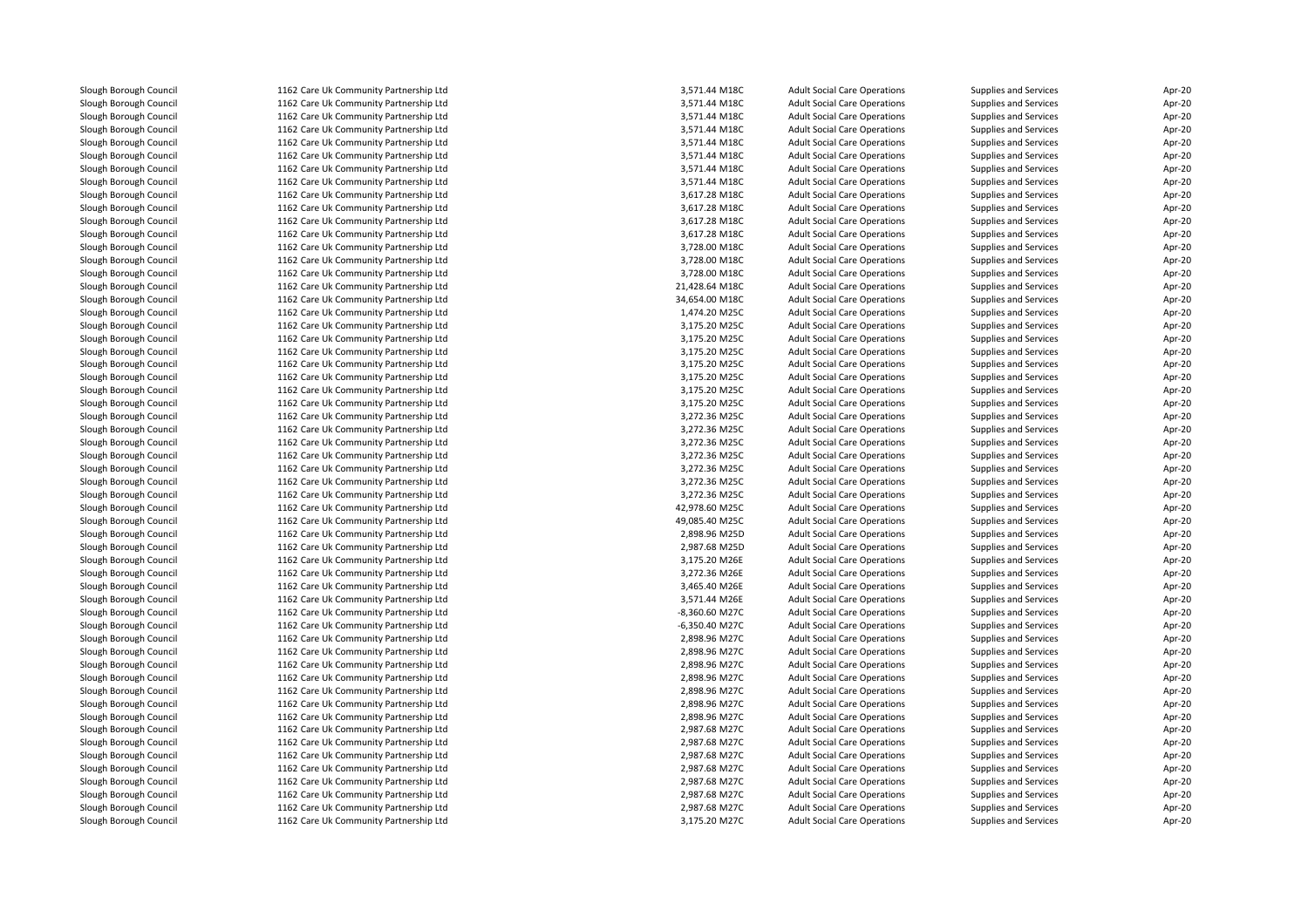Slough Borough Council 1162 Care Uk Community Partnership Ltd<br>1162 Care Uk Community Partnership Ltd Slough Borough Council 1162 Care Uk Community Partnership Ltd<br>1162 Care Uk Community Partnership Ltd Slough Borough Council 1162 Care Uk Community Partnership Ltd<br>1162 Care Uk Community Partnership Ltd Slough Borough Council 1162 Care Uk Community Partnership Ltd<br>1162 Care Uk Community Partnership Ltd Slough Borough Council 1162 Care Uk Community Partnership Ltd<br>1162 Care Uk Community Partnership Ltd Slough Borough Council 1162 Care Uk Community Partnership Ltd<br>1162 Care Uk Community Partnership Ltd Slough Borough Council 1162 Care Uk Community Partnership Ltd<br>1162 Care Uk Community Partnership Ltd Slough Borough Council 1162 Care Uk Community Partnership Ltd<br>1162 Care Uk Community Partnership Ltd Slough Borough Council 1162 Care Uk Community Partnership Ltd<br>Slough Borough Council 1162 Care Uk Community Partnership Ltd Slough Borough Council 1162 Care Uk Community Partnership Ltd<br>1162 Care Uk Community Partnership Ltd Slough Borough Council 1162 Care Uk Community Partnership Ltd<br>1162 Care Uk Community Partnership Ltd Slough Borough Council 1162 Care Uk Community Partnership Ltd<br>1162 Care Uk Community Partnership Ltd Slough Borough Council 1162 Care Uk Community Partnership Ltd<br>1162 Care Uk Community Partnership Ltd Slough Borough Council 1162 Care Uk Community Partnership Ltd<br>1162 Care Uk Community Partnership Ltd Slough Borough Council 1162 Care Uk Community Partnership Ltd<br>1162 Care Uk Community Partnership Ltd Slough Borough Council 1162 Care Uk Community Partnership Ltd<br>1162 Care Uk Community Partnership Ltd Slough Borough Council 1162 Care Uk Community Partnership Ltd<br>1162 Care Uk Community Partnership Ltd Slough Borough Council 1162 Care Uk Community Partnership Ltd<br>1162 Care Uk Community Partnership Ltd Slough Borough Council 1162 Care Uk Community Partnership Ltd<br>Slough Borough Council 1162 Care Uk Community Partnership Ltd Slough Borough Council 1162 Care Uk Community Partnership Ltd<br>1162 Care Uk Community Partnership Ltd Slough Borough Council 1162 Care Uk Community Partnership Ltd<br>1162 Care Uk Community Partnership Ltd Slough Borough Council 1162 Care Uk Community Partnership Ltd<br>1162 Care Uk Community Partnership Ltd Slough Borough Council 1162 Care Uk Community Partnership Ltd<br>1162 Care Uk Community Partnership Ltd Slough Borough Council 1162 Care Uk Community Partnership Ltd<br>1162 Care Uk Community Partnership Ltd Slough Borough Council 1162 Care Uk Community Partnership Ltd<br>1162 Care Uk Community Partnership Ltd Slough Borough Council 1162 Care Uk Community Partnership Ltd<br>1162 Care Uk Community Partnership Ltd Slough Borough Council 1162 Care Uk Community Partnership Ltd<br>1162 Care Uk Community Partnership Ltd Slough Borough Council 1162 Care Uk Community Partnership Ltd<br>1162 Care Uk Community Partnership Ltd Slough Borough Council 1162 Care Uk Community Partnership Ltd<br>1162 Care Uk Community Partnership Ltd Slough Borough Council 1162 Care Uk Community Partnership Ltd<br>1162 Care Uk Community Partnership Ltd Slough Borough Council 1162 Care Uk Community Partnership Ltd<br>1162 Care Uk Community Partnership Ltd Slough Borough Council 1162 Care Uk Community Partnership Ltd<br>1162 Care Uk Community Partnership Ltd Slough Borough Council 1162 Care Uk Community Partnership Ltd<br>1162 Care Uk Community Partnership Ltd Slough Borough Council 1162 Care Uk Community Partnership Ltd<br>1162 Care Uk Community Partnership Ltd Slough Borough Council 1162 Care Uk Community Partnership Ltd<br>1162 Care Uk Community Partnership Ltd Slough Borough Council 1162 Care Uk Community Partnership Ltd<br>1162 Care Uk Community Partnership Ltd Slough Borough Council 1162 Care Uk Community Partnership Ltd<br>1162 Care Uk Community Partnership Ltd Slough Borough Council 1162 Care Uk Community Partnership Ltd<br>1162 Care Uk Community Partnership Ltd Slough Borough Council 1162 Care Uk Community Partnership Ltd<br>1162 Care Uk Community Partnership Ltd Slough Borough Council 1162 Care Uk Community Partnership Ltd<br>1162 Care Uk Community Partnership Ltd Slough Borough Council 1162 Care Uk Community Partnership Ltd<br>1162 Care Uk Community Partnership Ltd Slough Borough Council 1162 Care Uk Community Partnership Ltd<br>1162 Care Uk Community Partnership Ltd Slough Borough Council 1162 Care Uk Community Partnership Ltd<br>1162 Care Uk Community Partnership Ltd Slough Borough Council 1162 Care Uk Community Partnership Ltd<br>1162 Care Uk Community Partnership Ltd Slough Borough Council 1162 Care Uk Community Partnership Ltd<br>1162 Care Uk Community Partnership Ltd Slough Borough Council 1162 Care Uk Community Partnership Ltd<br>1162 Care Uk Community Partnership Ltd Slough Borough Council 1162 Care Uk Community Partnership Ltd<br>1162 Care Uk Community Partnership Ltd Slough Borough Council 1162 Care Uk Community Partnership Ltd<br>1162 Care Uk Community Partnership Ltd Slough Borough Council 1162 Care Uk Community Partnership Ltd<br>1162 Care Uk Community Partnership Ltd Slough Borough Council 1162 Care Uk Community Partnership Ltd<br>
1162 Care Uk Community Partnership Ltd<br>
1162 Care Uk Community Partnership Ltd Slough Borough Council 1162 Care Uk Community Partnership Ltd<br>1162 Care Uk Community Partnership Ltd Slough Borough Council 1162 Care Uk Community Partnership Ltd<br>1162 Care Uk Community Partnership Ltd Slough Borough Council 1162 Care Uk Community Partnership Ltd<br>1162 Care Uk Community Partnership Ltd Slough Borough Council 1162 Care Uk Community Partnership Ltd<br>1162 Care Uk Community Partnership Ltd Slough Borough Council 1162 Care Uk Community Partnership Ltd<br>1162 Care Uk Community Partnership Ltd Slough Borough Council 1162 Care Uk Community Partnership Ltd<br>1162 Care Uk Community Partnership Ltd 1162 Care Uk Community Partnership Ltd

| d | 3,571.44 M18C  | <b>Adult Social Care Operations</b> | Supplies and Services | Apr-20 |
|---|----------------|-------------------------------------|-----------------------|--------|
| d | 3,571.44 M18C  | <b>Adult Social Care Operations</b> | Supplies and Services | Apr-20 |
| d | 3,571.44 M18C  | <b>Adult Social Care Operations</b> | Supplies and Services | Apr-20 |
| d | 3,571.44 M18C  | <b>Adult Social Care Operations</b> | Supplies and Services | Apr-20 |
| d | 3,571.44 M18C  | <b>Adult Social Care Operations</b> | Supplies and Services | Apr-20 |
| d | 3,571.44 M18C  | <b>Adult Social Care Operations</b> | Supplies and Services | Apr-20 |
| d | 3,571.44 M18C  | <b>Adult Social Care Operations</b> | Supplies and Services | Apr-20 |
| d | 3,571.44 M18C  | <b>Adult Social Care Operations</b> | Supplies and Services | Apr-20 |
| d | 3,617.28 M18C  | <b>Adult Social Care Operations</b> | Supplies and Services | Apr-20 |
| d | 3,617.28 M18C  | <b>Adult Social Care Operations</b> | Supplies and Services | Apr-20 |
| d | 3,617.28 M18C  | <b>Adult Social Care Operations</b> | Supplies and Services | Apr-20 |
| d | 3,617.28 M18C  | <b>Adult Social Care Operations</b> | Supplies and Services | Apr-20 |
| d | 3,728.00 M18C  | <b>Adult Social Care Operations</b> | Supplies and Services | Apr-20 |
| d | 3,728.00 M18C  | <b>Adult Social Care Operations</b> | Supplies and Services | Apr-20 |
| d | 3,728.00 M18C  | <b>Adult Social Care Operations</b> | Supplies and Services | Apr-20 |
| d | 21,428.64 M18C | <b>Adult Social Care Operations</b> | Supplies and Services | Apr-20 |
| d | 34,654.00 M18C | <b>Adult Social Care Operations</b> | Supplies and Services | Apr-20 |
| d | 1,474.20 M25C  | <b>Adult Social Care Operations</b> | Supplies and Services | Apr-20 |
| d | 3,175.20 M25C  | <b>Adult Social Care Operations</b> | Supplies and Services | Apr-20 |
| d | 3,175.20 M25C  | <b>Adult Social Care Operations</b> | Supplies and Services | Apr-20 |
| d | 3,175.20 M25C  | <b>Adult Social Care Operations</b> | Supplies and Services | Apr-20 |
| d | 3,175.20 M25C  | <b>Adult Social Care Operations</b> | Supplies and Services | Apr-20 |
| d | 3,175.20 M25C  | <b>Adult Social Care Operations</b> | Supplies and Services | Apr-20 |
| d | 3,175.20 M25C  | <b>Adult Social Care Operations</b> | Supplies and Services | Apr-20 |
| d | 3,175.20 M25C  | <b>Adult Social Care Operations</b> | Supplies and Services | Apr-20 |
| d | 3,272.36 M25C  | <b>Adult Social Care Operations</b> | Supplies and Services | Apr-20 |
| d | 3,272.36 M25C  | <b>Adult Social Care Operations</b> | Supplies and Services | Apr-20 |
| d | 3,272.36 M25C  | <b>Adult Social Care Operations</b> | Supplies and Services | Apr-20 |
| d | 3,272.36 M25C  | <b>Adult Social Care Operations</b> | Supplies and Services | Apr-20 |
| d | 3,272.36 M25C  | <b>Adult Social Care Operations</b> | Supplies and Services | Apr-20 |
| d | 3,272.36 M25C  | <b>Adult Social Care Operations</b> | Supplies and Services | Apr-20 |
| d | 3,272.36 M25C  | <b>Adult Social Care Operations</b> | Supplies and Services | Apr-20 |
| d | 42,978.60 M25C | <b>Adult Social Care Operations</b> | Supplies and Services | Apr-20 |
| d | 49,085.40 M25C | <b>Adult Social Care Operations</b> | Supplies and Services | Apr-20 |
| d | 2,898.96 M25D  | <b>Adult Social Care Operations</b> | Supplies and Services | Apr-20 |
| d | 2,987.68 M25D  | <b>Adult Social Care Operations</b> | Supplies and Services | Apr-20 |
| d | 3,175.20 M26E  | <b>Adult Social Care Operations</b> | Supplies and Services | Apr-20 |
| d | 3,272.36 M26E  | <b>Adult Social Care Operations</b> | Supplies and Services | Apr-20 |
| d | 3,465.40 M26E  | <b>Adult Social Care Operations</b> | Supplies and Services | Apr-20 |
| d | 3,571.44 M26E  | <b>Adult Social Care Operations</b> | Supplies and Services | Apr-20 |
| d | -8,360.60 M27C | <b>Adult Social Care Operations</b> | Supplies and Services | Apr-20 |
| d | -6,350.40 M27C | <b>Adult Social Care Operations</b> | Supplies and Services | Apr-20 |
| d | 2,898.96 M27C  | <b>Adult Social Care Operations</b> | Supplies and Services | Apr-20 |
| d | 2,898.96 M27C  | <b>Adult Social Care Operations</b> | Supplies and Services | Apr-20 |
| d | 2,898.96 M27C  | <b>Adult Social Care Operations</b> | Supplies and Services | Apr-20 |
| d | 2,898.96 M27C  | <b>Adult Social Care Operations</b> | Supplies and Services | Apr-20 |
| d | 2,898.96 M27C  | <b>Adult Social Care Operations</b> | Supplies and Services | Apr-20 |
| d | 2,898.96 M27C  | <b>Adult Social Care Operations</b> | Supplies and Services | Apr-20 |
| d | 2,898.96 M27C  | <b>Adult Social Care Operations</b> | Supplies and Services | Apr-20 |
| d | 2,987.68 M27C  | <b>Adult Social Care Operations</b> | Supplies and Services | Apr-20 |
| d | 2,987.68 M27C  | <b>Adult Social Care Operations</b> | Supplies and Services | Apr-20 |
| d | 2,987.68 M27C  | <b>Adult Social Care Operations</b> | Supplies and Services | Apr-20 |
| d | 2,987.68 M27C  | <b>Adult Social Care Operations</b> | Supplies and Services | Apr-20 |
| d | 2,987.68 M27C  | <b>Adult Social Care Operations</b> | Supplies and Services | Apr-20 |
| d | 2,987.68 M27C  | <b>Adult Social Care Operations</b> | Supplies and Services | Apr-20 |
| d | 2,987.68 M27C  | <b>Adult Social Care Operations</b> | Supplies and Services | Apr-20 |
| d | 3,175.20 M27C  | <b>Adult Social Care Operations</b> | Supplies and Services | Apr-20 |
|   |                |                                     |                       |        |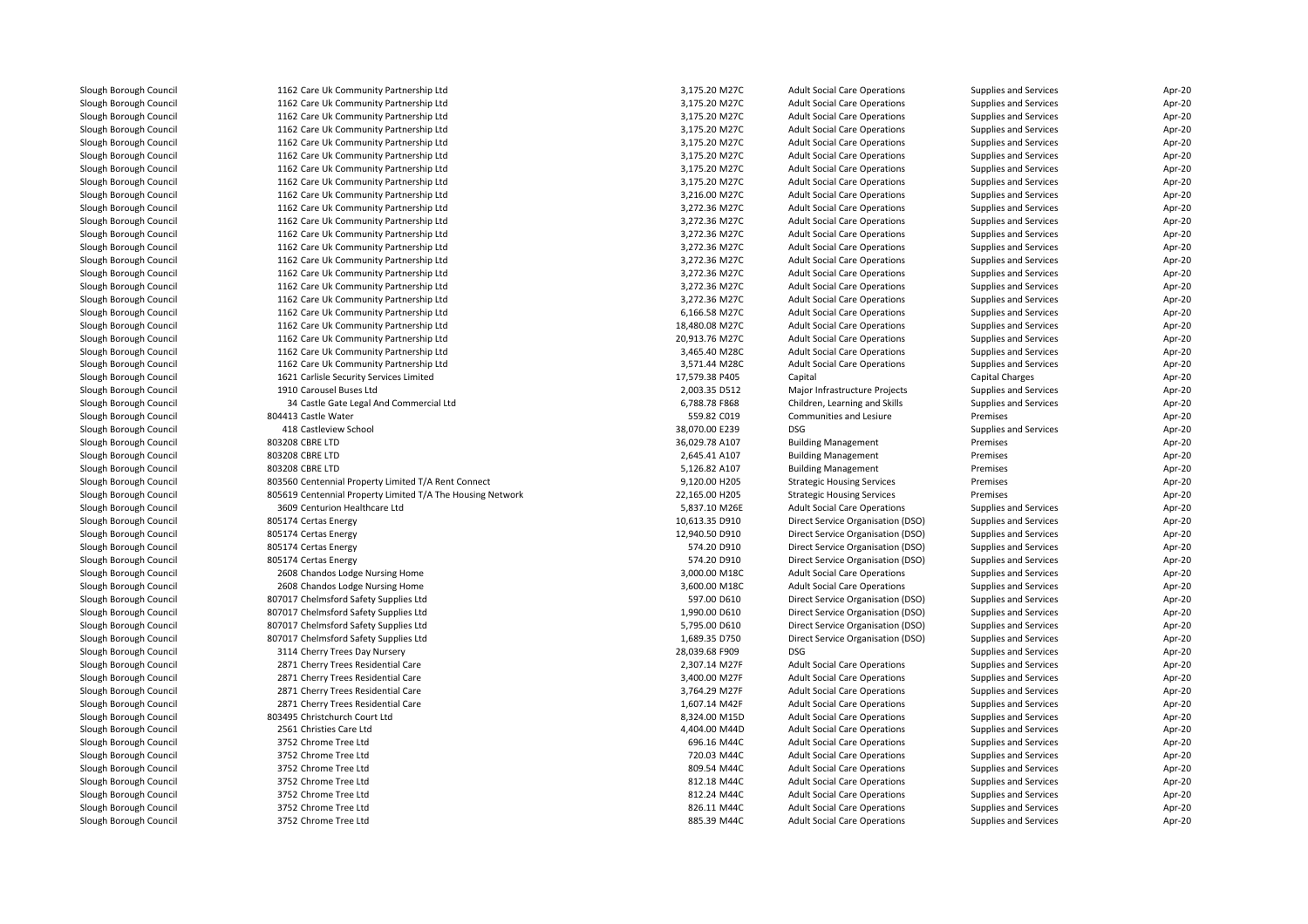| Slough Borough Council | 1162 Care Uk Community Partnership Ltd                     | 3,175.20 M27C  | <b>Adult Social Care Operations</b> | Supplies and Services        | Apr-20 |
|------------------------|------------------------------------------------------------|----------------|-------------------------------------|------------------------------|--------|
| Slough Borough Council | 1162 Care Uk Community Partnership Ltd                     | 3,175.20 M27C  | <b>Adult Social Care Operations</b> | Supplies and Services        | Apr-20 |
| Slough Borough Council | 1162 Care Uk Community Partnership Ltd                     | 3,175.20 M27C  | <b>Adult Social Care Operations</b> | Supplies and Services        | Apr-20 |
| Slough Borough Council | 1162 Care Uk Community Partnership Ltd                     | 3,175.20 M27C  | <b>Adult Social Care Operations</b> | Supplies and Services        | Apr-20 |
| Slough Borough Council | 1162 Care Uk Community Partnership Ltd                     | 3,175.20 M27C  | <b>Adult Social Care Operations</b> | Supplies and Services        | Apr-20 |
| Slough Borough Council | 1162 Care Uk Community Partnership Ltd                     | 3,175.20 M27C  | <b>Adult Social Care Operations</b> | Supplies and Services        | Apr-20 |
| Slough Borough Council | 1162 Care Uk Community Partnership Ltd                     | 3,175.20 M27C  | <b>Adult Social Care Operations</b> | Supplies and Services        | Apr-20 |
| Slough Borough Council | 1162 Care Uk Community Partnership Ltd                     | 3,175.20 M27C  | <b>Adult Social Care Operations</b> | Supplies and Services        | Apr-20 |
| Slough Borough Council | 1162 Care Uk Community Partnership Ltd                     | 3,216.00 M27C  | <b>Adult Social Care Operations</b> | Supplies and Services        | Apr-20 |
| Slough Borough Council | 1162 Care Uk Community Partnership Ltd                     | 3,272.36 M27C  | <b>Adult Social Care Operations</b> | Supplies and Services        | Apr-20 |
| Slough Borough Council | 1162 Care Uk Community Partnership Ltd                     | 3,272.36 M27C  | <b>Adult Social Care Operations</b> | Supplies and Services        | Apr-20 |
| Slough Borough Council | 1162 Care Uk Community Partnership Ltd                     | 3,272.36 M27C  | <b>Adult Social Care Operations</b> | Supplies and Services        | Apr-20 |
| Slough Borough Council | 1162 Care Uk Community Partnership Ltd                     | 3,272.36 M27C  | <b>Adult Social Care Operations</b> | Supplies and Services        | Apr-20 |
| Slough Borough Council | 1162 Care Uk Community Partnership Ltd                     | 3,272.36 M27C  | <b>Adult Social Care Operations</b> | Supplies and Services        | Apr-20 |
| Slough Borough Council | 1162 Care Uk Community Partnership Ltd                     | 3,272.36 M27C  | <b>Adult Social Care Operations</b> | Supplies and Services        | Apr-20 |
| Slough Borough Council | 1162 Care Uk Community Partnership Ltd                     | 3,272.36 M27C  | <b>Adult Social Care Operations</b> | Supplies and Services        | Apr-20 |
| Slough Borough Council | 1162 Care Uk Community Partnership Ltd                     | 3,272.36 M27C  | <b>Adult Social Care Operations</b> | Supplies and Services        | Apr-20 |
| Slough Borough Council | 1162 Care Uk Community Partnership Ltd                     | 6,166.58 M27C  | <b>Adult Social Care Operations</b> | Supplies and Services        | Apr-20 |
| Slough Borough Council | 1162 Care Uk Community Partnership Ltd                     | 18,480.08 M27C | <b>Adult Social Care Operations</b> | Supplies and Services        | Apr-20 |
| Slough Borough Council | 1162 Care Uk Community Partnership Ltd                     | 20,913.76 M27C | <b>Adult Social Care Operations</b> | Supplies and Services        | Apr-20 |
| Slough Borough Council | 1162 Care Uk Community Partnership Ltd                     | 3,465.40 M28C  | <b>Adult Social Care Operations</b> | Supplies and Services        | Apr-20 |
| Slough Borough Council | 1162 Care Uk Community Partnership Ltd                     | 3,571.44 M28C  | <b>Adult Social Care Operations</b> | Supplies and Services        | Apr-20 |
| Slough Borough Council | 1621 Carlisle Security Services Limited                    | 17,579.38 P405 | Capital                             | Capital Charges              | Apr-20 |
| Slough Borough Council | 1910 Carousel Buses Ltd                                    | 2,003.35 D512  | Major Infrastructure Projects       | Supplies and Services        | Apr-20 |
| Slough Borough Council | 34 Castle Gate Legal And Commercial Ltd                    | 6,788.78 F868  | Children, Learning and Skills       | Supplies and Services        | Apr-20 |
| Slough Borough Council | 804413 Castle Water                                        | 559.82 C019    | Communities and Lesiure             | Premises                     | Apr-20 |
| Slough Borough Council | 418 Castleview School                                      | 38,070.00 E239 | <b>DSG</b>                          | <b>Supplies and Services</b> | Apr-20 |
| Slough Borough Council | 803208 CBRE LTD                                            | 36,029.78 A107 | <b>Building Management</b>          | Premises                     | Apr-20 |
| Slough Borough Council | 803208 CBRE LTD                                            | 2,645.41 A107  | <b>Building Management</b>          | Premises                     | Apr-20 |
| Slough Borough Council | 803208 CBRE LTD                                            | 5,126.82 A107  | <b>Building Management</b>          | Premises                     | Apr-20 |
| Slough Borough Council | 803560 Centennial Property Limited T/A Rent Connect        | 9,120.00 H205  | <b>Strategic Housing Services</b>   | Premises                     | Apr-20 |
| Slough Borough Council | 805619 Centennial Property Limited T/A The Housing Network | 22,165.00 H205 | <b>Strategic Housing Services</b>   | Premises                     | Apr-20 |
| Slough Borough Council | 3609 Centurion Healthcare Ltd                              | 5,837.10 M26E  | <b>Adult Social Care Operations</b> | Supplies and Services        | Apr-20 |
| Slough Borough Council | 805174 Certas Energy                                       | 10,613.35 D910 | Direct Service Organisation (DSO)   | <b>Supplies and Services</b> | Apr-20 |
| Slough Borough Council | 805174 Certas Energy                                       | 12,940.50 D910 | Direct Service Organisation (DSO)   | Supplies and Services        | Apr-20 |
| Slough Borough Council | 805174 Certas Energy                                       | 574.20 D910    | Direct Service Organisation (DSO)   | Supplies and Services        | Apr-20 |
| Slough Borough Council | 805174 Certas Energy                                       | 574.20 D910    | Direct Service Organisation (DSO)   | Supplies and Services        | Apr-20 |
| Slough Borough Council | 2608 Chandos Lodge Nursing Home                            | 3,000.00 M18C  | <b>Adult Social Care Operations</b> | Supplies and Services        | Apr-20 |
| Slough Borough Council | 2608 Chandos Lodge Nursing Home                            | 3,600.00 M18C  | <b>Adult Social Care Operations</b> | Supplies and Services        | Apr-20 |
| Slough Borough Council | 807017 Chelmsford Safety Supplies Ltd                      | 597.00 D610    | Direct Service Organisation (DSO)   | Supplies and Services        | Apr-20 |
| Slough Borough Council | 807017 Chelmsford Safety Supplies Ltd                      | 1,990.00 D610  | Direct Service Organisation (DSO)   | Supplies and Services        | Apr-20 |
| Slough Borough Council | 807017 Chelmsford Safety Supplies Ltd                      | 5,795.00 D610  | Direct Service Organisation (DSO)   | Supplies and Services        | Apr-20 |
| Slough Borough Council | 807017 Chelmsford Safety Supplies Ltd                      | 1,689.35 D750  | Direct Service Organisation (DSO)   | Supplies and Services        | Apr-20 |
| Slough Borough Council | 3114 Cherry Trees Day Nursery                              | 28,039.68 F909 | DSG                                 | Supplies and Services        | Apr-20 |
| Slough Borough Council | 2871 Cherry Trees Residential Care                         | 2,307.14 M27F  | <b>Adult Social Care Operations</b> | Supplies and Services        | Apr-20 |
| Slough Borough Council | 2871 Cherry Trees Residential Care                         | 3,400.00 M27F  | <b>Adult Social Care Operations</b> | Supplies and Services        | Apr-20 |
| Slough Borough Council | 2871 Cherry Trees Residential Care                         | 3,764.29 M27F  | <b>Adult Social Care Operations</b> | Supplies and Services        | Apr-20 |
| Slough Borough Council | 2871 Cherry Trees Residential Care                         | 1,607.14 M42F  | <b>Adult Social Care Operations</b> | Supplies and Services        | Apr-20 |
| Slough Borough Council | 803495 Christchurch Court Ltd                              | 8,324.00 M15D  | <b>Adult Social Care Operations</b> | Supplies and Services        | Apr-20 |
| Slough Borough Council | 2561 Christies Care Ltd                                    | 4,404.00 M44D  | <b>Adult Social Care Operations</b> | Supplies and Services        | Apr-20 |
|                        |                                                            | 696.16 M44C    |                                     |                              |        |
| Slough Borough Council | 3752 Chrome Tree Ltd<br>3752 Chrome Tree Ltd               | 720.03 M44C    | <b>Adult Social Care Operations</b> | Supplies and Services        | Apr-20 |
| Slough Borough Council | 3752 Chrome Tree Ltd                                       | 809.54 M44C    | <b>Adult Social Care Operations</b> | Supplies and Services        | Apr-20 |
| Slough Borough Council |                                                            |                | <b>Adult Social Care Operations</b> | Supplies and Services        | Apr-20 |
| Slough Borough Council | 3752 Chrome Tree Ltd                                       | 812.18 M44C    | <b>Adult Social Care Operations</b> | Supplies and Services        | Apr-20 |
| Slough Borough Council | 3752 Chrome Tree Ltd                                       | 812.24 M44C    | <b>Adult Social Care Operations</b> | Supplies and Services        | Apr-20 |
| Slough Borough Council | 3752 Chrome Tree Ltd                                       | 826.11 M44C    | <b>Adult Social Care Operations</b> | Supplies and Services        | Apr-20 |
| Slough Borough Council | 3752 Chrome Tree Ltd                                       | 885.39 M44C    | <b>Adult Social Care Operations</b> | Supplies and Services        | Apr-20 |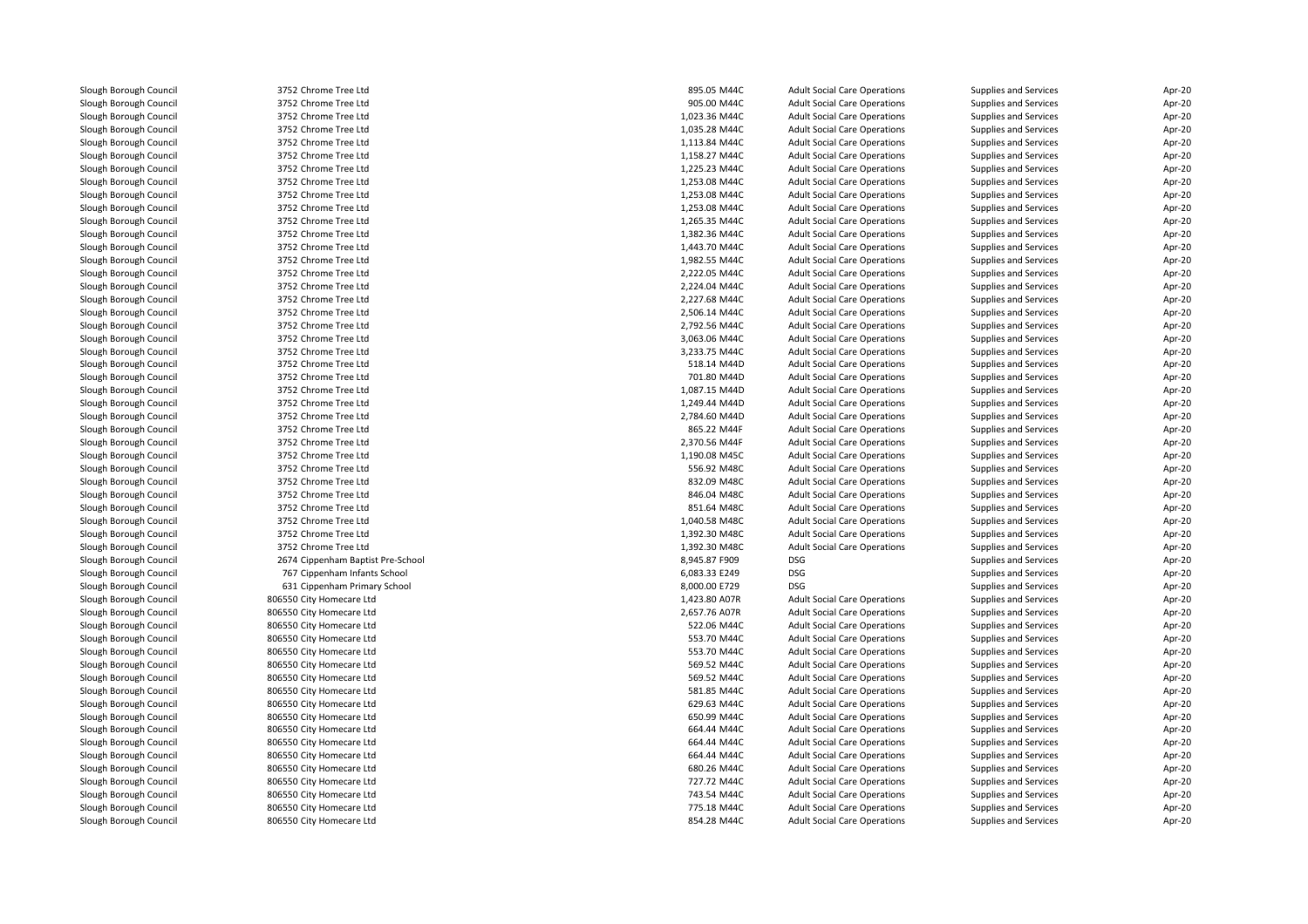Slough Borough Council 3752 Chrome Tree Ltd<br>
Slough Borough Council 3752 Chrome Tree Ltd Slough Borough Council <sup>3752</sup> Chrome Tree LtdSlough Borough Council and the Same Tree Ltd 3752 Chrome Tree Ltd 3000 Slough Borough Council 3752 Chrome Tree Ltd Slough Borough Council and the Same Tree Ltd Slough Borough Council and the Same Tree Ltd Slough Borough Council Slough Borough Council 3752 Chrome Tree Ltd<br>
Slough Borough Council 3752 Chrome Tree Ltd Slough Borough Council <sup>3752</sup> Chrome Tree LtdSlough Borough Council 3752 Chrome Tree Ltd<br>Slough Borough Council 3752 Chrome Tree Ltd Slough Borough Council <sup>3752</sup> Chrome Tree LtdSlough Borough Council and the Same Tree Ltd 3752 Chrome Tree Ltd 3000 Slough Borough Council 3752 Chrome Tree Ltd Slough Borough Council <sup>3752</sup> Chrome Tree LtdSlough Borough Council 3752 Chrome Tree Ltd<br>
Slough Borough Council 3752 Chrome Tree Ltd Slough Borough Council 3752 Chrome Tree Ltd<br>Slough Borough Council 3752 Chrome Tree Ltd Slough Borough Council <sup>3752</sup> Chrome Tree LtdSlough Borough Council and the Same Tree Ltd Slough Borough Council and the Same Tree Ltd Slough Borough Council Slough Borough Council 3752 Chrome Tree Ltd<br>
Slough Borough Council 3752 Chrome Tree Ltd Slough Borough Council 3752 Chrome Tree Ltd<br>
Slough Borough Council 3752 Chrome Tree Ltd Slough Borough Council 3752 Chrome Tree Ltd<br>Slough Borough Council 3752 Chrome Tree Ltd Slough Borough Council <sup>3752</sup> Chrome Tree LtdSlough Borough Council and the State of the Slough Borough Council 3752 Chrome Tree Ltd Slough Borough Council 3752 Chrome Tree Ltd<br>
Slough Borough Council 3752 Chrome Tree Ltd Slough Borough Council <sup>3752</sup> Chrome Tree LtdSlough Borough Council 3752 Chrome Tree Ltd<br>
Slough Borough Council 3752 Chrome Tree Ltd Slough Borough Council and the State of the Slough Borough Council 3752 Chrome Tree Ltd<br>3752 Chrome Tree Ltd Slough Borough Council and the Same Tree Ltd Slough Borough Council 3752 Chrome Tree Ltd Slough Borough Council 3752 Chrome Tree Ltd<br>
Slough Borough Council 3752 Chrome Tree Ltd Slough Borough Council <sup>3752</sup> Chrome Tree LtdSlough Borough Council <sup>3752</sup> Chrome Tree LtdSlough Borough Council and the Same Tree Ltd Slough Borough Council 3752 Chrome Tree Ltd Slough Borough Council and the Same Tree Ltd Slough Borough Council 3752 Chrome Tree Ltd Slough Borough Council 3752 Chrome Tree Ltd<br>
Slough Borough Council 3752 Chrome Tree Ltd Slough Borough Council <sup>3752</sup> Chrome Tree LtdSlough Borough Council and the State of the Slough Borough Council 3752 Chrome Tree Ltd Slough Borough Council and the Same Tree Ltd Slough Borough Council 3752 Chrome Tree Ltd Slough Borough Council and the Same Tree Ltd Slough Borough Council 3752 Chrome Tree Ltd Slough Borough Council<br>Slough Borough Council Slough Borough Council **806550 City Homecare Ltd**<br>806550 City Homecare Ltd Slough Borough Council **806550 City Homecare Ltd**<br>806550 City Homecare Ltd Slough Borough Council and Superinte and Sound Borough Council and Superinte Superinte Superinte Superinte Superinte Superinte Superinte Superinte Superinte Superinte Superinte Superinte Superinte Superinte Superinte Super Slough Borough Council and the Superson City Homecare Ltd<br>Slough Borough Council and the Superson City Homecare Ltd Slough Borough Council and the Superson City Homecare Ltd<br>Slough Borough Council and the Superson City Homecare Ltd Slough Borough Council and Suppose the Sound Borough Council and Sound Borough Sound Borough Council and Sound Borough Sound Borough Sound Borough Suppose the Sound Borough Suppose of Sound Borough Suppose the Sound Boroug Slough Borough Council<br>Slough Borough Council Slough Borough Council and the Superson City Homecare Ltd<br>Slough Borough Council and the Superson City Homecare Ltd Slough Borough Council and the Superson City Homecare Ltd<br>Slough Borough Council and the Superson City Homecare Ltd Slough Borough Council <sup>806550</sup> City Homecare LtdSlough Borough Council **806550 City Homecare Ltd**<br>806550 City Homecare Ltd Slough Borough Council <sup>806550</sup> City Homecare LtdSlough Borough Council and the Superson City Homecare Ltd<br>Slough Borough Council and the Superson City Homecare Ltd Slough Borough Council <sup>806550</sup> City Homecare LtdSlough Borough Council **806550 City Homecare Ltd**<br>806550 City Homecare Ltd

Slough Borough Council 3752 Chrome Tree Ltd<br>
Slough Borough Council 3752 Chrome Tree Ltd Slough Borough Council <sup>2674</sup> Cippenham Baptist Pre-School 8,945.87 F909 DSGSlough Borough Council <sup>767</sup> Cippenham Infants School 6,083.33 E249 DSGSlough Borough Council <sup>631</sup> Cippenham Primary School 8,000.00 E729 DSG806550 City Homecare Ltd<br>806550 City Homecare Ltd Slough Borough Council **806550 City Homecare Ltd**<br>806550 City Homecare Ltd 806550 City Homecare Ltd

| d               | 895.05 M44C   | <b>Adult Social Care Operations</b> | <b>Supplies and Services</b> | Apr-20           |
|-----------------|---------------|-------------------------------------|------------------------------|------------------|
| d               | 905.00 M44C   | <b>Adult Social Care Operations</b> | <b>Supplies and Services</b> | Apr-20           |
| d               | 1,023.36 M44C | <b>Adult Social Care Operations</b> | <b>Supplies and Services</b> | Apr-20           |
| d               | 1,035.28 M44C | <b>Adult Social Care Operations</b> | <b>Supplies and Services</b> | Apr-20           |
| d               | 1,113.84 M44C | <b>Adult Social Care Operations</b> | <b>Supplies and Services</b> | Apr-20           |
| d               | 1,158.27 M44C | <b>Adult Social Care Operations</b> | Supplies and Services        | Apr-20           |
| d               | 1,225.23 M44C | <b>Adult Social Care Operations</b> | <b>Supplies and Services</b> | Apr-20           |
| d               | 1,253.08 M44C | <b>Adult Social Care Operations</b> | <b>Supplies and Services</b> | Apr-20           |
| d               | 1,253.08 M44C | <b>Adult Social Care Operations</b> | <b>Supplies and Services</b> | Apr-20           |
| d               | 1,253.08 M44C | <b>Adult Social Care Operations</b> | <b>Supplies and Services</b> | Apr-20           |
| d               | 1,265.35 M44C | <b>Adult Social Care Operations</b> | <b>Supplies and Services</b> | Apr-20           |
| d               | 1,382.36 M44C | <b>Adult Social Care Operations</b> | <b>Supplies and Services</b> | Apr-20           |
| d               | 1,443.70 M44C | <b>Adult Social Care Operations</b> | <b>Supplies and Services</b> | Apr-20           |
| d               | 1,982.55 M44C | <b>Adult Social Care Operations</b> | <b>Supplies and Services</b> | Apr-20           |
| d               | 2,222.05 M44C | <b>Adult Social Care Operations</b> | <b>Supplies and Services</b> | Apr-20           |
| d               | 2,224.04 M44C | <b>Adult Social Care Operations</b> | <b>Supplies and Services</b> | Apr-20           |
| d               | 2,227.68 M44C | <b>Adult Social Care Operations</b> | <b>Supplies and Services</b> | Apr-20           |
| d               | 2,506.14 M44C | <b>Adult Social Care Operations</b> | <b>Supplies and Services</b> | Apr-20           |
| d               | 2,792.56 M44C | <b>Adult Social Care Operations</b> | <b>Supplies and Services</b> | Apr-20           |
| d               | 3,063.06 M44C | <b>Adult Social Care Operations</b> | <b>Supplies and Services</b> | Apr-20           |
| d               | 3,233.75 M44C | <b>Adult Social Care Operations</b> | <b>Supplies and Services</b> | Apr-20           |
| d               | 518.14 M44D   | <b>Adult Social Care Operations</b> | <b>Supplies and Services</b> | Apr-20           |
| d               | 701.80 M44D   | <b>Adult Social Care Operations</b> | <b>Supplies and Services</b> | Apr-20           |
| d               | 1,087.15 M44D | <b>Adult Social Care Operations</b> | <b>Supplies and Services</b> | Apr-20           |
| d               | 1,249.44 M44D | <b>Adult Social Care Operations</b> | <b>Supplies and Services</b> | Apr-20           |
| d               | 2,784.60 M44D | <b>Adult Social Care Operations</b> | <b>Supplies and Services</b> | Apr-20           |
| d               | 865.22 M44F   | <b>Adult Social Care Operations</b> | <b>Supplies and Services</b> | Apr-20           |
| d               | 2,370.56 M44F | <b>Adult Social Care Operations</b> | <b>Supplies and Services</b> | Apr-20           |
| d               | 1,190.08 M45C | <b>Adult Social Care Operations</b> | <b>Supplies and Services</b> | Apr-20           |
| d               | 556.92 M48C   | <b>Adult Social Care Operations</b> | <b>Supplies and Services</b> | Apr-20           |
| d               | 832.09 M48C   | <b>Adult Social Care Operations</b> | Supplies and Services        | Apr-20           |
| d               | 846.04 M48C   | <b>Adult Social Care Operations</b> | <b>Supplies and Services</b> | Apr-20           |
| d               | 851.64 M48C   | <b>Adult Social Care Operations</b> | <b>Supplies and Services</b> | Apr-20           |
|                 | 1,040.58 M48C | <b>Adult Social Care Operations</b> | <b>Supplies and Services</b> | Apr-20           |
| d               | 1,392.30 M48C | <b>Adult Social Care Operations</b> | <b>Supplies and Services</b> | Apr-20           |
|                 | 1,392.30 M48C | <b>Adult Social Care Operations</b> | Supplies and Services        | Apr-20           |
| tist Pre-School | 8,945.87 F909 | <b>DSG</b>                          | Supplies and Services        | Apr-20           |
| ınts School     | 6,083.33 E249 | <b>DSG</b>                          | Supplies and Services        | Apr-20           |
|                 |               | <b>DSG</b>                          |                              |                  |
| nary School     | 8,000.00 E729 |                                     | Supplies and Services        | Apr-20<br>Apr-20 |
| Ltd             | 1,423.80 A07R | <b>Adult Social Care Operations</b> | <b>Supplies and Services</b> |                  |
| Ltd             | 2,657.76 A07R | <b>Adult Social Care Operations</b> | <b>Supplies and Services</b> | Apr-20           |
| Ltd             | 522.06 M44C   | <b>Adult Social Care Operations</b> | <b>Supplies and Services</b> | Apr-20           |
| Ltd             | 553.70 M44C   | <b>Adult Social Care Operations</b> | <b>Supplies and Services</b> | Apr-20           |
| Ltd             | 553.70 M44C   | <b>Adult Social Care Operations</b> | <b>Supplies and Services</b> | Apr-20           |
| Ltd             | 569.52 M44C   | <b>Adult Social Care Operations</b> | <b>Supplies and Services</b> | Apr-20           |
| Ltd             | 569.52 M44C   | <b>Adult Social Care Operations</b> | <b>Supplies and Services</b> | Apr-20           |
| Ltd             | 581.85 M44C   | <b>Adult Social Care Operations</b> | <b>Supplies and Services</b> | Apr-20           |
| Ltd             | 629.63 M44C   | <b>Adult Social Care Operations</b> | <b>Supplies and Services</b> | Apr-20           |
| Ltd             | 650.99 M44C   | <b>Adult Social Care Operations</b> | <b>Supplies and Services</b> | Apr-20           |
| Ltd             | 664.44 M44C   | <b>Adult Social Care Operations</b> | <b>Supplies and Services</b> | Apr-20           |
| Ltd             | 664.44 M44C   | <b>Adult Social Care Operations</b> | <b>Supplies and Services</b> | Apr-20           |
| Ltd             | 664.44 M44C   | <b>Adult Social Care Operations</b> | <b>Supplies and Services</b> | Apr-20           |
| Ltd             | 680.26 M44C   | <b>Adult Social Care Operations</b> | <b>Supplies and Services</b> | Apr-20           |
| Ltd             | 727.72 M44C   | <b>Adult Social Care Operations</b> | <b>Supplies and Services</b> | Apr-20           |
| Ltd             | 743.54 M44C   | <b>Adult Social Care Operations</b> | <b>Supplies and Services</b> | Apr-20           |
| Ltd             | 775.18 M44C   | <b>Adult Social Care Operations</b> | <b>Supplies and Services</b> | Apr-20           |
| Ltd             | 854.28 M44C   | <b>Adult Social Care Operations</b> | <b>Supplies and Services</b> | Apr-20           |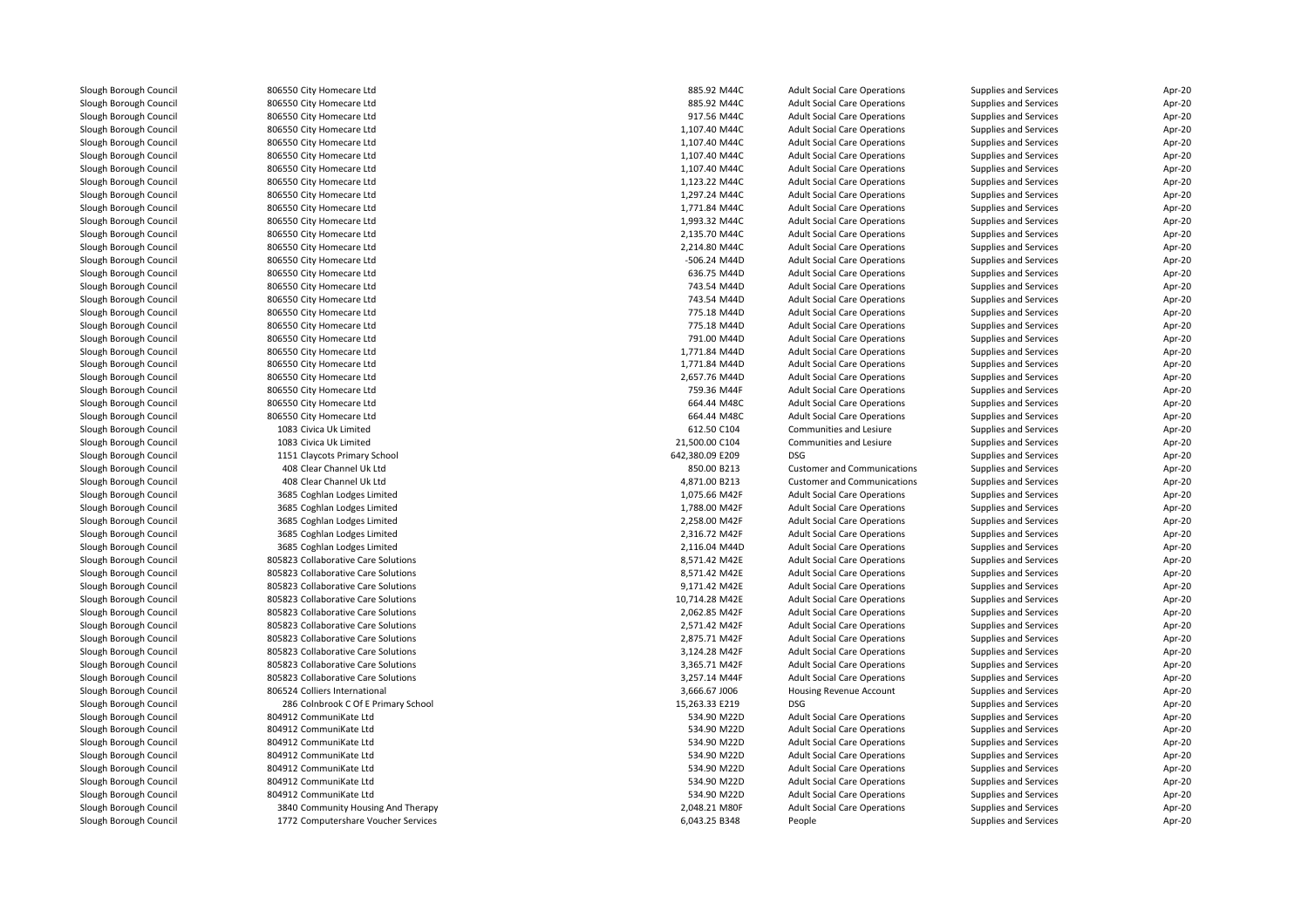| Slough Borough Council | 806550 City Homecare Ltd            | 885.92 M44C     | <b>Adult Social Care Operations</b> | Supplies and Services | Apr-20 |
|------------------------|-------------------------------------|-----------------|-------------------------------------|-----------------------|--------|
| Slough Borough Council | 806550 City Homecare Ltd            | 885.92 M44C     | <b>Adult Social Care Operations</b> | Supplies and Services | Apr-20 |
| Slough Borough Council | 806550 City Homecare Ltd            | 917.56 M44C     | <b>Adult Social Care Operations</b> | Supplies and Services | Apr-20 |
| Slough Borough Council | 806550 City Homecare Ltd            | 1,107.40 M44C   | <b>Adult Social Care Operations</b> | Supplies and Services | Apr-20 |
| Slough Borough Council | 806550 City Homecare Ltd            | 1,107.40 M44C   | <b>Adult Social Care Operations</b> | Supplies and Services | Apr-20 |
| Slough Borough Council | 806550 City Homecare Ltd            | 1,107.40 M44C   | <b>Adult Social Care Operations</b> | Supplies and Services | Apr-20 |
| Slough Borough Council | 806550 City Homecare Ltd            | 1,107.40 M44C   | <b>Adult Social Care Operations</b> | Supplies and Services | Apr-20 |
| Slough Borough Council | 806550 City Homecare Ltd            | 1,123.22 M44C   | <b>Adult Social Care Operations</b> | Supplies and Services | Apr-20 |
| Slough Borough Council | 806550 City Homecare Ltd            | 1,297.24 M44C   | <b>Adult Social Care Operations</b> | Supplies and Services | Apr-20 |
| Slough Borough Council | 806550 City Homecare Ltd            | 1.771.84 M44C   | <b>Adult Social Care Operations</b> | Supplies and Services | Apr-20 |
| Slough Borough Council | 806550 City Homecare Ltd            | 1,993.32 M44C   | <b>Adult Social Care Operations</b> | Supplies and Services | Apr-20 |
| Slough Borough Council | 806550 City Homecare Ltd            | 2,135.70 M44C   | <b>Adult Social Care Operations</b> | Supplies and Services | Apr-20 |
| Slough Borough Council | 806550 City Homecare Ltd            | 2,214.80 M44C   | <b>Adult Social Care Operations</b> | Supplies and Services | Apr-20 |
| Slough Borough Council | 806550 City Homecare Ltd            | -506.24 M44D    | <b>Adult Social Care Operations</b> | Supplies and Services | Apr-20 |
| Slough Borough Council | 806550 City Homecare Ltd            | 636.75 M44D     | <b>Adult Social Care Operations</b> | Supplies and Services | Apr-20 |
| Slough Borough Council | 806550 City Homecare Ltd            | 743.54 M44D     | <b>Adult Social Care Operations</b> | Supplies and Services | Apr-20 |
| Slough Borough Council | 806550 City Homecare Ltd            | 743.54 M44D     | <b>Adult Social Care Operations</b> | Supplies and Services | Apr-20 |
| Slough Borough Council | 806550 City Homecare Ltd            | 775.18 M44D     | <b>Adult Social Care Operations</b> | Supplies and Services | Apr-20 |
| Slough Borough Council | 806550 City Homecare Ltd            | 775.18 M44D     | <b>Adult Social Care Operations</b> | Supplies and Services | Apr-20 |
| Slough Borough Council | 806550 City Homecare Ltd            | 791.00 M44D     | <b>Adult Social Care Operations</b> | Supplies and Services | Apr-20 |
| Slough Borough Council | 806550 City Homecare Ltd            | 1,771.84 M44D   | <b>Adult Social Care Operations</b> | Supplies and Services | Apr-20 |
| Slough Borough Council |                                     |                 |                                     |                       |        |
|                        | 806550 City Homecare Ltd            | 1,771.84 M44D   | <b>Adult Social Care Operations</b> | Supplies and Services | Apr-20 |
| Slough Borough Council | 806550 City Homecare Ltd            | 2,657.76 M44D   | <b>Adult Social Care Operations</b> | Supplies and Services | Apr-20 |
| Slough Borough Council | 806550 City Homecare Ltd            | 759.36 M44F     | <b>Adult Social Care Operations</b> | Supplies and Services | Apr-20 |
| Slough Borough Council | 806550 City Homecare Ltd            | 664.44 M48C     | <b>Adult Social Care Operations</b> | Supplies and Services | Apr-20 |
| Slough Borough Council | 806550 City Homecare Ltd            | 664.44 M48C     | <b>Adult Social Care Operations</b> | Supplies and Services | Apr-20 |
| Slough Borough Council | 1083 Civica Uk Limited              | 612.50 C104     | Communities and Lesiure             | Supplies and Services | Apr-20 |
| Slough Borough Council | 1083 Civica Uk Limited              | 21,500.00 C104  | Communities and Lesiure             | Supplies and Services | Apr-20 |
| Slough Borough Council | 1151 Claycots Primary School        | 642,380.09 E209 | <b>DSG</b>                          | Supplies and Services | Apr-20 |
| Slough Borough Council | 408 Clear Channel Uk Ltd            | 850.00 B213     | <b>Customer and Communications</b>  | Supplies and Services | Apr-20 |
| Slough Borough Council | 408 Clear Channel Uk Ltd            | 4,871.00 B213   | <b>Customer and Communications</b>  | Supplies and Services | Apr-20 |
| Slough Borough Council | 3685 Coghlan Lodges Limited         | 1,075.66 M42F   | <b>Adult Social Care Operations</b> | Supplies and Services | Apr-20 |
| Slough Borough Council | 3685 Coghlan Lodges Limited         | 1,788.00 M42F   | <b>Adult Social Care Operations</b> | Supplies and Services | Apr-20 |
| Slough Borough Council | 3685 Coghlan Lodges Limited         | 2,258.00 M42F   | <b>Adult Social Care Operations</b> | Supplies and Services | Apr-20 |
| Slough Borough Council | 3685 Coghlan Lodges Limited         | 2,316.72 M42F   | <b>Adult Social Care Operations</b> | Supplies and Services | Apr-20 |
| Slough Borough Council | 3685 Coghlan Lodges Limited         | 2,116.04 M44D   | <b>Adult Social Care Operations</b> | Supplies and Services | Apr-20 |
| Slough Borough Council | 805823 Collaborative Care Solutions | 8,571.42 M42E   | <b>Adult Social Care Operations</b> | Supplies and Services | Apr-20 |
| Slough Borough Council | 805823 Collaborative Care Solutions | 8,571.42 M42E   | <b>Adult Social Care Operations</b> | Supplies and Services | Apr-20 |
| Slough Borough Council | 805823 Collaborative Care Solutions | 9,171.42 M42E   | <b>Adult Social Care Operations</b> | Supplies and Services | Apr-20 |
| Slough Borough Council | 805823 Collaborative Care Solutions | 10,714.28 M42E  | <b>Adult Social Care Operations</b> | Supplies and Services | Apr-20 |
| Slough Borough Council | 805823 Collaborative Care Solutions | 2,062.85 M42F   | <b>Adult Social Care Operations</b> | Supplies and Services | Apr-20 |
| Slough Borough Council | 805823 Collaborative Care Solutions | 2,571.42 M42F   | <b>Adult Social Care Operations</b> | Supplies and Services | Apr-20 |
| Slough Borough Council | 805823 Collaborative Care Solutions | 2,875.71 M42F   | <b>Adult Social Care Operations</b> | Supplies and Services | Apr-20 |
| Slough Borough Council | 805823 Collaborative Care Solutions | 3,124.28 M42F   | <b>Adult Social Care Operations</b> | Supplies and Services | Apr-20 |
| Slough Borough Council | 805823 Collaborative Care Solutions | 3,365.71 M42F   | <b>Adult Social Care Operations</b> | Supplies and Services | Apr-20 |
| Slough Borough Council | 805823 Collaborative Care Solutions | 3,257.14 M44F   | <b>Adult Social Care Operations</b> | Supplies and Services | Apr-20 |
| Slough Borough Council | 806524 Colliers International       | 3,666.67 J006   | Housing Revenue Account             | Supplies and Services | Apr-20 |
| Slough Borough Council | 286 Colnbrook C Of E Primary School | 15,263.33 E219  | <b>DSG</b>                          | Supplies and Services | Apr-20 |
| Slough Borough Council | 804912 CommuniKate Ltd              | 534.90 M22D     | <b>Adult Social Care Operations</b> | Supplies and Services | Apr-20 |
| Slough Borough Council | 804912 CommuniKate Ltd              | 534.90 M22D     | <b>Adult Social Care Operations</b> | Supplies and Services | Apr-20 |
| Slough Borough Council | 804912 CommuniKate Ltd              | 534.90 M22D     | <b>Adult Social Care Operations</b> | Supplies and Services | Apr-20 |
| Slough Borough Council | 804912 CommuniKate Ltd              | 534.90 M22D     | <b>Adult Social Care Operations</b> | Supplies and Services | Apr-20 |
| Slough Borough Council | 804912 CommuniKate Ltd              | 534.90 M22D     | <b>Adult Social Care Operations</b> | Supplies and Services | Apr-20 |
| Slough Borough Council | 804912 CommuniKate Ltd              | 534.90 M22D     | <b>Adult Social Care Operations</b> | Supplies and Services | Apr-20 |
| Slough Borough Council | 804912 CommuniKate Ltd              | 534.90 M22D     | <b>Adult Social Care Operations</b> | Supplies and Services | Apr-20 |
| Slough Borough Council | 3840 Community Housing And Therapy  | 2,048.21 M80F   | <b>Adult Social Care Operations</b> | Supplies and Services | Apr-20 |
| Slough Borough Council | 1772 Computershare Voucher Services | 6,043.25 B348   | People                              | Supplies and Services | Apr-20 |
|                        |                                     |                 |                                     |                       |        |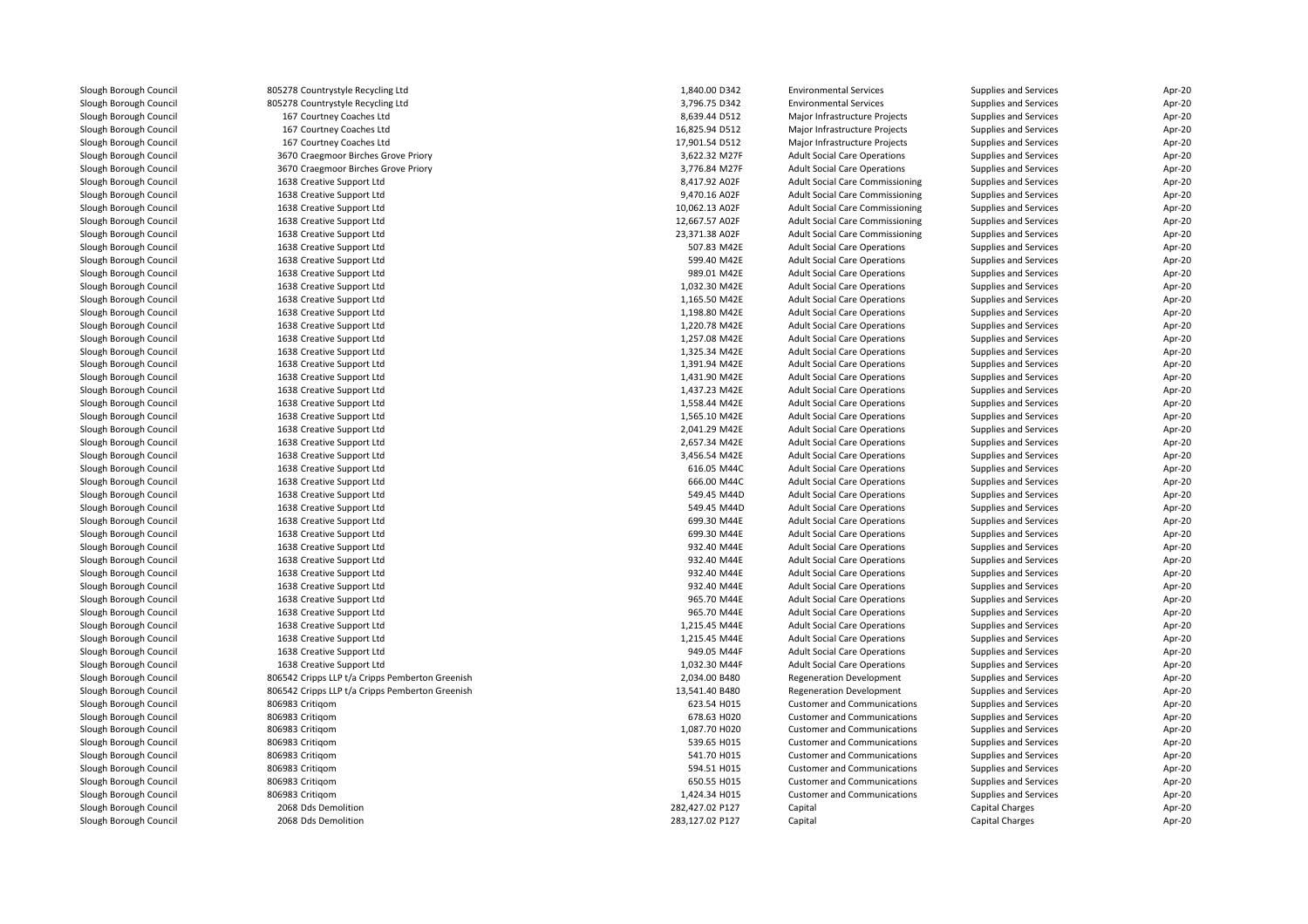| Slough Borough Council | 805278 Countrystyle Recycling Ltd               | 1,840.00 D342   | <b>Environmental Services</b>          | Supplies and Services | Apr-20 |
|------------------------|-------------------------------------------------|-----------------|----------------------------------------|-----------------------|--------|
| Slough Borough Council | 805278 Countrystyle Recycling Ltd               | 3,796.75 D342   | <b>Environmental Services</b>          | Supplies and Services | Apr-20 |
| Slough Borough Council | 167 Courtney Coaches Ltd                        | 8,639.44 D512   | Major Infrastructure Projects          | Supplies and Services | Apr-20 |
| Slough Borough Council | 167 Courtney Coaches Ltd                        | 16,825.94 D512  | Major Infrastructure Projects          | Supplies and Services | Apr-20 |
| Slough Borough Council | 167 Courtney Coaches Ltd                        | 17,901.54 D512  | Major Infrastructure Projects          | Supplies and Services | Apr-20 |
| Slough Borough Council | 3670 Craegmoor Birches Grove Priory             | 3,622.32 M27F   | <b>Adult Social Care Operations</b>    | Supplies and Services | Apr-20 |
| Slough Borough Council | 3670 Craegmoor Birches Grove Priory             | 3,776.84 M27F   | <b>Adult Social Care Operations</b>    | Supplies and Services | Apr-20 |
| Slough Borough Council | 1638 Creative Support Ltd                       | 8,417.92 A02F   | <b>Adult Social Care Commissioning</b> | Supplies and Services | Apr-20 |
| Slough Borough Council | 1638 Creative Support Ltd                       | 9,470.16 A02F   | <b>Adult Social Care Commissioning</b> | Supplies and Services | Apr-20 |
| Slough Borough Council | 1638 Creative Support Ltd                       | 10,062.13 A02F  | Adult Social Care Commissioning        | Supplies and Services | Apr-20 |
| Slough Borough Council | 1638 Creative Support Ltd                       | 12,667.57 A02F  | Adult Social Care Commissioning        | Supplies and Services | Apr-20 |
| Slough Borough Council | 1638 Creative Support Ltd                       | 23,371.38 A02F  | <b>Adult Social Care Commissioning</b> | Supplies and Services | Apr-20 |
| Slough Borough Council | 1638 Creative Support Ltd                       | 507.83 M42E     | <b>Adult Social Care Operations</b>    | Supplies and Services | Apr-20 |
| Slough Borough Council | 1638 Creative Support Ltd                       | 599.40 M42E     | <b>Adult Social Care Operations</b>    | Supplies and Services | Apr-20 |
| Slough Borough Council | 1638 Creative Support Ltd                       | 989.01 M42E     | <b>Adult Social Care Operations</b>    | Supplies and Services | Apr-20 |
| Slough Borough Council | 1638 Creative Support Ltd                       | 1,032.30 M42E   | <b>Adult Social Care Operations</b>    | Supplies and Services | Apr-20 |
| Slough Borough Council | 1638 Creative Support Ltd                       | 1,165.50 M42E   | <b>Adult Social Care Operations</b>    | Supplies and Services | Apr-20 |
| Slough Borough Council | 1638 Creative Support Ltd                       | 1,198.80 M42E   | <b>Adult Social Care Operations</b>    | Supplies and Services | Apr-20 |
| Slough Borough Council | 1638 Creative Support Ltd                       | 1,220.78 M42E   | <b>Adult Social Care Operations</b>    | Supplies and Services | Apr-20 |
| Slough Borough Council | 1638 Creative Support Ltd                       | 1,257.08 M42E   | <b>Adult Social Care Operations</b>    | Supplies and Services | Apr-20 |
| Slough Borough Council | 1638 Creative Support Ltd                       | 1,325.34 M42E   | <b>Adult Social Care Operations</b>    | Supplies and Services | Apr-20 |
|                        |                                                 |                 |                                        |                       |        |
| Slough Borough Council | 1638 Creative Support Ltd                       | 1,391.94 M42E   | <b>Adult Social Care Operations</b>    | Supplies and Services | Apr-20 |
| Slough Borough Council | 1638 Creative Support Ltd                       | 1,431.90 M42E   | <b>Adult Social Care Operations</b>    | Supplies and Services | Apr-20 |
| Slough Borough Council | 1638 Creative Support Ltd                       | 1,437.23 M42E   | <b>Adult Social Care Operations</b>    | Supplies and Services | Apr-20 |
| Slough Borough Council | 1638 Creative Support Ltd                       | 1,558.44 M42E   | <b>Adult Social Care Operations</b>    | Supplies and Services | Apr-20 |
| Slough Borough Council | 1638 Creative Support Ltd                       | 1,565.10 M42E   | <b>Adult Social Care Operations</b>    | Supplies and Services | Apr-20 |
| Slough Borough Council | 1638 Creative Support Ltd                       | 2,041.29 M42E   | <b>Adult Social Care Operations</b>    | Supplies and Services | Apr-20 |
| Slough Borough Council | 1638 Creative Support Ltd                       | 2,657.34 M42E   | <b>Adult Social Care Operations</b>    | Supplies and Services | Apr-20 |
| Slough Borough Council | 1638 Creative Support Ltd                       | 3,456.54 M42E   | <b>Adult Social Care Operations</b>    | Supplies and Services | Apr-20 |
| Slough Borough Council | 1638 Creative Support Ltd                       | 616.05 M44C     | <b>Adult Social Care Operations</b>    | Supplies and Services | Apr-20 |
| Slough Borough Council | 1638 Creative Support Ltd                       | 666.00 M44C     | <b>Adult Social Care Operations</b>    | Supplies and Services | Apr-20 |
| Slough Borough Council | 1638 Creative Support Ltd                       | 549.45 M44D     | <b>Adult Social Care Operations</b>    | Supplies and Services | Apr-20 |
| Slough Borough Council | 1638 Creative Support Ltd                       | 549.45 M44D     | <b>Adult Social Care Operations</b>    | Supplies and Services | Apr-20 |
| Slough Borough Council | 1638 Creative Support Ltd                       | 699.30 M44E     | <b>Adult Social Care Operations</b>    | Supplies and Services | Apr-20 |
| Slough Borough Council | 1638 Creative Support Ltd                       | 699.30 M44E     | <b>Adult Social Care Operations</b>    | Supplies and Services | Apr-20 |
| Slough Borough Council | 1638 Creative Support Ltd                       | 932.40 M44E     | <b>Adult Social Care Operations</b>    | Supplies and Services | Apr-20 |
| Slough Borough Council | 1638 Creative Support Ltd                       | 932.40 M44E     | <b>Adult Social Care Operations</b>    | Supplies and Services | Apr-20 |
| Slough Borough Council | 1638 Creative Support Ltd                       | 932.40 M44E     | <b>Adult Social Care Operations</b>    | Supplies and Services | Apr-20 |
| Slough Borough Council | 1638 Creative Support Ltd                       | 932.40 M44E     | <b>Adult Social Care Operations</b>    | Supplies and Services | Apr-20 |
| Slough Borough Council | 1638 Creative Support Ltd                       | 965.70 M44E     | <b>Adult Social Care Operations</b>    | Supplies and Services | Apr-20 |
| Slough Borough Council | 1638 Creative Support Ltd                       | 965.70 M44E     | <b>Adult Social Care Operations</b>    | Supplies and Services | Apr-20 |
| Slough Borough Council | 1638 Creative Support Ltd                       | 1,215.45 M44E   | <b>Adult Social Care Operations</b>    | Supplies and Services | Apr-20 |
| Slough Borough Council | 1638 Creative Support Ltd                       | 1,215.45 M44E   | <b>Adult Social Care Operations</b>    | Supplies and Services | Apr-20 |
| Slough Borough Council | 1638 Creative Support Ltd                       | 949.05 M44F     | <b>Adult Social Care Operations</b>    | Supplies and Services | Apr-20 |
| Slough Borough Council | 1638 Creative Support Ltd                       | 1,032.30 M44F   | <b>Adult Social Care Operations</b>    | Supplies and Services | Apr-20 |
| Slough Borough Council | 806542 Cripps LLP t/a Cripps Pemberton Greenish | 2,034.00 B480   | <b>Regeneration Development</b>        | Supplies and Services | Apr-20 |
| Slough Borough Council | 806542 Cripps LLP t/a Cripps Pemberton Greenish | 13,541.40 B480  | <b>Regeneration Development</b>        | Supplies and Services | Apr-20 |
| Slough Borough Council | 806983 Critigom                                 | 623.54 H015     | <b>Customer and Communications</b>     | Supplies and Services | Apr-20 |
| Slough Borough Council | 806983 Critigom                                 | 678.63 H020     | <b>Customer and Communications</b>     | Supplies and Services | Apr-20 |
| Slough Borough Council | 806983 Critigom                                 | 1,087.70 H020   | <b>Customer and Communications</b>     | Supplies and Services | Apr-20 |
| Slough Borough Council | 806983 Critigom                                 | 539.65 H015     | <b>Customer and Communications</b>     | Supplies and Services | Apr-20 |
| Slough Borough Council | 806983 Critigom                                 | 541.70 H015     | <b>Customer and Communications</b>     | Supplies and Services | Apr-20 |
| Slough Borough Council | 806983 Critigom                                 | 594.51 H015     | <b>Customer and Communications</b>     | Supplies and Services | Apr-20 |
| Slough Borough Council | 806983 Critigom                                 | 650.55 H015     | <b>Customer and Communications</b>     | Supplies and Services | Apr-20 |
| Slough Borough Council | 806983 Critigom                                 | 1,424.34 H015   | <b>Customer and Communications</b>     | Supplies and Services | Apr-20 |
| Slough Borough Council | 2068 Dds Demolition                             | 282,427.02 P127 | Capital                                | Capital Charges       | Apr-20 |
| Slough Borough Council | 2068 Dds Demolition                             | 283,127.02 P127 | Capital                                | Capital Charges       | Apr-20 |
|                        |                                                 |                 |                                        |                       |        |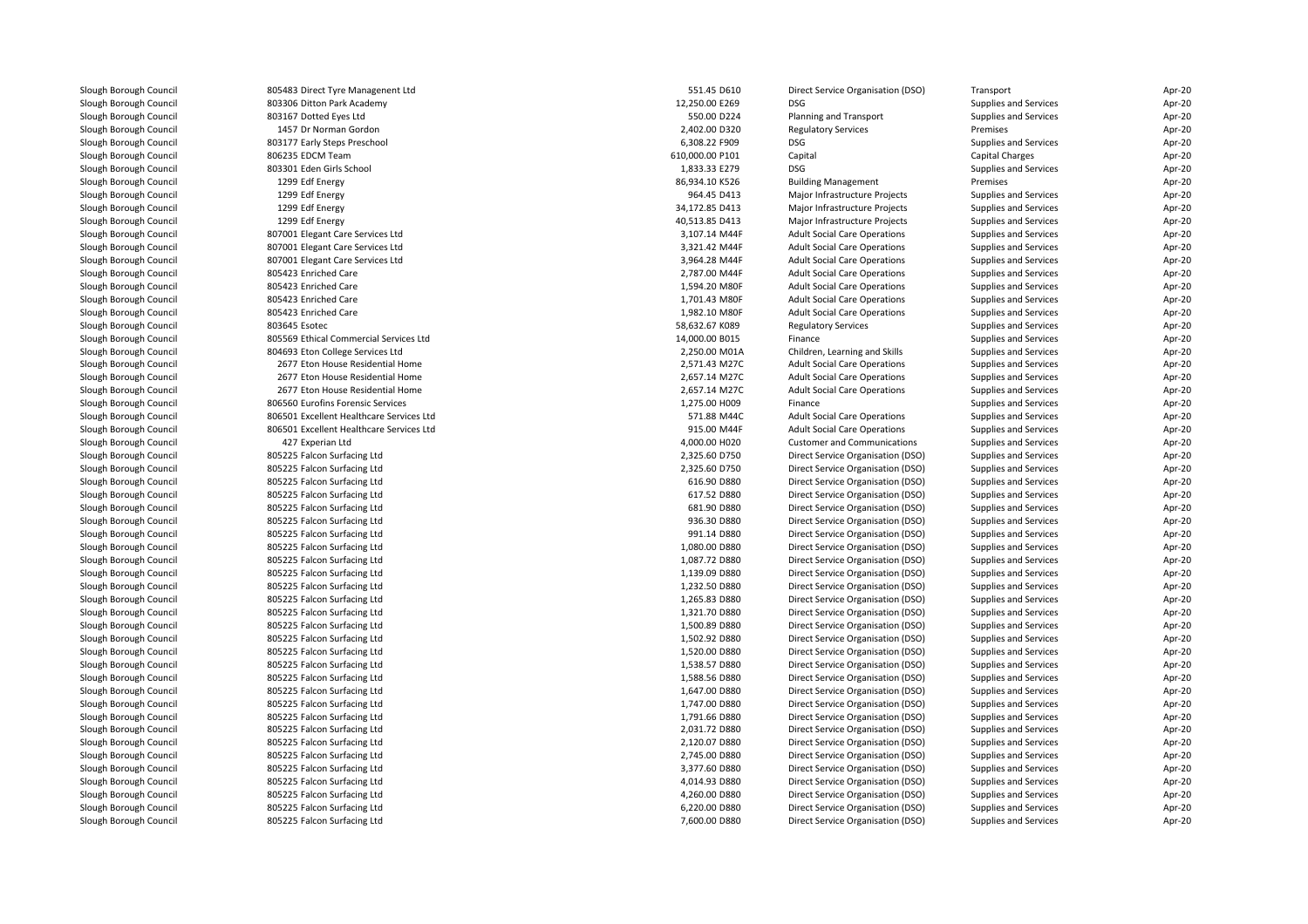| Slough Borough Council | 805483 Direct Tyre Managenent Ltd        | 551.45 D610     | Direct Service Organisation (DSO)   | Transport             | Apr-20 |
|------------------------|------------------------------------------|-----------------|-------------------------------------|-----------------------|--------|
| Slough Borough Council | 803306 Ditton Park Academy               | 12,250.00 E269  | <b>DSG</b>                          | Supplies and Services | Apr-20 |
| Slough Borough Council | 803167 Dotted Eyes Ltd                   | 550.00 D224     | Planning and Transport              | Supplies and Services | Apr-20 |
| Slough Borough Council | 1457 Dr Norman Gordon                    | 2,402.00 D320   | <b>Regulatory Services</b>          | Premises              | Apr-20 |
| Slough Borough Council | 803177 Early Steps Preschool             | 6,308.22 F909   | <b>DSG</b>                          | Supplies and Services | Apr-20 |
| Slough Borough Council | 806235 EDCM Team                         | 610,000.00 P101 | Capital                             | Capital Charges       | Apr-20 |
| Slough Borough Council | 803301 Eden Girls School                 | 1,833.33 E279   | <b>DSG</b>                          | Supplies and Services | Apr-20 |
| Slough Borough Council | 1299 Edf Energy                          | 86,934.10 K526  | <b>Building Management</b>          | Premises              | Apr-20 |
| Slough Borough Council | 1299 Edf Energy                          | 964.45 D413     | Major Infrastructure Projects       | Supplies and Services | Apr-20 |
| Slough Borough Council | 1299 Edf Energy                          | 34,172.85 D413  | Major Infrastructure Projects       | Supplies and Services | Apr-20 |
| Slough Borough Council | 1299 Edf Energy                          | 40,513.85 D413  | Major Infrastructure Projects       | Supplies and Services | Apr-20 |
| Slough Borough Council | 807001 Elegant Care Services Ltd         | 3,107.14 M44F   | <b>Adult Social Care Operations</b> | Supplies and Services | Apr-20 |
| Slough Borough Council | 807001 Elegant Care Services Ltd         | 3,321.42 M44F   | <b>Adult Social Care Operations</b> | Supplies and Services | Apr-20 |
| Slough Borough Council | 807001 Elegant Care Services Ltd         | 3,964.28 M44F   | <b>Adult Social Care Operations</b> | Supplies and Services | Apr-20 |
| Slough Borough Council | 805423 Enriched Care                     | 2,787.00 M44F   | <b>Adult Social Care Operations</b> | Supplies and Services | Apr-20 |
| Slough Borough Council | 805423 Enriched Care                     | 1,594.20 M80F   | <b>Adult Social Care Operations</b> | Supplies and Services | Apr-20 |
| Slough Borough Council | 805423 Enriched Care                     | 1,701.43 M80F   | <b>Adult Social Care Operations</b> | Supplies and Services | Apr-20 |
| Slough Borough Council | 805423 Enriched Care                     | 1,982.10 M80F   | <b>Adult Social Care Operations</b> | Supplies and Services | Apr-20 |
| Slough Borough Council | 803645 Esotec                            | 58.632.67 K089  | <b>Regulatory Services</b>          | Supplies and Services | Apr-20 |
| Slough Borough Council | 805569 Ethical Commercial Services Ltd   | 14,000.00 B015  | Finance                             | Supplies and Services | Apr-20 |
| Slough Borough Council | 804693 Eton College Services Ltd         | 2,250.00 M01A   | Children, Learning and Skills       | Supplies and Services | Apr-20 |
| Slough Borough Council | 2677 Eton House Residential Home         | 2,571.43 M27C   | <b>Adult Social Care Operations</b> | Supplies and Services | Apr-20 |
| Slough Borough Council | 2677 Eton House Residential Home         | 2,657.14 M27C   | <b>Adult Social Care Operations</b> | Supplies and Services | Apr-20 |
| Slough Borough Council | 2677 Eton House Residential Home         | 2,657.14 M27C   | <b>Adult Social Care Operations</b> | Supplies and Services | Apr-20 |
| Slough Borough Council | 806560 Eurofins Forensic Services        | 1,275.00 H009   | Finance                             | Supplies and Services | Apr-20 |
| Slough Borough Council | 806501 Excellent Healthcare Services Ltd | 571.88 M44C     | <b>Adult Social Care Operations</b> | Supplies and Services | Apr-20 |
| Slough Borough Council | 806501 Excellent Healthcare Services Ltd | 915.00 M44F     | <b>Adult Social Care Operations</b> | Supplies and Services | Apr-20 |
| Slough Borough Council | 427 Experian Ltd                         | 4,000.00 H020   | <b>Customer and Communications</b>  | Supplies and Services | Apr-20 |
| Slough Borough Council | 805225 Falcon Surfacing Ltd              | 2,325.60 D750   | Direct Service Organisation (DSO)   | Supplies and Services | Apr-20 |
| Slough Borough Council | 805225 Falcon Surfacing Ltd              | 2,325.60 D750   | Direct Service Organisation (DSO)   | Supplies and Services | Apr-20 |
| Slough Borough Council | 805225 Falcon Surfacing Ltd              | 616.90 D880     | Direct Service Organisation (DSO)   | Supplies and Services | Apr-20 |
| Slough Borough Council | 805225 Falcon Surfacing Ltd              | 617.52 D880     | Direct Service Organisation (DSO)   | Supplies and Services | Apr-20 |
| Slough Borough Council | 805225 Falcon Surfacing Ltd              | 681.90 D880     | Direct Service Organisation (DSO)   | Supplies and Services | Apr-20 |
| Slough Borough Council | 805225 Falcon Surfacing Ltd              | 936.30 D880     | Direct Service Organisation (DSO)   | Supplies and Services | Apr-20 |
| Slough Borough Council | 805225 Falcon Surfacing Ltd              | 991.14 D880     | Direct Service Organisation (DSO)   | Supplies and Services | Apr-20 |
| Slough Borough Council | 805225 Falcon Surfacing Ltd              | 1,080.00 D880   | Direct Service Organisation (DSO)   | Supplies and Services | Apr-20 |
| Slough Borough Council | 805225 Falcon Surfacing Ltd              | 1,087.72 D880   | Direct Service Organisation (DSO)   | Supplies and Services | Apr-20 |
| Slough Borough Council | 805225 Falcon Surfacing Ltd              | 1,139.09 D880   | Direct Service Organisation (DSO)   | Supplies and Services | Apr-20 |
| Slough Borough Council | 805225 Falcon Surfacing Ltd              | 1,232.50 D880   | Direct Service Organisation (DSO)   | Supplies and Services | Apr-20 |
| Slough Borough Council | 805225 Falcon Surfacing Ltd              | 1,265.83 D880   | Direct Service Organisation (DSO)   | Supplies and Services | Apr-20 |
| Slough Borough Council | 805225 Falcon Surfacing Ltd              | 1,321.70 D880   | Direct Service Organisation (DSO)   | Supplies and Services | Apr-20 |
| Slough Borough Council | 805225 Falcon Surfacing Ltd              | 1,500.89 D880   | Direct Service Organisation (DSO)   | Supplies and Services | Apr-20 |
| Slough Borough Council | 805225 Falcon Surfacing Ltd              | 1,502.92 D880   | Direct Service Organisation (DSO)   | Supplies and Services | Apr-20 |
| Slough Borough Council | 805225 Falcon Surfacing Ltd              | 1,520.00 D880   | Direct Service Organisation (DSO)   | Supplies and Services | Apr-20 |
| Slough Borough Council | 805225 Falcon Surfacing Ltd              | 1,538.57 D880   | Direct Service Organisation (DSO)   | Supplies and Services | Apr-20 |
| Slough Borough Council | 805225 Falcon Surfacing Ltd              | 1,588.56 D880   | Direct Service Organisation (DSO)   | Supplies and Services | Apr-20 |
| Slough Borough Council | 805225 Falcon Surfacing Ltd              | 1,647.00 D880   | Direct Service Organisation (DSO)   | Supplies and Services | Apr-20 |
| Slough Borough Council | 805225 Falcon Surfacing Ltd              | 1,747.00 D880   | Direct Service Organisation (DSO)   | Supplies and Services | Apr-20 |
| Slough Borough Council | 805225 Falcon Surfacing Ltd              | 1,791.66 D880   | Direct Service Organisation (DSO)   | Supplies and Services | Apr-20 |
| Slough Borough Council | 805225 Falcon Surfacing Ltd              | 2,031.72 D880   | Direct Service Organisation (DSO)   | Supplies and Services | Apr-20 |
| Slough Borough Council | 805225 Falcon Surfacing Ltd              | 2,120.07 D880   | Direct Service Organisation (DSO)   | Supplies and Services | Apr-20 |
| Slough Borough Council | 805225 Falcon Surfacing Ltd              | 2,745.00 D880   | Direct Service Organisation (DSO)   | Supplies and Services | Apr-20 |
| Slough Borough Council | 805225 Falcon Surfacing Ltd              | 3,377.60 D880   | Direct Service Organisation (DSO)   | Supplies and Services | Apr-20 |
| Slough Borough Council | 805225 Falcon Surfacing Ltd              | 4,014.93 D880   | Direct Service Organisation (DSO)   | Supplies and Services | Apr-20 |
| Slough Borough Council | 805225 Falcon Surfacing Ltd              | 4,260.00 D880   | Direct Service Organisation (DSO)   | Supplies and Services | Apr-20 |
| Slough Borough Council | 805225 Falcon Surfacing Ltd              | 6,220.00 D880   | Direct Service Organisation (DSO)   | Supplies and Services | Apr-20 |
| Slough Borough Council | 805225 Falcon Surfacing Ltd              | 7,600.00 D880   | Direct Service Organisation (DSO)   | Supplies and Services | Apr-20 |
|                        |                                          |                 |                                     |                       |        |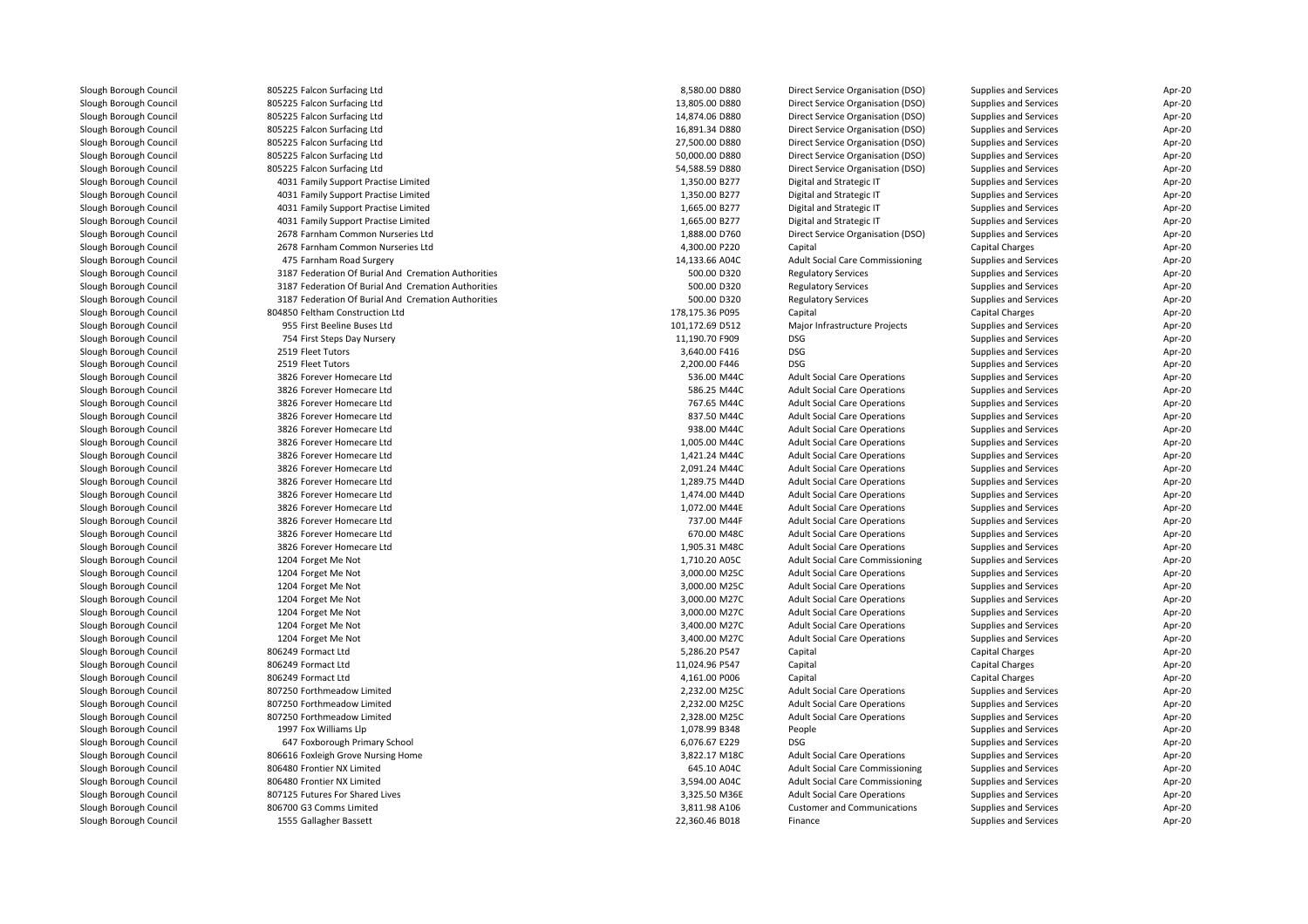| Slough Borough Council | 805225 Falcon Surfacing Ltd                         | 8,580.00 D880                   | Direct Service Organisation (DSO)      | Supplies and Services        | Apr-20           |
|------------------------|-----------------------------------------------------|---------------------------------|----------------------------------------|------------------------------|------------------|
| Slough Borough Council | 805225 Falcon Surfacing Ltd                         | 13,805.00 D880                  | Direct Service Organisation (DSO)      | Supplies and Services        | Apr-20           |
| Slough Borough Council | 805225 Falcon Surfacing Ltd                         | 14,874.06 D880                  | Direct Service Organisation (DSO)      | Supplies and Services        | Apr-20           |
| Slough Borough Council | 805225 Falcon Surfacing Ltd                         | 16,891.34 D880                  | Direct Service Organisation (DSO)      | Supplies and Services        | Apr-20           |
| Slough Borough Council | 805225 Falcon Surfacing Ltd                         | 27.500.00 D880                  | Direct Service Organisation (DSO)      | Supplies and Services        | Apr-20           |
| Slough Borough Council | 805225 Falcon Surfacing Ltd                         | 50,000.00 D880                  | Direct Service Organisation (DSO)      | Supplies and Services        | Apr-20           |
| Slough Borough Council | 805225 Falcon Surfacing Ltd                         | 54,588.59 D880                  | Direct Service Organisation (DSO)      | Supplies and Services        | Apr-20           |
| Slough Borough Council | 4031 Family Support Practise Limited                | 1,350.00 B277                   | Digital and Strategic IT               | Supplies and Services        | Apr-20           |
| Slough Borough Council | 4031 Family Support Practise Limited                | 1.350.00 B277                   | Digital and Strategic IT               | Supplies and Services        | Apr-20           |
| Slough Borough Council | 4031 Family Support Practise Limited                | 1,665.00 B277                   | Digital and Strategic IT               | Supplies and Services        | Apr-20           |
| Slough Borough Council | 4031 Family Support Practise Limited                | 1,665.00 B277                   | Digital and Strategic IT               | Supplies and Services        | Apr-20           |
| Slough Borough Council | 2678 Farnham Common Nurseries Ltd                   | 1,888.00 D760                   | Direct Service Organisation (DSO)      | Supplies and Services        | Apr-20           |
| Slough Borough Council | 2678 Farnham Common Nurseries Ltd                   | 4,300.00 P220                   | Capital                                | Capital Charges              | Apr-20           |
| Slough Borough Council | 475 Farnham Road Surgery                            | 14,133.66 A04C                  | Adult Social Care Commissioning        | Supplies and Services        | Apr-20           |
| Slough Borough Council | 3187 Federation Of Burial And Cremation Authorities | 500.00 D320                     | <b>Regulatory Services</b>             | Supplies and Services        | Apr-20           |
| Slough Borough Council | 3187 Federation Of Burial And Cremation Authorities | 500.00 D320                     | <b>Regulatory Services</b>             | Supplies and Services        | Apr-20           |
| Slough Borough Council | 3187 Federation Of Burial And Cremation Authorities | 500.00 D320                     |                                        |                              |                  |
|                        | 804850 Feltham Construction Ltd                     | 178,175.36 P095                 | <b>Regulatory Services</b>             | Supplies and Services        | Apr-20           |
| Slough Borough Council |                                                     |                                 | Capital                                | Capital Charges              | Apr-20           |
| Slough Borough Council | 955 First Beeline Buses Ltd                         | 101,172.69 D512                 | Major Infrastructure Projects          | Supplies and Services        | Apr-20           |
| Slough Borough Council | 754 First Steps Day Nursery                         | 11,190.70 F909                  | <b>DSG</b>                             | Supplies and Services        | Apr-20           |
| Slough Borough Council | 2519 Fleet Tutors                                   | 3,640.00 F416                   | <b>DSG</b>                             | Supplies and Services        | Apr-20           |
| Slough Borough Council | 2519 Fleet Tutors                                   | 2,200.00 F446                   | <b>DSG</b>                             | Supplies and Services        | Apr-20           |
| Slough Borough Council | 3826 Forever Homecare Ltd                           | 536.00 M44C                     | <b>Adult Social Care Operations</b>    | Supplies and Services        | Apr-20           |
| Slough Borough Council | 3826 Forever Homecare Ltd                           | 586.25 M44C                     | <b>Adult Social Care Operations</b>    | Supplies and Services        | Apr-20           |
| Slough Borough Council | 3826 Forever Homecare Ltd                           | 767.65 M44C                     | <b>Adult Social Care Operations</b>    | Supplies and Services        | Apr-20           |
| Slough Borough Council | 3826 Forever Homecare Ltd                           | 837.50 M44C                     | <b>Adult Social Care Operations</b>    | Supplies and Services        | Apr-20           |
| Slough Borough Council | 3826 Forever Homecare Ltd                           | 938.00 M44C                     | <b>Adult Social Care Operations</b>    | Supplies and Services        | Apr-20           |
| Slough Borough Council | 3826 Forever Homecare Ltd                           | 1,005.00 M44C                   | <b>Adult Social Care Operations</b>    | Supplies and Services        | Apr-20           |
| Slough Borough Council | 3826 Forever Homecare Ltd                           | 1,421.24 M44C                   | <b>Adult Social Care Operations</b>    | Supplies and Services        | Apr-20           |
| Slough Borough Council | 3826 Forever Homecare Ltd                           | 2,091.24 M44C                   | <b>Adult Social Care Operations</b>    | Supplies and Services        | Apr-20           |
| Slough Borough Council | 3826 Forever Homecare Ltd                           | 1,289.75 M44D                   | <b>Adult Social Care Operations</b>    | Supplies and Services        | Apr-20           |
| Slough Borough Council | 3826 Forever Homecare Ltd                           | 1,474.00 M44D                   | <b>Adult Social Care Operations</b>    | Supplies and Services        | Apr-20           |
| Slough Borough Council | 3826 Forever Homecare Ltd                           | 1,072.00 M44E                   | <b>Adult Social Care Operations</b>    | Supplies and Services        | Apr-20           |
| Slough Borough Council | 3826 Forever Homecare Ltd                           | 737.00 M44F                     | <b>Adult Social Care Operations</b>    | Supplies and Services        | Apr-20           |
| Slough Borough Council | 3826 Forever Homecare Ltd                           | 670.00 M48C                     | <b>Adult Social Care Operations</b>    | Supplies and Services        | Apr-20           |
| Slough Borough Council | 3826 Forever Homecare Ltd                           | 1,905.31 M48C                   | <b>Adult Social Care Operations</b>    | Supplies and Services        | Apr-20           |
| Slough Borough Council | 1204 Forget Me Not                                  | 1,710.20 A05C                   | <b>Adult Social Care Commissioning</b> | Supplies and Services        | Apr-20           |
| Slough Borough Council | 1204 Forget Me Not                                  | 3,000.00 M25C                   | <b>Adult Social Care Operations</b>    | Supplies and Services        | Apr-20           |
| Slough Borough Council | 1204 Forget Me Not                                  | 3,000.00 M25C                   | <b>Adult Social Care Operations</b>    | <b>Supplies and Services</b> | Apr-20           |
| Slough Borough Council | 1204 Forget Me Not                                  | 3,000.00 M27C                   | <b>Adult Social Care Operations</b>    | Supplies and Services        | Apr-20           |
| Slough Borough Council | 1204 Forget Me Not                                  | 3,000.00 M27C                   | <b>Adult Social Care Operations</b>    | Supplies and Services        | Apr-20           |
| Slough Borough Council | 1204 Forget Me Not                                  | 3,400.00 M27C                   | <b>Adult Social Care Operations</b>    | Supplies and Services        | Apr-20           |
| Slough Borough Council | 1204 Forget Me Not                                  | 3,400.00 M27C                   | <b>Adult Social Care Operations</b>    | Supplies and Services        | Apr-20           |
| Slough Borough Council | 806249 Formact Ltd                                  | 5,286.20 P547                   | Capital                                | Capital Charges              | Apr-20           |
| Slough Borough Council | 806249 Formact Ltd                                  | 11,024.96 P547                  | Capital                                | Capital Charges              | Apr-20           |
| Slough Borough Council | 806249 Formact Ltd                                  | 4,161.00 P006                   | Capital                                | Capital Charges              | Apr-20           |
| Slough Borough Council | 807250 Forthmeadow Limited                          | 2,232.00 M25C                   | <b>Adult Social Care Operations</b>    | Supplies and Services        | Apr-20           |
| Slough Borough Council | 807250 Forthmeadow Limited                          | 2,232.00 M25C                   | <b>Adult Social Care Operations</b>    | Supplies and Services        | Apr-20           |
| Slough Borough Council | 807250 Forthmeadow Limited                          | 2,328.00 M25C                   | <b>Adult Social Care Operations</b>    | Supplies and Services        | Apr-20           |
| Slough Borough Council | 1997 Fox Williams Llp                               | 1,078.99 B348                   | People                                 | Supplies and Services        | Apr-20           |
| Slough Borough Council | 647 Foxborough Primary School                       | 6,076.67 E229                   | <b>DSG</b>                             | Supplies and Services        | Apr-20           |
| Slough Borough Council | 806616 Foxleigh Grove Nursing Home                  | 3,822.17 M18C                   | <b>Adult Social Care Operations</b>    | Supplies and Services        | Apr-20           |
| Slough Borough Council | 806480 Frontier NX Limited                          | 645.10 A04C                     | Adult Social Care Commissioning        | Supplies and Services        | Apr-20           |
| Slough Borough Council | 806480 Frontier NX Limited                          | 3,594.00 A04C                   | <b>Adult Social Care Commissioning</b> | Supplies and Services        | Apr-20           |
| Slough Borough Council | 807125 Futures For Shared Lives                     | 3,325.50 M36E                   | <b>Adult Social Care Operations</b>    | Supplies and Services        | Apr-20           |
| Slough Borough Council |                                                     |                                 |                                        |                              |                  |
|                        | 806700 G3 Comms Limited                             | 3,811.98 A106<br>22,360.46 B018 | <b>Customer and Communications</b>     | Supplies and Services        | Apr-20<br>Apr-20 |
| Slough Borough Council | 1555 Gallagher Bassett                              |                                 | Finance                                | Supplies and Services        |                  |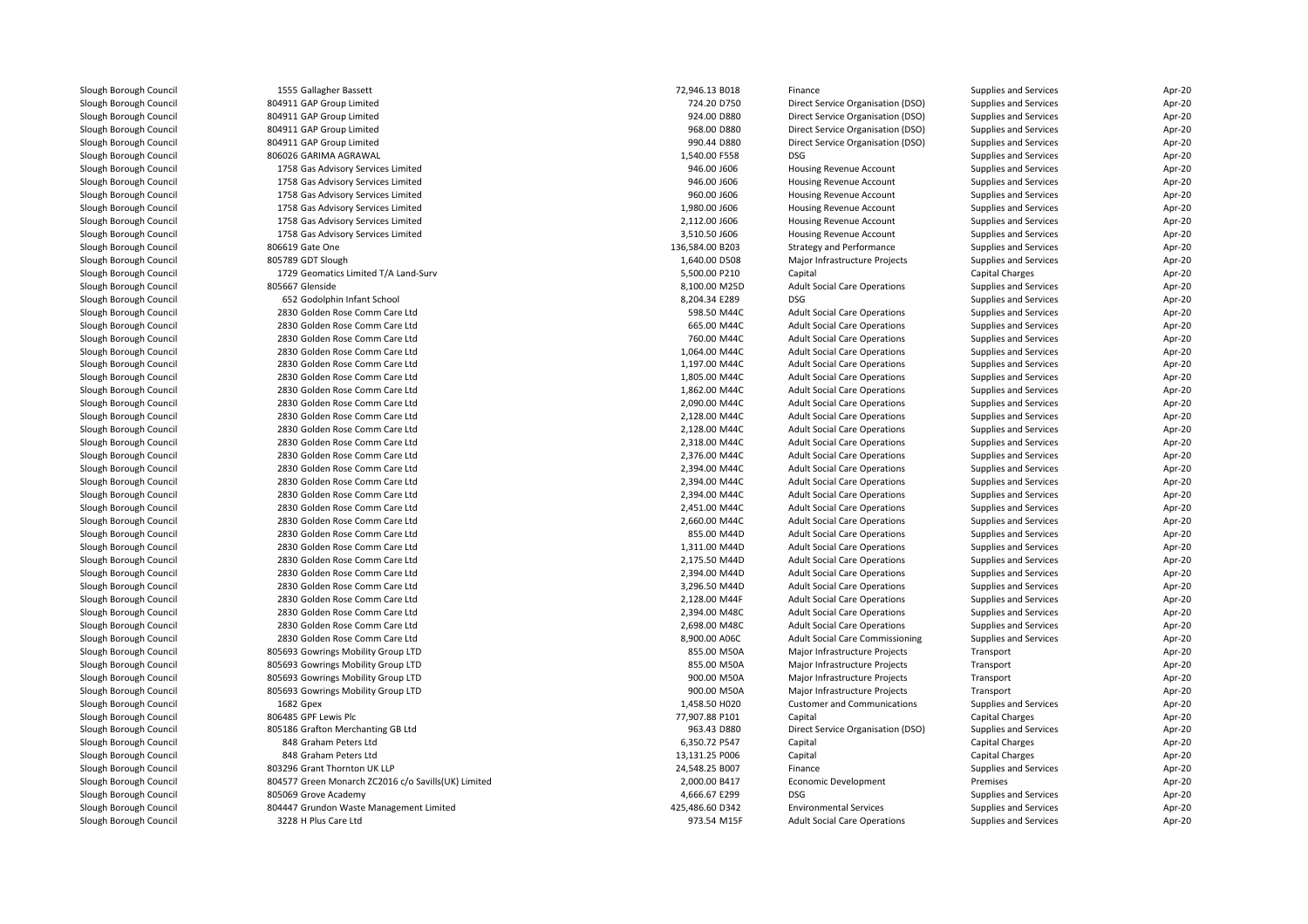| Slough Borough Council | 1555 Gallagher Bassett                              | 72,946.13 B018  | Finance                                | Supplies and Services        | Apr-20 |
|------------------------|-----------------------------------------------------|-----------------|----------------------------------------|------------------------------|--------|
| Slough Borough Council | 804911 GAP Group Limited                            | 724.20 D750     | Direct Service Organisation (DSO)      | Supplies and Services        | Apr-20 |
| Slough Borough Council | 804911 GAP Group Limited                            | 924.00 D880     | Direct Service Organisation (DSO)      | Supplies and Services        | Apr-20 |
| Slough Borough Council | 804911 GAP Group Limited                            | 968.00 D880     | Direct Service Organisation (DSO)      | Supplies and Services        | Apr-20 |
| Slough Borough Council | 804911 GAP Group Limited                            | 990.44 D880     | Direct Service Organisation (DSO)      | Supplies and Services        | Apr-20 |
| Slough Borough Council | 806026 GARIMA AGRAWAL                               | 1,540.00 F558   | <b>DSG</b>                             | Supplies and Services        | Apr-20 |
| Slough Borough Council | 1758 Gas Advisory Services Limited                  | 946.00 J606     | Housing Revenue Account                | Supplies and Services        | Apr-20 |
| Slough Borough Council | 1758 Gas Advisory Services Limited                  | 946.00 J606     | Housing Revenue Account                | Supplies and Services        | Apr-20 |
| Slough Borough Council | 1758 Gas Advisory Services Limited                  | 960.00 J606     | Housing Revenue Account                | Supplies and Services        | Apr-20 |
| Slough Borough Council | 1758 Gas Advisory Services Limited                  | 1,980.00 J606   | Housing Revenue Account                | Supplies and Services        | Apr-20 |
| Slough Borough Council | 1758 Gas Advisory Services Limited                  | 2,112.00 J606   | Housing Revenue Account                | Supplies and Services        | Apr-20 |
| Slough Borough Council | 1758 Gas Advisory Services Limited                  | 3,510.50 J606   | Housing Revenue Account                | Supplies and Services        | Apr-20 |
| Slough Borough Council | 806619 Gate One                                     | 136,584.00 B203 | <b>Strategy and Performance</b>        | Supplies and Services        | Apr-20 |
| Slough Borough Council | 805789 GDT Slough                                   | 1,640.00 D508   | Major Infrastructure Projects          | Supplies and Services        | Apr-20 |
| Slough Borough Council | 1729 Geomatics Limited T/A Land-Surv                | 5,500.00 P210   | Capital                                | Capital Charges              | Apr-20 |
| Slough Borough Council | 805667 Glenside                                     | 8,100.00 M25D   | <b>Adult Social Care Operations</b>    | Supplies and Services        | Apr-20 |
| Slough Borough Council | 652 Godolphin Infant School                         | 8,204.34 E289   | <b>DSG</b>                             | Supplies and Services        | Apr-20 |
| Slough Borough Council | 2830 Golden Rose Comm Care Ltd                      | 598.50 M44C     | <b>Adult Social Care Operations</b>    | Supplies and Services        | Apr-20 |
| Slough Borough Council | 2830 Golden Rose Comm Care Ltd                      | 665.00 M44C     | <b>Adult Social Care Operations</b>    | Supplies and Services        | Apr-20 |
| Slough Borough Council | 2830 Golden Rose Comm Care Ltd                      | 760.00 M44C     | <b>Adult Social Care Operations</b>    | Supplies and Services        | Apr-20 |
| Slough Borough Council | 2830 Golden Rose Comm Care Ltd                      | 1,064.00 M44C   | <b>Adult Social Care Operations</b>    | Supplies and Services        | Apr-20 |
| Slough Borough Council | 2830 Golden Rose Comm Care Ltd                      | 1,197.00 M44C   | <b>Adult Social Care Operations</b>    | Supplies and Services        | Apr-20 |
| Slough Borough Council | 2830 Golden Rose Comm Care Ltd                      | 1,805.00 M44C   | <b>Adult Social Care Operations</b>    | Supplies and Services        | Apr-20 |
| Slough Borough Council | 2830 Golden Rose Comm Care Ltd                      | 1,862.00 M44C   | <b>Adult Social Care Operations</b>    | Supplies and Services        | Apr-20 |
| Slough Borough Council | 2830 Golden Rose Comm Care Ltd                      | 2,090.00 M44C   | <b>Adult Social Care Operations</b>    | Supplies and Services        | Apr-20 |
| Slough Borough Council | 2830 Golden Rose Comm Care Ltd                      | 2,128.00 M44C   | <b>Adult Social Care Operations</b>    | Supplies and Services        | Apr-20 |
| Slough Borough Council | 2830 Golden Rose Comm Care Ltd                      | 2,128.00 M44C   | <b>Adult Social Care Operations</b>    | Supplies and Services        | Apr-20 |
| Slough Borough Council | 2830 Golden Rose Comm Care Ltd                      | 2,318.00 M44C   | <b>Adult Social Care Operations</b>    | Supplies and Services        | Apr-20 |
| Slough Borough Council | 2830 Golden Rose Comm Care Ltd                      | 2,376.00 M44C   | <b>Adult Social Care Operations</b>    | Supplies and Services        | Apr-20 |
| Slough Borough Council | 2830 Golden Rose Comm Care Ltd                      | 2,394.00 M44C   | <b>Adult Social Care Operations</b>    | Supplies and Services        | Apr-20 |
| Slough Borough Council | 2830 Golden Rose Comm Care Ltd                      | 2,394.00 M44C   | <b>Adult Social Care Operations</b>    | Supplies and Services        | Apr-20 |
| Slough Borough Council | 2830 Golden Rose Comm Care Ltd                      | 2,394.00 M44C   | <b>Adult Social Care Operations</b>    | Supplies and Services        | Apr-20 |
| Slough Borough Council | 2830 Golden Rose Comm Care Ltd                      | 2,451.00 M44C   | <b>Adult Social Care Operations</b>    | Supplies and Services        | Apr-20 |
| Slough Borough Council | 2830 Golden Rose Comm Care Ltd                      | 2,660.00 M44C   | <b>Adult Social Care Operations</b>    | Supplies and Services        | Apr-20 |
| Slough Borough Council | 2830 Golden Rose Comm Care Ltd                      | 855.00 M44D     | <b>Adult Social Care Operations</b>    | Supplies and Services        | Apr-20 |
| Slough Borough Council | 2830 Golden Rose Comm Care Ltd                      | 1,311.00 M44D   | <b>Adult Social Care Operations</b>    | Supplies and Services        | Apr-20 |
| Slough Borough Council | 2830 Golden Rose Comm Care Ltd                      | 2,175.50 M44D   | <b>Adult Social Care Operations</b>    | Supplies and Services        | Apr-20 |
| Slough Borough Council | 2830 Golden Rose Comm Care Ltd                      | 2,394.00 M44D   | <b>Adult Social Care Operations</b>    | Supplies and Services        | Apr-20 |
| Slough Borough Council | 2830 Golden Rose Comm Care Ltd                      | 3,296.50 M44D   | <b>Adult Social Care Operations</b>    | <b>Supplies and Services</b> | Apr-20 |
| Slough Borough Council | 2830 Golden Rose Comm Care Ltd                      | 2,128.00 M44F   | <b>Adult Social Care Operations</b>    | Supplies and Services        | Apr-20 |
| Slough Borough Council | 2830 Golden Rose Comm Care Ltd                      | 2,394.00 M48C   | <b>Adult Social Care Operations</b>    | Supplies and Services        | Apr-20 |
| Slough Borough Council | 2830 Golden Rose Comm Care Ltd                      | 2,698.00 M48C   | <b>Adult Social Care Operations</b>    | Supplies and Services        | Apr-20 |
| Slough Borough Council | 2830 Golden Rose Comm Care Ltd                      | 8,900.00 A06C   | <b>Adult Social Care Commissioning</b> | Supplies and Services        | Apr-20 |
| Slough Borough Council | 805693 Gowrings Mobility Group LTD                  | 855.00 M50A     | Major Infrastructure Projects          | Transport                    | Apr-20 |
| Slough Borough Council | 805693 Gowrings Mobility Group LTD                  | 855.00 M50A     | Major Infrastructure Projects          | Transport                    | Apr-20 |
| Slough Borough Council | 805693 Gowrings Mobility Group LTD                  | 900.00 M50A     | Major Infrastructure Projects          | Transport                    | Apr-20 |
| Slough Borough Council | 805693 Gowrings Mobility Group LTD                  | 900.00 M50A     | Major Infrastructure Projects          | Transport                    | Apr-20 |
| Slough Borough Council | 1682 Gpex                                           | 1,458.50 H020   | <b>Customer and Communications</b>     | Supplies and Services        | Apr-20 |
| Slough Borough Council | 806485 GPF Lewis Plc                                | 77,907.88 P101  | Capital                                | Capital Charges              | Apr-20 |
| Slough Borough Council | 805186 Grafton Merchanting GB Ltd                   | 963.43 D880     | Direct Service Organisation (DSO)      | Supplies and Services        | Apr-20 |
| Slough Borough Council | 848 Graham Peters Ltd                               | 6,350.72 P547   | Capital                                | Capital Charges              | Apr-20 |
| Slough Borough Council | 848 Graham Peters Ltd                               | 13,131.25 P006  | Capital                                | Capital Charges              | Apr-20 |
| Slough Borough Council | 803296 Grant Thornton UK LLP                        | 24,548.25 B007  | Finance                                | Supplies and Services        | Apr-20 |
| Slough Borough Council | 804577 Green Monarch ZC2016 c/o Savills(UK) Limited | 2,000.00 B417   | <b>Economic Development</b>            | Premises                     | Apr-20 |
| Slough Borough Council | 805069 Grove Academy                                | 4,666.67 E299   | <b>DSG</b>                             | <b>Supplies and Services</b> | Apr-20 |
| Slough Borough Council | 804447 Grundon Waste Management Limited             | 425,486.60 D342 | <b>Environmental Services</b>          | Supplies and Services        | Apr-20 |
| Slough Borough Council | 3228 H Plus Care Ltd                                | 973.54 M15F     | <b>Adult Social Care Operations</b>    | <b>Supplies and Services</b> | Apr-20 |
|                        |                                                     |                 |                                        |                              |        |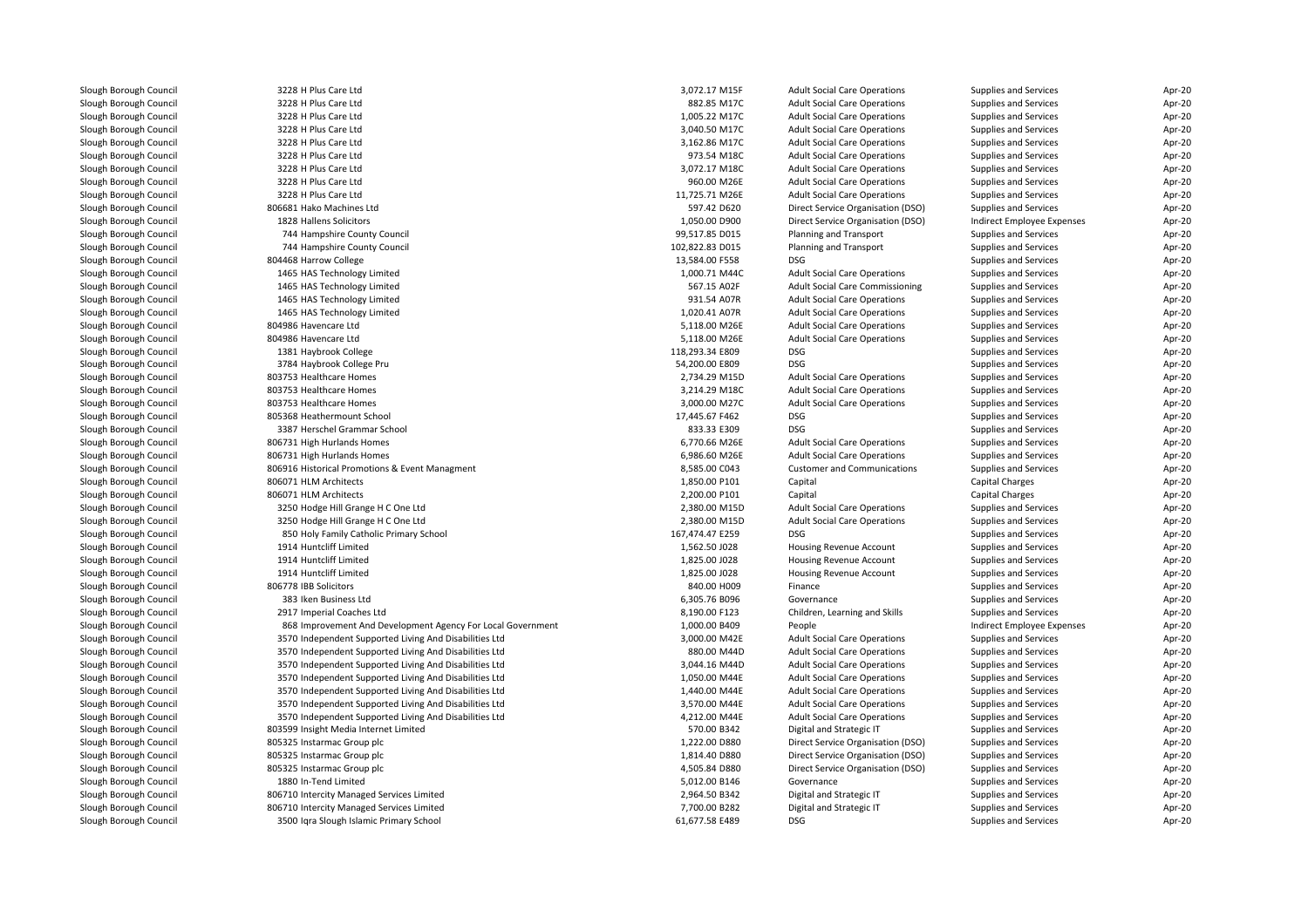| Slough Borough Council                           | 3228 H Plus Care Ltd                                                                                                  | 3,072.17 M15F                  | <b>Adult Social Care Operations</b>           | Supplies and Services                               | Apr-20           |
|--------------------------------------------------|-----------------------------------------------------------------------------------------------------------------------|--------------------------------|-----------------------------------------------|-----------------------------------------------------|------------------|
| Slough Borough Council                           | 3228 H Plus Care Ltd                                                                                                  | 882.85 M17C                    | <b>Adult Social Care Operations</b>           | <b>Supplies and Services</b>                        | Apr-20           |
| Slough Borough Council                           | 3228 H Plus Care Ltd                                                                                                  | 1,005.22 M17C                  | <b>Adult Social Care Operations</b>           | Supplies and Services                               | Apr-20           |
| Slough Borough Council                           | 3228 H Plus Care Ltd                                                                                                  | 3,040.50 M17C                  | <b>Adult Social Care Operations</b>           | Supplies and Services                               | Apr-20           |
| Slough Borough Council                           | 3228 H Plus Care Ltd                                                                                                  | 3,162.86 M17C                  | <b>Adult Social Care Operations</b>           | Supplies and Services                               | Apr-20           |
| Slough Borough Council                           | 3228 H Plus Care Ltd                                                                                                  | 973.54 M18C                    | <b>Adult Social Care Operations</b>           | Supplies and Services                               | Apr-20           |
| Slough Borough Council                           | 3228 H Plus Care Ltd                                                                                                  | 3,072.17 M18C                  | <b>Adult Social Care Operations</b>           | <b>Supplies and Services</b>                        | Apr-20           |
| Slough Borough Council                           | 3228 H Plus Care Ltd                                                                                                  | 960.00 M26E                    | <b>Adult Social Care Operations</b>           | Supplies and Services                               | Apr-20           |
| Slough Borough Council                           | 3228 H Plus Care Ltd                                                                                                  | 11,725.71 M26E                 | <b>Adult Social Care Operations</b>           | Supplies and Services                               | Apr-20           |
| Slough Borough Council                           | 806681 Hako Machines Ltd                                                                                              | 597.42 D620                    | Direct Service Organisation (DSO)             | Supplies and Services                               | Apr-20           |
| Slough Borough Council                           | 1828 Hallens Solicitors                                                                                               | 1,050.00 D900                  | Direct Service Organisation (DSO)             | Indirect Employee Expenses                          | Apr-20           |
| Slough Borough Council                           | 744 Hampshire County Council                                                                                          | 99,517.85 D015                 | Planning and Transport                        | <b>Supplies and Services</b>                        | Apr-20           |
| Slough Borough Council                           | 744 Hampshire County Council                                                                                          | 102,822.83 D015                | Planning and Transport                        | Supplies and Services                               | Apr-20           |
| Slough Borough Council                           | 804468 Harrow College                                                                                                 | 13,584.00 F558                 | DSG                                           | Supplies and Services                               | Apr-20           |
| Slough Borough Council                           | 1465 HAS Technology Limited                                                                                           | 1,000.71 M44C                  | <b>Adult Social Care Operations</b>           | Supplies and Services                               | Apr-20           |
| Slough Borough Council                           | 1465 HAS Technology Limited                                                                                           | 567.15 A02F                    | <b>Adult Social Care Commissioning</b>        | Supplies and Services                               | Apr-20           |
| Slough Borough Council                           | 1465 HAS Technology Limited                                                                                           | 931.54 A07R                    | <b>Adult Social Care Operations</b>           | <b>Supplies and Services</b>                        | Apr-20           |
| Slough Borough Council                           | 1465 HAS Technology Limited                                                                                           | 1,020.41 A07R                  | <b>Adult Social Care Operations</b>           | Supplies and Services                               | Apr-20           |
| Slough Borough Council                           | 804986 Havencare Ltd                                                                                                  | 5,118.00 M26E                  | <b>Adult Social Care Operations</b>           | Supplies and Services                               | Apr-20           |
| Slough Borough Council                           | 804986 Havencare Ltd                                                                                                  | 5,118.00 M26E                  | <b>Adult Social Care Operations</b>           | Supplies and Services                               | Apr-20           |
| Slough Borough Council                           | 1381 Haybrook College                                                                                                 | 118,293.34 E809                | <b>DSG</b>                                    | Supplies and Services                               | Apr-20           |
| Slough Borough Council                           | 3784 Haybrook College Pru                                                                                             | 54,200.00 E809                 | <b>DSG</b>                                    | Supplies and Services                               | Apr-20           |
| Slough Borough Council                           | 803753 Healthcare Homes                                                                                               | 2,734.29 M15D                  | <b>Adult Social Care Operations</b>           | Supplies and Services                               | Apr-20           |
| Slough Borough Council                           | 803753 Healthcare Homes                                                                                               | 3,214.29 M18C                  | <b>Adult Social Care Operations</b>           | Supplies and Services                               | Apr-20           |
| Slough Borough Council                           | 803753 Healthcare Homes                                                                                               | 3,000.00 M27C                  | <b>Adult Social Care Operations</b>           | Supplies and Services                               | Apr-20           |
| Slough Borough Council                           | 805368 Heathermount School                                                                                            | 17,445.67 F462                 | DSG                                           | Supplies and Services                               | Apr-20           |
| Slough Borough Council                           | 3387 Herschel Grammar School                                                                                          | 833.33 E309                    | DSG                                           | Supplies and Services                               | Apr-20           |
| Slough Borough Council                           | 806731 High Hurlands Homes                                                                                            | 6,770.66 M26E                  | <b>Adult Social Care Operations</b>           | Supplies and Services                               | Apr-20           |
| Slough Borough Council                           | 806731 High Hurlands Homes                                                                                            | 6,986.60 M26E                  | <b>Adult Social Care Operations</b>           | Supplies and Services                               | Apr-20           |
| Slough Borough Council                           | 806916 Historical Promotions & Event Managment                                                                        | 8,585.00 C043                  | <b>Customer and Communications</b>            | Supplies and Services                               | Apr-20           |
| Slough Borough Council                           | 806071 HLM Architects                                                                                                 | 1,850.00 P101                  | Capital                                       | Capital Charges                                     | Apr-20           |
| Slough Borough Council                           | 806071 HLM Architects                                                                                                 | 2,200.00 P101                  | Capital                                       | Capital Charges                                     | Apr-20           |
| Slough Borough Council                           | 3250 Hodge Hill Grange H C One Ltd                                                                                    | 2,380.00 M15D                  | <b>Adult Social Care Operations</b>           | Supplies and Services                               | Apr-20           |
| Slough Borough Council                           | 3250 Hodge Hill Grange H C One Ltd                                                                                    | 2,380.00 M15D                  | <b>Adult Social Care Operations</b>           | Supplies and Services                               | Apr-20           |
| Slough Borough Council                           | 850 Holy Family Catholic Primary School                                                                               | 167,474.47 E259                | <b>DSG</b>                                    | Supplies and Services                               | Apr-20           |
| Slough Borough Council                           | 1914 Huntcliff Limited                                                                                                | 1,562.50 J028                  | Housing Revenue Account                       | Supplies and Services                               | Apr-20           |
| Slough Borough Council                           | 1914 Huntcliff Limited                                                                                                | 1,825.00 J028                  | Housing Revenue Account                       | Supplies and Services                               | Apr-20           |
| Slough Borough Council                           | 1914 Huntcliff Limited                                                                                                | 1,825.00 J028                  | Housing Revenue Account                       | Supplies and Services                               | Apr-20           |
|                                                  | 806778 IBB Solicitors                                                                                                 | 840.00 H009                    | Finance                                       |                                                     |                  |
| Slough Borough Council<br>Slough Borough Council | 383 Iken Business Ltd                                                                                                 | 6,305.76 B096                  | Governance                                    | Supplies and Services<br>Supplies and Services      | Apr-20<br>Apr-20 |
|                                                  | 2917 Imperial Coaches Ltd                                                                                             | 8,190.00 F123                  |                                               |                                                     |                  |
| Slough Borough Council                           |                                                                                                                       |                                | Children, Learning and Skills                 | Supplies and Services                               | Apr-20<br>Apr-20 |
| Slough Borough Council<br>Slough Borough Council | 868 Improvement And Development Agency For Local Government<br>3570 Independent Supported Living And Disabilities Ltd | 1,000.00 B409<br>3,000.00 M42E | People<br><b>Adult Social Care Operations</b> | Indirect Employee Expenses<br>Supplies and Services | Apr-20           |
|                                                  |                                                                                                                       | 880.00 M44D                    |                                               |                                                     |                  |
| Slough Borough Council                           | 3570 Independent Supported Living And Disabilities Ltd                                                                |                                | <b>Adult Social Care Operations</b>           | Supplies and Services                               | Apr-20           |
| Slough Borough Council                           | 3570 Independent Supported Living And Disabilities Ltd                                                                | 3,044.16 M44D                  | <b>Adult Social Care Operations</b>           | Supplies and Services                               | Apr-20           |
| Slough Borough Council                           | 3570 Independent Supported Living And Disabilities Ltd                                                                | 1,050.00 M44E                  | <b>Adult Social Care Operations</b>           | Supplies and Services                               | Apr-20           |
| Slough Borough Council                           | 3570 Independent Supported Living And Disabilities Ltd                                                                | 1,440.00 M44E                  | <b>Adult Social Care Operations</b>           | Supplies and Services                               | Apr-20           |
| Slough Borough Council                           | 3570 Independent Supported Living And Disabilities Ltd                                                                | 3,570.00 M44E                  | <b>Adult Social Care Operations</b>           | Supplies and Services                               | Apr-20           |
| Slough Borough Council                           | 3570 Independent Supported Living And Disabilities Ltd                                                                | 4,212.00 M44E                  | <b>Adult Social Care Operations</b>           | Supplies and Services                               | Apr-20           |
| Slough Borough Council                           | 803599 Insight Media Internet Limited                                                                                 | 570.00 B342                    | Digital and Strategic IT                      | Supplies and Services                               | Apr-20           |
| Slough Borough Council                           | 805325 Instarmac Group plc                                                                                            | 1,222.00 D880                  | Direct Service Organisation (DSO)             | Supplies and Services                               | Apr-20           |
| Slough Borough Council                           | 805325 Instarmac Group plc                                                                                            | 1,814.40 D880                  | Direct Service Organisation (DSO)             | Supplies and Services                               | Apr-20           |
| Slough Borough Council                           | 805325 Instarmac Group plc                                                                                            | 4,505.84 D880                  | Direct Service Organisation (DSO)             | Supplies and Services                               | Apr-20           |
| Slough Borough Council                           | 1880 In-Tend Limited                                                                                                  | 5,012.00 B146                  | Governance                                    | Supplies and Services                               | Apr-20           |
| Slough Borough Council                           | 806710 Intercity Managed Services Limited                                                                             | 2,964.50 B342                  | Digital and Strategic IT                      | Supplies and Services                               | Apr-20           |
| Slough Borough Council                           | 806710 Intercity Managed Services Limited                                                                             | 7,700.00 B282                  | Digital and Strategic IT                      | Supplies and Services                               | Apr-20           |
| Slough Borough Council                           | 3500 Iqra Slough Islamic Primary School                                                                               | 61,677.58 E489                 | DSG                                           | Supplies and Services                               | Apr-20           |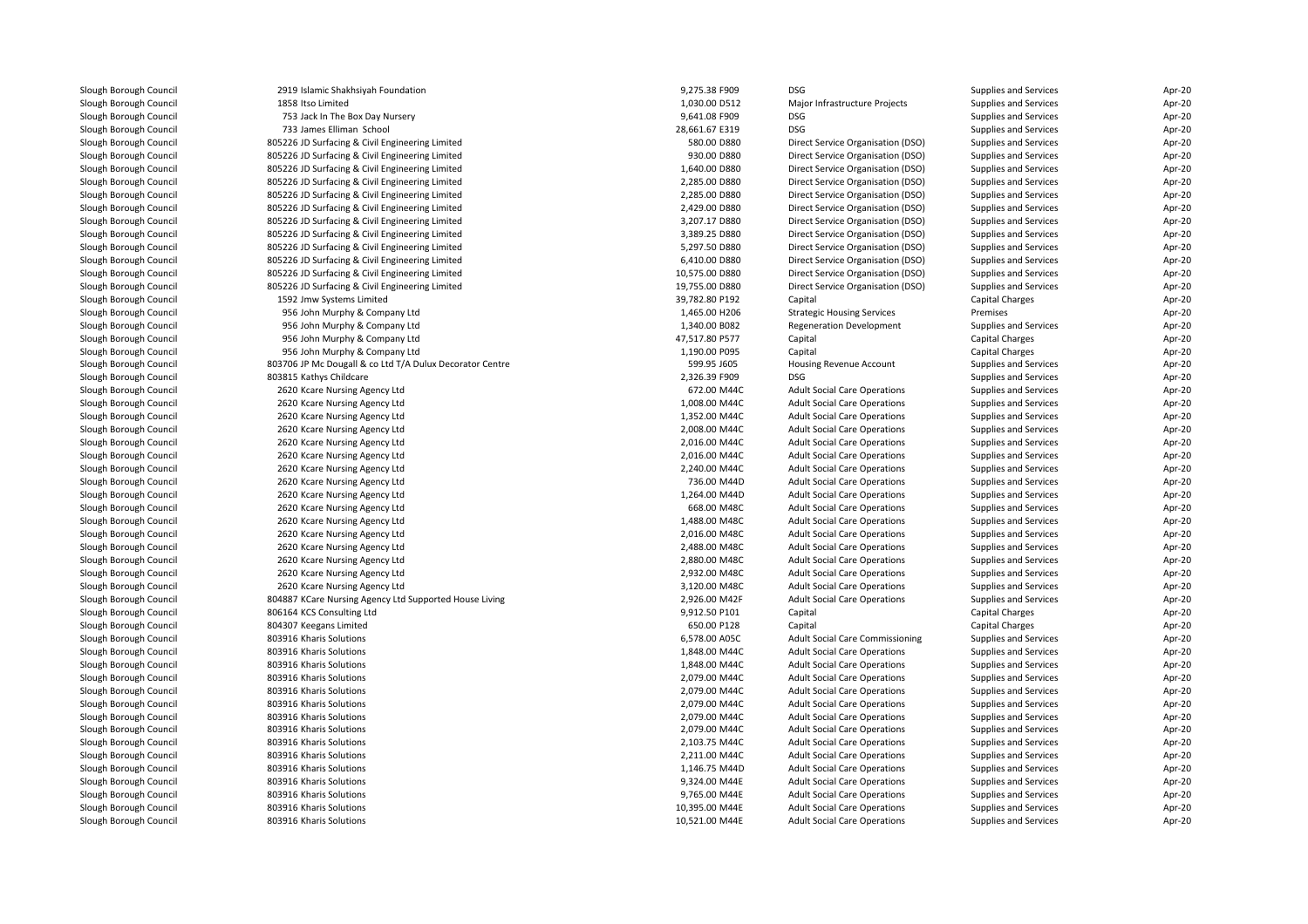| Slough Borough Council | 2919 Islamic Shakhsiyah Foundation                       | 9,275.38 F909                    | DSG                                    | Supplies and Services        | Apr-20 |
|------------------------|----------------------------------------------------------|----------------------------------|----------------------------------------|------------------------------|--------|
| Slough Borough Council | 1858 Itso Limited                                        | 1,030.00 D512                    | Major Infrastructure Projects          | Supplies and Services        | Apr-20 |
| Slough Borough Council | 753 Jack In The Box Day Nursery                          | 9,641.08 F909                    | DSG                                    | Supplies and Services        | Apr-20 |
| Slough Borough Council | 733 James Elliman School                                 | 28,661.67 E319                   | <b>DSG</b>                             | Supplies and Services        | Apr-20 |
| Slough Borough Council | 805226 JD Surfacing & Civil Engineering Limited          | 580.00 D880                      | Direct Service Organisation (DSO)      | Supplies and Services        | Apr-20 |
| Slough Borough Council | 805226 JD Surfacing & Civil Engineering Limited          | 930.00 D880                      | Direct Service Organisation (DSO)      | Supplies and Services        | Apr-20 |
| Slough Borough Council | 805226 JD Surfacing & Civil Engineering Limited          | 1,640.00 D880                    | Direct Service Organisation (DSO)      | Supplies and Services        | Apr-20 |
| Slough Borough Council | 805226 JD Surfacing & Civil Engineering Limited          | 2,285.00 D880                    | Direct Service Organisation (DSO)      | Supplies and Services        | Apr-20 |
| Slough Borough Council | 805226 JD Surfacing & Civil Engineering Limited          | 2,285.00 D880                    | Direct Service Organisation (DSO)      | <b>Supplies and Services</b> | Apr-20 |
| Slough Borough Council | 805226 JD Surfacing & Civil Engineering Limited          | 2,429.00 D880                    | Direct Service Organisation (DSO)      | Supplies and Services        | Apr-20 |
| Slough Borough Council | 805226 JD Surfacing & Civil Engineering Limited          | 3,207.17 D880                    | Direct Service Organisation (DSO)      | Supplies and Services        | Apr-20 |
| Slough Borough Council | 805226 JD Surfacing & Civil Engineering Limited          | 3,389.25 D880                    | Direct Service Organisation (DSO)      | <b>Supplies and Services</b> | Apr-20 |
| Slough Borough Council | 805226 JD Surfacing & Civil Engineering Limited          | 5,297.50 D880                    | Direct Service Organisation (DSO)      | Supplies and Services        | Apr-20 |
| Slough Borough Council | 805226 JD Surfacing & Civil Engineering Limited          | 6,410.00 D880                    | Direct Service Organisation (DSO)      | Supplies and Services        | Apr-20 |
| Slough Borough Council | 805226 JD Surfacing & Civil Engineering Limited          | 10,575.00 D880                   | Direct Service Organisation (DSO)      | Supplies and Services        | Apr-20 |
| Slough Borough Council | 805226 JD Surfacing & Civil Engineering Limited          | 19,755.00 D880                   | Direct Service Organisation (DSO)      | Supplies and Services        | Apr-20 |
| Slough Borough Council | 1592 Jmw Systems Limited                                 | 39,782.80 P192                   | Capital                                | Capital Charges              | Apr-20 |
| Slough Borough Council | 956 John Murphy & Company Ltd                            | 1,465.00 H206                    | <b>Strategic Housing Services</b>      | Premises                     | Apr-20 |
| Slough Borough Council | 956 John Murphy & Company Ltd                            | 1,340.00 B082                    | <b>Regeneration Development</b>        | Supplies and Services        | Apr-20 |
|                        |                                                          | 47,517.80 P577                   |                                        | Capital Charges              | Apr-20 |
| Slough Borough Council | 956 John Murphy & Company Ltd                            | 1,190.00 P095                    | Capital<br>Capital                     | Capital Charges              |        |
| Slough Borough Council | 956 John Murphy & Company Ltd                            |                                  |                                        |                              | Apr-20 |
| Slough Borough Council | 803706 JP Mc Dougall & co Ltd T/A Dulux Decorator Centre | 599.95 J605                      | Housing Revenue Account                | Supplies and Services        | Apr-20 |
| Slough Borough Council | 803815 Kathys Childcare                                  | 2,326.39 F909                    | <b>DSG</b>                             | Supplies and Services        | Apr-20 |
| Slough Borough Council | 2620 Kcare Nursing Agency Ltd                            | 672.00 M44C                      | <b>Adult Social Care Operations</b>    | Supplies and Services        | Apr-20 |
| Slough Borough Council | 2620 Kcare Nursing Agency Ltd                            | 1,008.00 M44C                    | <b>Adult Social Care Operations</b>    | Supplies and Services        | Apr-20 |
| Slough Borough Council | 2620 Kcare Nursing Agency Ltd                            | 1,352.00 M44C                    | <b>Adult Social Care Operations</b>    | Supplies and Services        | Apr-20 |
| Slough Borough Council | 2620 Kcare Nursing Agency Ltd                            | 2,008.00 M44C                    | <b>Adult Social Care Operations</b>    | Supplies and Services        | Apr-20 |
| Slough Borough Council | 2620 Kcare Nursing Agency Ltd                            | 2,016.00 M44C                    | <b>Adult Social Care Operations</b>    | Supplies and Services        | Apr-20 |
| Slough Borough Council | 2620 Kcare Nursing Agency Ltd                            | 2,016.00 M44C                    | <b>Adult Social Care Operations</b>    | Supplies and Services        | Apr-20 |
| Slough Borough Council | 2620 Kcare Nursing Agency Ltd                            | 2,240.00 M44C                    | <b>Adult Social Care Operations</b>    | Supplies and Services        | Apr-20 |
| Slough Borough Council | 2620 Kcare Nursing Agency Ltd                            | 736.00 M44D                      | <b>Adult Social Care Operations</b>    | Supplies and Services        | Apr-20 |
| Slough Borough Council | 2620 Kcare Nursing Agency Ltd                            | 1,264.00 M44D                    | <b>Adult Social Care Operations</b>    | Supplies and Services        | Apr-20 |
| Slough Borough Council | 2620 Kcare Nursing Agency Ltd                            | 668.00 M48C                      | <b>Adult Social Care Operations</b>    | Supplies and Services        | Apr-20 |
| Slough Borough Council | 2620 Kcare Nursing Agency Ltd                            | 1,488.00 M48C                    | <b>Adult Social Care Operations</b>    | Supplies and Services        | Apr-20 |
| Slough Borough Council | 2620 Kcare Nursing Agency Ltd                            | 2,016.00 M48C                    | <b>Adult Social Care Operations</b>    | Supplies and Services        | Apr-20 |
| Slough Borough Council | 2620 Kcare Nursing Agency Ltd                            | 2,488.00 M48C                    | <b>Adult Social Care Operations</b>    | Supplies and Services        | Apr-20 |
| Slough Borough Council | 2620 Kcare Nursing Agency Ltd                            | 2,880.00 M48C                    | <b>Adult Social Care Operations</b>    | Supplies and Services        | Apr-20 |
| Slough Borough Council | 2620 Kcare Nursing Agency Ltd                            | 2,932.00 M48C                    | <b>Adult Social Care Operations</b>    | Supplies and Services        | Apr-20 |
| Slough Borough Council | 2620 Kcare Nursing Agency Ltd                            | 3,120.00 M48C                    | <b>Adult Social Care Operations</b>    | Supplies and Services        | Apr-20 |
| Slough Borough Council | 804887 KCare Nursing Agency Ltd Supported House Living   | 2,926.00 M42F                    | <b>Adult Social Care Operations</b>    | Supplies and Services        | Apr-20 |
| Slough Borough Council | 806164 KCS Consulting Ltd                                | 9,912.50 P101                    | Capital                                | Capital Charges              | Apr-20 |
| Slough Borough Council | 804307 Keegans Limited                                   | 650.00 P128                      | Capital                                | Capital Charges              | Apr-20 |
| Slough Borough Council | 803916 Kharis Solutions                                  | 6,578.00 A05C                    | <b>Adult Social Care Commissioning</b> | Supplies and Services        | Apr-20 |
| Slough Borough Council | 803916 Kharis Solutions                                  | 1,848.00 M44C                    | <b>Adult Social Care Operations</b>    | Supplies and Services        | Apr-20 |
| Slough Borough Council | 803916 Kharis Solutions                                  | 1,848.00 M44C                    | <b>Adult Social Care Operations</b>    | Supplies and Services        | Apr-20 |
| Slough Borough Council | 803916 Kharis Solutions                                  | 2,079.00 M44C                    | <b>Adult Social Care Operations</b>    | Supplies and Services        | Apr-20 |
| Slough Borough Council | 803916 Kharis Solutions                                  | 2,079.00 M44C                    | <b>Adult Social Care Operations</b>    | Supplies and Services        | Apr-20 |
| Slough Borough Council | 803916 Kharis Solutions                                  | 2,079.00 M44C                    | <b>Adult Social Care Operations</b>    | Supplies and Services        | Apr-20 |
| Slough Borough Council | 803916 Kharis Solutions                                  | 2,079.00 M44C                    | <b>Adult Social Care Operations</b>    | Supplies and Services        | Apr-20 |
| Slough Borough Council | 803916 Kharis Solutions                                  | 2,079.00 M44C                    | <b>Adult Social Care Operations</b>    | Supplies and Services        | Apr-20 |
| Slough Borough Council | 803916 Kharis Solutions                                  | 2,103.75 M44C                    | <b>Adult Social Care Operations</b>    | Supplies and Services        | Apr-20 |
| Slough Borough Council | 803916 Kharis Solutions                                  | 2,211.00 M44C                    | <b>Adult Social Care Operations</b>    | Supplies and Services        | Apr-20 |
| Slough Borough Council | 803916 Kharis Solutions                                  | 1,146.75 M44D                    | <b>Adult Social Care Operations</b>    | Supplies and Services        | Apr-20 |
| Slough Borough Council | 803916 Kharis Solutions                                  | 9,324.00 M44E                    | <b>Adult Social Care Operations</b>    | Supplies and Services        | Apr-20 |
| Slough Borough Council | 803916 Kharis Solutions                                  | 9,765.00 M44E                    | <b>Adult Social Care Operations</b>    | Supplies and Services        | Apr-20 |
|                        |                                                          |                                  |                                        |                              |        |
| Slough Borough Council | 803916 Kharis Solutions<br>803916 Kharis Solutions       | 10,395.00 M44E<br>10,521.00 M44E | <b>Adult Social Care Operations</b>    | Supplies and Services        | Apr-20 |
| Slough Borough Council |                                                          |                                  | <b>Adult Social Care Operations</b>    | Supplies and Services        | Apr-20 |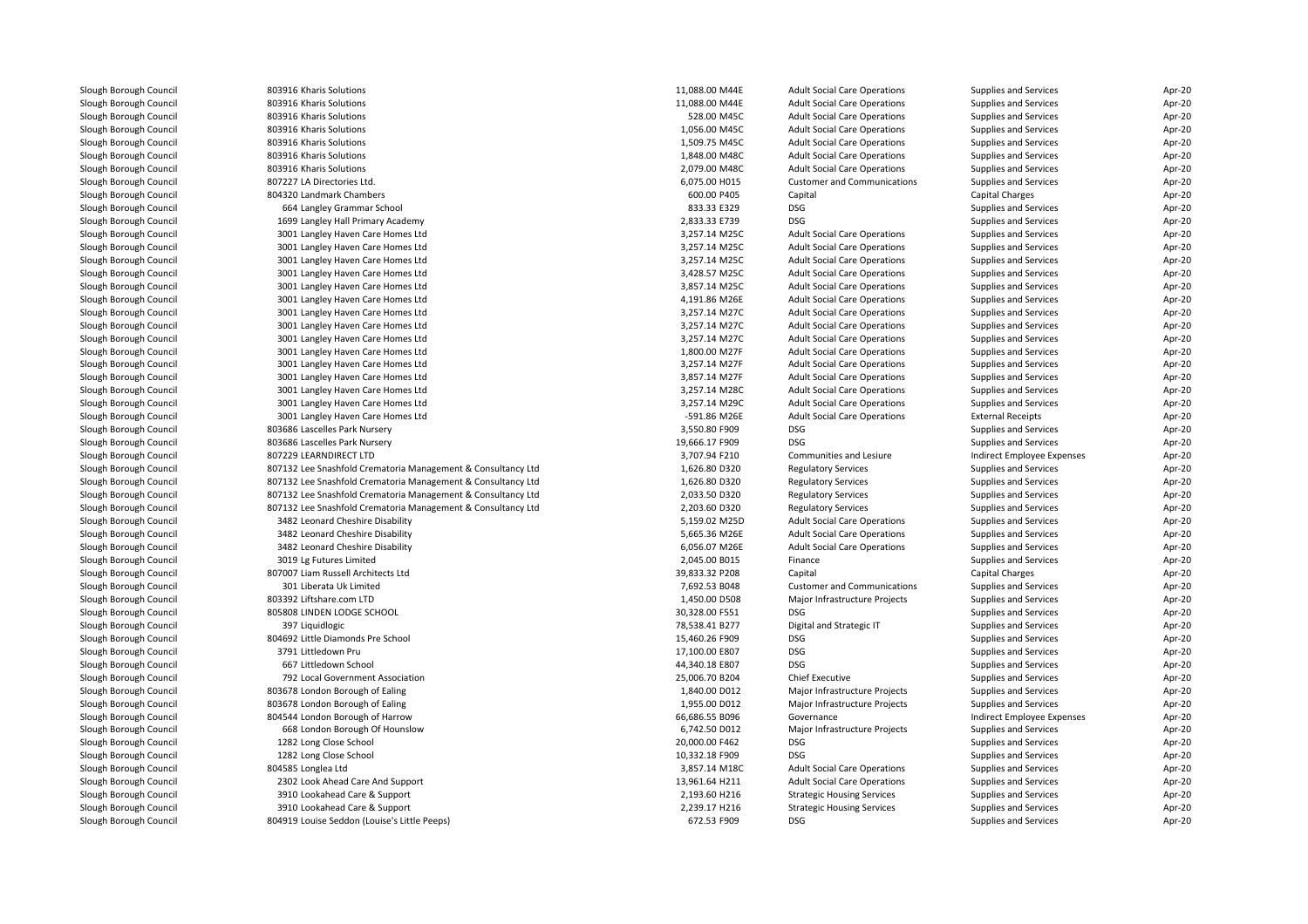| Slough Borough Council                           | 803916 Kharis Solutions                                                | 11,088.00 M44E | <b>Adult Social Care Operations</b> | Supplies and Services      | Apr-20 |
|--------------------------------------------------|------------------------------------------------------------------------|----------------|-------------------------------------|----------------------------|--------|
| Slough Borough Council                           | 803916 Kharis Solutions                                                | 11,088.00 M44E | <b>Adult Social Care Operations</b> | Supplies and Services      | Apr-20 |
| Slough Borough Council                           | 803916 Kharis Solutions                                                | 528.00 M45C    | <b>Adult Social Care Operations</b> | Supplies and Services      | Apr-20 |
| Slough Borough Council                           | 803916 Kharis Solutions                                                | 1,056.00 M45C  | <b>Adult Social Care Operations</b> | Supplies and Services      | Apr-20 |
| Slough Borough Council                           | 803916 Kharis Solutions                                                | 1,509.75 M45C  | <b>Adult Social Care Operations</b> | Supplies and Services      | Apr-20 |
| Slough Borough Council                           | 803916 Kharis Solutions                                                | 1,848.00 M48C  | <b>Adult Social Care Operations</b> | Supplies and Services      | Apr-20 |
| Slough Borough Council                           | 803916 Kharis Solutions                                                | 2,079.00 M48C  | <b>Adult Social Care Operations</b> | Supplies and Services      | Apr-20 |
| Slough Borough Council                           | 807227 LA Directories Ltd.                                             | 6,075.00 H015  | <b>Customer and Communications</b>  | Supplies and Services      | Apr-20 |
| Slough Borough Council                           | 804320 Landmark Chambers                                               | 600.00 P405    | Capital                             | Capital Charges            | Apr-20 |
| Slough Borough Council                           | 664 Langley Grammar School                                             | 833.33 E329    | <b>DSG</b>                          | Supplies and Services      | Apr-20 |
| Slough Borough Council                           | 1699 Langley Hall Primary Academy                                      | 2,833.33 E739  | <b>DSG</b>                          | Supplies and Services      | Apr-20 |
| Slough Borough Council                           | 3001 Langley Haven Care Homes Ltd                                      | 3,257.14 M25C  | <b>Adult Social Care Operations</b> | Supplies and Services      | Apr-20 |
| Slough Borough Council                           | 3001 Langley Haven Care Homes Ltd                                      | 3,257.14 M25C  | <b>Adult Social Care Operations</b> | Supplies and Services      | Apr-20 |
| Slough Borough Council                           | 3001 Langley Haven Care Homes Ltd                                      | 3,257.14 M25C  | <b>Adult Social Care Operations</b> | Supplies and Services      | Apr-20 |
| Slough Borough Council                           | 3001 Langley Haven Care Homes Ltd                                      | 3,428.57 M25C  | <b>Adult Social Care Operations</b> | Supplies and Services      | Apr-20 |
| Slough Borough Council                           | 3001 Langley Haven Care Homes Ltd                                      | 3,857.14 M25C  | <b>Adult Social Care Operations</b> | Supplies and Services      | Apr-20 |
| Slough Borough Council                           | 3001 Langley Haven Care Homes Ltd                                      | 4,191.86 M26E  | <b>Adult Social Care Operations</b> | Supplies and Services      | Apr-20 |
| Slough Borough Council                           | 3001 Langley Haven Care Homes Ltd                                      | 3,257.14 M27C  | <b>Adult Social Care Operations</b> | Supplies and Services      | Apr-20 |
| Slough Borough Council                           | 3001 Langley Haven Care Homes Ltd                                      | 3,257.14 M27C  | <b>Adult Social Care Operations</b> | Supplies and Services      | Apr-20 |
| Slough Borough Council                           | 3001 Langley Haven Care Homes Ltd                                      | 3,257.14 M27C  | <b>Adult Social Care Operations</b> | Supplies and Services      | Apr-20 |
| Slough Borough Council                           | 3001 Langley Haven Care Homes Ltd                                      | 1,800.00 M27F  | <b>Adult Social Care Operations</b> | Supplies and Services      | Apr-20 |
|                                                  |                                                                        | 3,257.14 M27F  | <b>Adult Social Care Operations</b> | Supplies and Services      | Apr-20 |
| Slough Borough Council<br>Slough Borough Council | 3001 Langley Haven Care Homes Ltd<br>3001 Langley Haven Care Homes Ltd | 3,857.14 M27F  | <b>Adult Social Care Operations</b> | Supplies and Services      | Apr-20 |
|                                                  |                                                                        |                |                                     |                            |        |
| Slough Borough Council                           | 3001 Langley Haven Care Homes Ltd                                      | 3,257.14 M28C  | <b>Adult Social Care Operations</b> | Supplies and Services      | Apr-20 |
| Slough Borough Council                           | 3001 Langley Haven Care Homes Ltd                                      | 3,257.14 M29C  | <b>Adult Social Care Operations</b> | Supplies and Services      | Apr-20 |
| Slough Borough Council                           | 3001 Langley Haven Care Homes Ltd                                      | -591.86 M26E   | <b>Adult Social Care Operations</b> | <b>External Receipts</b>   | Apr-20 |
| Slough Borough Council                           | 803686 Lascelles Park Nursery                                          | 3,550.80 F909  | <b>DSG</b>                          | Supplies and Services      | Apr-20 |
| Slough Borough Council                           | 803686 Lascelles Park Nursery                                          | 19,666.17 F909 | <b>DSG</b>                          | Supplies and Services      | Apr-20 |
| Slough Borough Council                           | 807229 LEARNDIRECT LTD                                                 | 3,707.94 F210  | Communities and Lesiure             | Indirect Employee Expenses | Apr-20 |
| Slough Borough Council                           | 807132 Lee Snashfold Crematoria Management & Consultancy Ltd           | 1,626.80 D320  | <b>Regulatory Services</b>          | Supplies and Services      | Apr-20 |
| Slough Borough Council                           | 807132 Lee Snashfold Crematoria Management & Consultancy Ltd           | 1,626.80 D320  | <b>Regulatory Services</b>          | Supplies and Services      | Apr-20 |
| Slough Borough Council                           | 807132 Lee Snashfold Crematoria Management & Consultancy Ltd           | 2,033.50 D320  | <b>Regulatory Services</b>          | Supplies and Services      | Apr-20 |
| Slough Borough Council                           | 807132 Lee Snashfold Crematoria Management & Consultancy Ltd           | 2,203.60 D320  | <b>Regulatory Services</b>          | Supplies and Services      | Apr-20 |
| Slough Borough Council                           | 3482 Leonard Cheshire Disability                                       | 5,159.02 M25D  | <b>Adult Social Care Operations</b> | Supplies and Services      | Apr-20 |
| Slough Borough Council                           | 3482 Leonard Cheshire Disability                                       | 5,665.36 M26E  | <b>Adult Social Care Operations</b> | Supplies and Services      | Apr-20 |
| Slough Borough Council                           | 3482 Leonard Cheshire Disability                                       | 6,056.07 M26E  | <b>Adult Social Care Operations</b> | Supplies and Services      | Apr-20 |
| Slough Borough Council                           | 3019 Lg Futures Limited                                                | 2,045.00 B015  | Finance                             | Supplies and Services      | Apr-20 |
| Slough Borough Council                           | 807007 Liam Russell Architects Ltd                                     | 39,833.32 P208 | Capital                             | Capital Charges            | Apr-20 |
| Slough Borough Council                           | 301 Liberata Uk Limited                                                | 7,692.53 B048  | <b>Customer and Communications</b>  | Supplies and Services      | Apr-20 |
| Slough Borough Council                           | 803392 Liftshare.com LTD                                               | 1,450.00 D508  | Major Infrastructure Projects       | Supplies and Services      | Apr-20 |
| Slough Borough Council                           | 805808 LINDEN LODGE SCHOOL                                             | 30,328.00 F551 | <b>DSG</b>                          | Supplies and Services      | Apr-20 |
| Slough Borough Council                           | 397 Liquidlogic                                                        | 78,538.41 B277 | Digital and Strategic IT            | Supplies and Services      | Apr-20 |
| Slough Borough Council                           | 804692 Little Diamonds Pre School                                      | 15,460.26 F909 | <b>DSG</b>                          | Supplies and Services      | Apr-20 |
| Slough Borough Council                           | 3791 Littledown Pru                                                    | 17,100.00 E807 | <b>DSG</b>                          | Supplies and Services      | Apr-20 |
| Slough Borough Council                           | 667 Littledown School                                                  | 44,340.18 E807 | <b>DSG</b>                          | Supplies and Services      | Apr-20 |
| Slough Borough Council                           | 792 Local Government Association                                       | 25,006.70 B204 | <b>Chief Executive</b>              | Supplies and Services      | Apr-20 |
| Slough Borough Council                           | 803678 London Borough of Ealing                                        | 1,840.00 D012  | Major Infrastructure Projects       | Supplies and Services      | Apr-20 |
| Slough Borough Council                           | 803678 London Borough of Ealing                                        | 1,955.00 D012  | Major Infrastructure Projects       | Supplies and Services      | Apr-20 |
| Slough Borough Council                           | 804544 London Borough of Harrow                                        | 66,686.55 B096 | Governance                          | Indirect Employee Expenses | Apr-20 |
| Slough Borough Council                           | 668 London Borough Of Hounslow                                         | 6,742.50 D012  | Major Infrastructure Projects       | Supplies and Services      | Apr-20 |
| Slough Borough Council                           | 1282 Long Close School                                                 | 20,000.00 F462 | <b>DSG</b>                          | Supplies and Services      | Apr-20 |
| Slough Borough Council                           | 1282 Long Close School                                                 | 10,332.18 F909 | <b>DSG</b>                          | Supplies and Services      | Apr-20 |
| Slough Borough Council                           | 804585 Longlea Ltd                                                     | 3,857.14 M18C  | <b>Adult Social Care Operations</b> | Supplies and Services      | Apr-20 |
| Slough Borough Council                           | 2302 Look Ahead Care And Support                                       | 13,961.64 H211 | <b>Adult Social Care Operations</b> | Supplies and Services      | Apr-20 |
| Slough Borough Council                           | 3910 Lookahead Care & Support                                          | 2,193.60 H216  | <b>Strategic Housing Services</b>   | Supplies and Services      | Apr-20 |
| Slough Borough Council                           | 3910 Lookahead Care & Support                                          | 2,239.17 H216  | <b>Strategic Housing Services</b>   | Supplies and Services      | Apr-20 |
| Slough Borough Council                           | 804919 Louise Seddon (Louise's Little Peeps)                           | 672.53 F909    | <b>DSG</b>                          | Supplies and Services      | Apr-20 |
|                                                  |                                                                        |                |                                     |                            |        |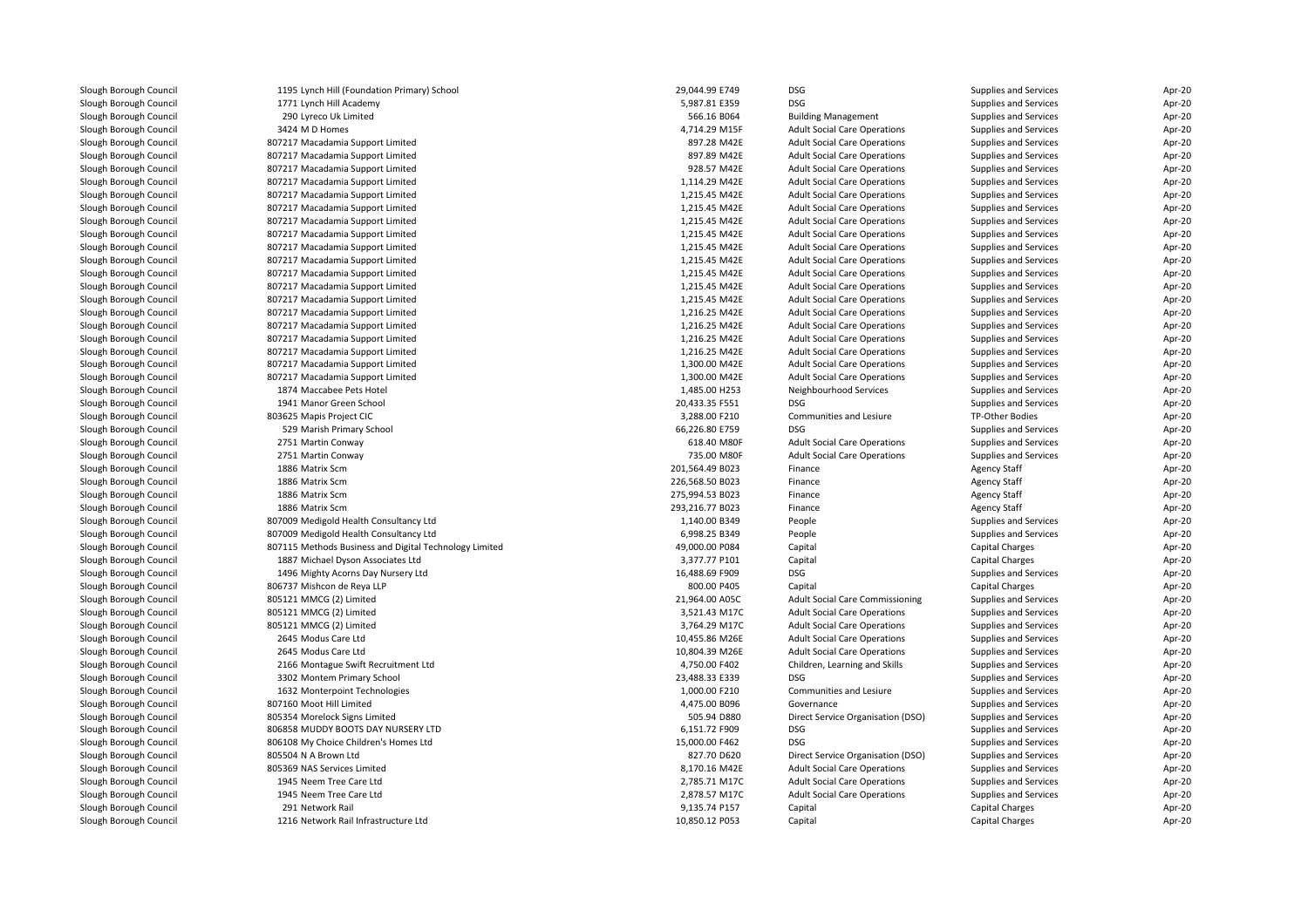| Slough Borough Council | 1195 Lynch Hill (Foundation Primary) School            | 29,044.99 E749  | <b>DSG</b>                          | Supplies and Services  | Apr-20 |
|------------------------|--------------------------------------------------------|-----------------|-------------------------------------|------------------------|--------|
| Slough Borough Council | 1771 Lynch Hill Academy                                | 5,987.81 E359   | <b>DSG</b>                          | Supplies and Services  | Apr-20 |
| Slough Borough Council | 290 Lyreco Uk Limited                                  | 566.16 B064     | <b>Building Management</b>          | Supplies and Services  | Apr-20 |
| Slough Borough Council | 3424 M D Homes                                         | 4,714.29 M15F   | <b>Adult Social Care Operations</b> | Supplies and Services  | Apr-20 |
| Slough Borough Council | 807217 Macadamia Support Limited                       | 897.28 M42E     | <b>Adult Social Care Operations</b> | Supplies and Services  | Apr-20 |
| Slough Borough Council | 807217 Macadamia Support Limited                       | 897.89 M42E     | <b>Adult Social Care Operations</b> | Supplies and Services  | Apr-20 |
| Slough Borough Council | 807217 Macadamia Support Limited                       | 928.57 M42E     | <b>Adult Social Care Operations</b> | Supplies and Services  | Apr-20 |
| Slough Borough Council | 807217 Macadamia Support Limited                       | 1,114.29 M42E   | <b>Adult Social Care Operations</b> | Supplies and Services  | Apr-20 |
| Slough Borough Council | 807217 Macadamia Support Limited                       | 1.215.45 M42E   | <b>Adult Social Care Operations</b> | Supplies and Services  | Apr-20 |
| Slough Borough Council | 807217 Macadamia Support Limited                       | 1,215.45 M42E   | <b>Adult Social Care Operations</b> | Supplies and Services  | Apr-20 |
| Slough Borough Council | 807217 Macadamia Support Limited                       | 1,215.45 M42E   | <b>Adult Social Care Operations</b> | Supplies and Services  | Apr-20 |
| Slough Borough Council | 807217 Macadamia Support Limited                       | 1,215.45 M42E   | <b>Adult Social Care Operations</b> | Supplies and Services  | Apr-20 |
| Slough Borough Council | 807217 Macadamia Support Limited                       | 1,215.45 M42E   | <b>Adult Social Care Operations</b> | Supplies and Services  | Apr-20 |
| Slough Borough Council | 807217 Macadamia Support Limited                       | 1,215.45 M42E   | <b>Adult Social Care Operations</b> | Supplies and Services  | Apr-20 |
| Slough Borough Council | 807217 Macadamia Support Limited                       | 1,215.45 M42E   | <b>Adult Social Care Operations</b> | Supplies and Services  | Apr-20 |
| Slough Borough Council | 807217 Macadamia Support Limited                       | 1,215.45 M42E   | <b>Adult Social Care Operations</b> | Supplies and Services  | Apr-20 |
| Slough Borough Council | 807217 Macadamia Support Limited                       | 1,215.45 M42E   | <b>Adult Social Care Operations</b> | Supplies and Services  | Apr-20 |
| Slough Borough Council | 807217 Macadamia Support Limited                       | 1,216.25 M42E   | <b>Adult Social Care Operations</b> | Supplies and Services  | Apr-20 |
|                        |                                                        |                 |                                     |                        |        |
| Slough Borough Council | 807217 Macadamia Support Limited                       | 1,216.25 M42E   | <b>Adult Social Care Operations</b> | Supplies and Services  | Apr-20 |
| Slough Borough Council | 807217 Macadamia Support Limited                       | 1,216.25 M42E   | <b>Adult Social Care Operations</b> | Supplies and Services  | Apr-20 |
| Slough Borough Council | 807217 Macadamia Support Limited                       | 1,216.25 M42E   | <b>Adult Social Care Operations</b> | Supplies and Services  | Apr-20 |
| Slough Borough Council | 807217 Macadamia Support Limited                       | 1,300.00 M42E   | <b>Adult Social Care Operations</b> | Supplies and Services  | Apr-20 |
| Slough Borough Council | 807217 Macadamia Support Limited                       | 1,300.00 M42E   | <b>Adult Social Care Operations</b> | Supplies and Services  | Apr-20 |
| Slough Borough Council | 1874 Maccabee Pets Hotel                               | 1,485.00 H253   | Neighbourhood Services              | Supplies and Services  | Apr-20 |
| Slough Borough Council | 1941 Manor Green School                                | 20,433.35 F551  | <b>DSG</b>                          | Supplies and Services  | Apr-20 |
| Slough Borough Council | 803625 Mapis Project CIC                               | 3,288.00 F210   | Communities and Lesiure             | TP-Other Bodies        | Apr-20 |
| Slough Borough Council | 529 Marish Primary School                              | 66,226.80 E759  | DSG                                 | Supplies and Services  | Apr-20 |
| Slough Borough Council | 2751 Martin Conway                                     | 618.40 M80F     | <b>Adult Social Care Operations</b> | Supplies and Services  | Apr-20 |
| Slough Borough Council | 2751 Martin Conway                                     | 735.00 M80F     | <b>Adult Social Care Operations</b> | Supplies and Services  | Apr-20 |
| Slough Borough Council | 1886 Matrix Scm                                        | 201,564.49 B023 | Finance                             | <b>Agency Staff</b>    | Apr-20 |
| Slough Borough Council | 1886 Matrix Scm                                        | 226,568.50 B023 | Finance                             | <b>Agency Staff</b>    | Apr-20 |
| Slough Borough Council | 1886 Matrix Scm                                        | 275,994.53 B023 | Finance                             | <b>Agency Staff</b>    | Apr-20 |
| Slough Borough Council | 1886 Matrix Scm                                        | 293,216.77 B023 | Finance                             | <b>Agency Staff</b>    | Apr-20 |
| Slough Borough Council | 807009 Medigold Health Consultancy Ltd                 | 1,140.00 B349   | People                              | Supplies and Services  | Apr-20 |
| Slough Borough Council | 807009 Medigold Health Consultancy Ltd                 | 6,998.25 B349   | People                              | Supplies and Services  | Apr-20 |
| Slough Borough Council | 807115 Methods Business and Digital Technology Limited | 49,000.00 P084  | Capital                             | Capital Charges        | Apr-20 |
| Slough Borough Council | 1887 Michael Dyson Associates Ltd                      | 3,377.77 P101   | Capital                             | <b>Capital Charges</b> | Apr-20 |
| Slough Borough Council | 1496 Mighty Acorns Day Nursery Ltd                     | 16,488.69 F909  | <b>DSG</b>                          | Supplies and Services  | Apr-20 |
| Slough Borough Council | 806737 Mishcon de Reya LLP                             | 800.00 P405     | Capital                             | Capital Charges        | Apr-20 |
| Slough Borough Council | 805121 MMCG (2) Limited                                | 21,964.00 A05C  | Adult Social Care Commissioning     | Supplies and Services  | Apr-20 |
| Slough Borough Council | 805121 MMCG (2) Limited                                | 3,521.43 M17C   | <b>Adult Social Care Operations</b> | Supplies and Services  | Apr-20 |
| Slough Borough Council | 805121 MMCG (2) Limited                                | 3,764.29 M17C   | <b>Adult Social Care Operations</b> | Supplies and Services  | Apr-20 |
| Slough Borough Council | 2645 Modus Care Ltd                                    | 10,455.86 M26E  | <b>Adult Social Care Operations</b> | Supplies and Services  | Apr-20 |
| Slough Borough Council | 2645 Modus Care Ltd                                    | 10,804.39 M26E  | <b>Adult Social Care Operations</b> | Supplies and Services  | Apr-20 |
| Slough Borough Council | 2166 Montague Swift Recruitment Ltd                    | 4,750.00 F402   | Children, Learning and Skills       | Supplies and Services  | Apr-20 |
|                        |                                                        |                 |                                     |                        |        |
| Slough Borough Council | 3302 Montem Primary School                             | 23,488.33 E339  | <b>DSG</b>                          | Supplies and Services  | Apr-20 |
| Slough Borough Council | 1632 Monterpoint Technologies                          | 1,000.00 F210   | Communities and Lesiure             | Supplies and Services  | Apr-20 |
| Slough Borough Council | 807160 Moot Hill Limited                               | 4,475.00 B096   | Governance                          | Supplies and Services  | Apr-20 |
| Slough Borough Council | 805354 Morelock Signs Limited                          | 505.94 D880     | Direct Service Organisation (DSO)   | Supplies and Services  | Apr-20 |
| Slough Borough Council | 806858 MUDDY BOOTS DAY NURSERY LTD                     | 6,151.72 F909   | <b>DSG</b>                          | Supplies and Services  | Apr-20 |
| Slough Borough Council | 806108 My Choice Children's Homes Ltd                  | 15,000.00 F462  | <b>DSG</b>                          | Supplies and Services  | Apr-20 |
| Slough Borough Council | 805504 N A Brown Ltd                                   | 827.70 D620     | Direct Service Organisation (DSO)   | Supplies and Services  | Apr-20 |
| Slough Borough Council | 805369 NAS Services Limited                            | 8,170.16 M42E   | <b>Adult Social Care Operations</b> | Supplies and Services  | Apr-20 |
| Slough Borough Council | 1945 Neem Tree Care Ltd                                | 2,785.71 M17C   | <b>Adult Social Care Operations</b> | Supplies and Services  | Apr-20 |
| Slough Borough Council | 1945 Neem Tree Care Ltd                                | 2,878.57 M17C   | <b>Adult Social Care Operations</b> | Supplies and Services  | Apr-20 |
| Slough Borough Council | 291 Network Rail                                       | 9,135.74 P157   | Capital                             | Capital Charges        | Apr-20 |
| Slough Borough Council | 1216 Network Rail Infrastructure Ltd                   | 10,850.12 P053  | Capital                             | Capital Charges        | Apr-20 |
|                        |                                                        |                 |                                     |                        |        |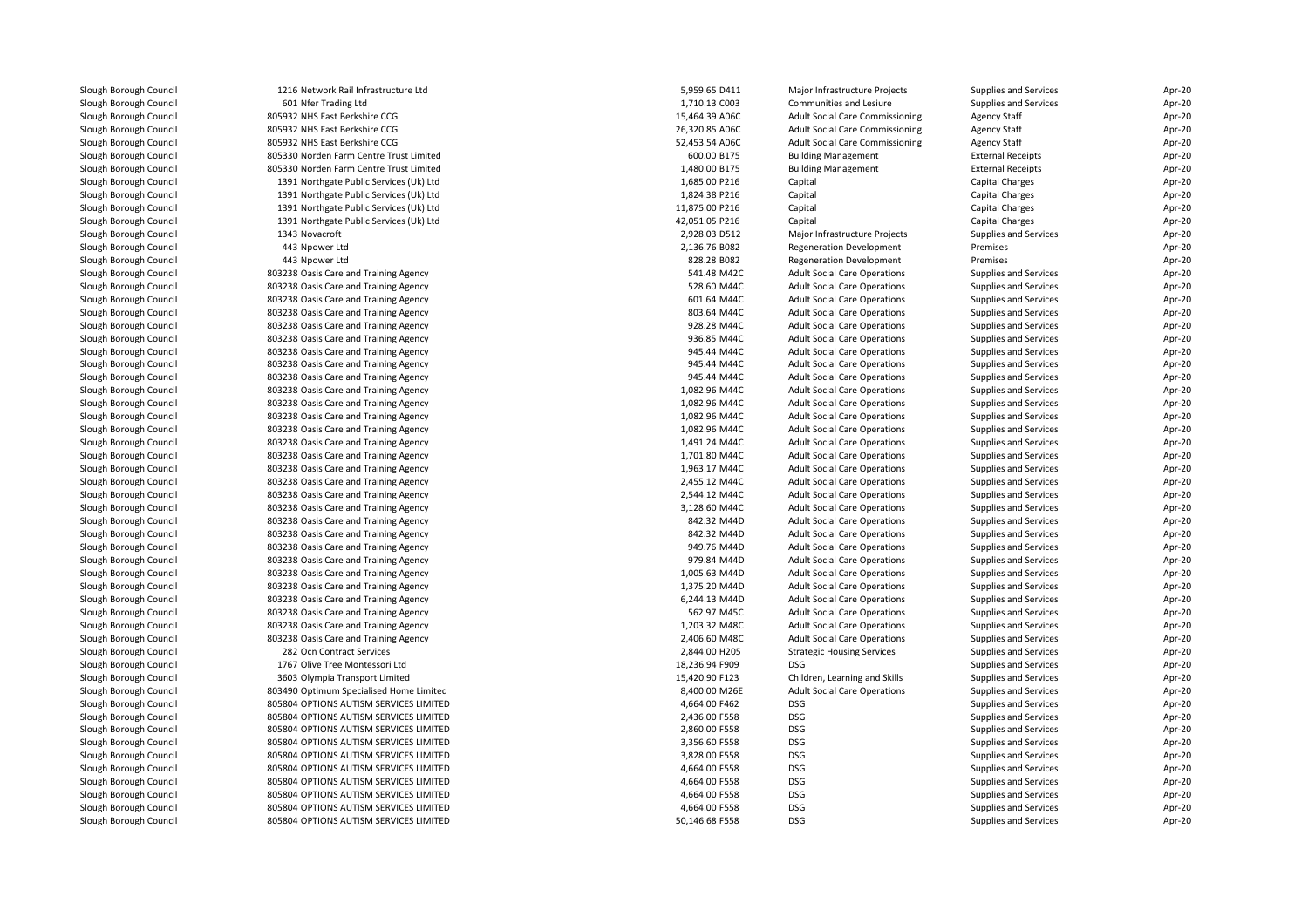| Slough Borough Council | 1216 Network Rail Infrastructure Ltd    | 5,959.65 D411  | Major Infrastructure Projects          | Supplies and Services        | Apr-20 |
|------------------------|-----------------------------------------|----------------|----------------------------------------|------------------------------|--------|
| Slough Borough Council | 601 Nfer Trading Ltd                    | 1,710.13 C003  | Communities and Lesiure                | Supplies and Services        | Apr-20 |
| Slough Borough Council | 805932 NHS East Berkshire CCG           | 15,464.39 A06C | <b>Adult Social Care Commissioning</b> | <b>Agency Staff</b>          | Apr-20 |
| Slough Borough Council | 805932 NHS East Berkshire CCG           | 26,320.85 A06C | <b>Adult Social Care Commissioning</b> | <b>Agency Staff</b>          | Apr-20 |
| Slough Borough Council | 805932 NHS East Berkshire CCG           | 52,453.54 A06C | <b>Adult Social Care Commissioning</b> | <b>Agency Staff</b>          | Apr-20 |
| Slough Borough Council | 805330 Norden Farm Centre Trust Limited | 600.00 B175    | <b>Building Management</b>             | <b>External Receipts</b>     | Apr-20 |
| Slough Borough Council | 805330 Norden Farm Centre Trust Limited | 1,480.00 B175  | <b>Building Management</b>             | <b>External Receipts</b>     | Apr-20 |
| Slough Borough Council | 1391 Northgate Public Services (Uk) Ltd | 1,685.00 P216  | Capital                                | Capital Charges              | Apr-20 |
| Slough Borough Council | 1391 Northgate Public Services (Uk) Ltd | 1,824.38 P216  | Capital                                | Capital Charges              | Apr-20 |
| Slough Borough Council | 1391 Northgate Public Services (Uk) Ltd | 11,875.00 P216 | Capital                                | Capital Charges              | Apr-20 |
| Slough Borough Council | 1391 Northgate Public Services (Uk) Ltd | 42,051.05 P216 | Capital                                | Capital Charges              | Apr-20 |
| Slough Borough Council | 1343 Novacroft                          | 2,928.03 D512  | Major Infrastructure Projects          | <b>Supplies and Services</b> | Apr-20 |
| Slough Borough Council | 443 Npower Ltd                          | 2,136.76 B082  | <b>Regeneration Development</b>        | Premises                     | Apr-20 |
| Slough Borough Council | 443 Npower Ltd                          | 828.28 B082    | <b>Regeneration Development</b>        | Premises                     | Apr-20 |
| Slough Borough Council | 803238 Oasis Care and Training Agency   | 541.48 M42C    | <b>Adult Social Care Operations</b>    | Supplies and Services        | Apr-20 |
| Slough Borough Council | 803238 Oasis Care and Training Agency   | 528.60 M44C    | <b>Adult Social Care Operations</b>    | Supplies and Services        | Apr-20 |
| Slough Borough Council | 803238 Oasis Care and Training Agency   | 601.64 M44C    | <b>Adult Social Care Operations</b>    | Supplies and Services        | Apr-20 |
| Slough Borough Council | 803238 Oasis Care and Training Agency   | 803.64 M44C    | <b>Adult Social Care Operations</b>    | Supplies and Services        | Apr-20 |
| Slough Borough Council | 803238 Oasis Care and Training Agency   | 928.28 M44C    | <b>Adult Social Care Operations</b>    | Supplies and Services        | Apr-20 |
| Slough Borough Council | 803238 Oasis Care and Training Agency   | 936.85 M44C    | <b>Adult Social Care Operations</b>    | Supplies and Services        | Apr-20 |
| Slough Borough Council | 803238 Oasis Care and Training Agency   | 945.44 M44C    | <b>Adult Social Care Operations</b>    | Supplies and Services        | Apr-20 |
| Slough Borough Council | 803238 Oasis Care and Training Agency   | 945.44 M44C    | <b>Adult Social Care Operations</b>    | Supplies and Services        | Apr-20 |
| Slough Borough Council | 803238 Oasis Care and Training Agency   | 945.44 M44C    | <b>Adult Social Care Operations</b>    | Supplies and Services        | Apr-20 |
| Slough Borough Council | 803238 Oasis Care and Training Agency   | 1,082.96 M44C  | <b>Adult Social Care Operations</b>    | Supplies and Services        | Apr-20 |
| Slough Borough Council | 803238 Oasis Care and Training Agency   | 1,082.96 M44C  | <b>Adult Social Care Operations</b>    | Supplies and Services        | Apr-20 |
| Slough Borough Council | 803238 Oasis Care and Training Agency   | 1,082.96 M44C  | <b>Adult Social Care Operations</b>    | Supplies and Services        | Apr-20 |
| Slough Borough Council | 803238 Oasis Care and Training Agency   | 1,082.96 M44C  | <b>Adult Social Care Operations</b>    | Supplies and Services        | Apr-20 |
| Slough Borough Council | 803238 Oasis Care and Training Agency   | 1,491.24 M44C  | <b>Adult Social Care Operations</b>    | Supplies and Services        | Apr-20 |
| Slough Borough Council | 803238 Oasis Care and Training Agency   | 1,701.80 M44C  | <b>Adult Social Care Operations</b>    | Supplies and Services        | Apr-20 |
| Slough Borough Council | 803238 Oasis Care and Training Agency   | 1,963.17 M44C  | <b>Adult Social Care Operations</b>    | Supplies and Services        | Apr-20 |
| Slough Borough Council | 803238 Oasis Care and Training Agency   | 2,455.12 M44C  | <b>Adult Social Care Operations</b>    | Supplies and Services        | Apr-20 |
| Slough Borough Council | 803238 Oasis Care and Training Agency   | 2,544.12 M44C  | <b>Adult Social Care Operations</b>    | Supplies and Services        | Apr-20 |
| Slough Borough Council | 803238 Oasis Care and Training Agency   | 3,128.60 M44C  | <b>Adult Social Care Operations</b>    | Supplies and Services        | Apr-20 |
| Slough Borough Council | 803238 Oasis Care and Training Agency   | 842.32 M44D    | <b>Adult Social Care Operations</b>    | Supplies and Services        | Apr-20 |
| Slough Borough Council | 803238 Oasis Care and Training Agency   | 842.32 M44D    | <b>Adult Social Care Operations</b>    | Supplies and Services        | Apr-20 |
| Slough Borough Council | 803238 Oasis Care and Training Agency   | 949.76 M44D    | <b>Adult Social Care Operations</b>    | Supplies and Services        | Apr-20 |
| Slough Borough Council | 803238 Oasis Care and Training Agency   | 979.84 M44D    | <b>Adult Social Care Operations</b>    | Supplies and Services        | Apr-20 |
| Slough Borough Council | 803238 Oasis Care and Training Agency   | 1,005.63 M44D  | <b>Adult Social Care Operations</b>    | Supplies and Services        | Apr-20 |
| Slough Borough Council | 803238 Oasis Care and Training Agency   | 1,375.20 M44D  | <b>Adult Social Care Operations</b>    | Supplies and Services        | Apr-20 |
| Slough Borough Council | 803238 Oasis Care and Training Agency   | 6,244.13 M44D  | <b>Adult Social Care Operations</b>    | Supplies and Services        | Apr-20 |
| Slough Borough Council | 803238 Oasis Care and Training Agency   | 562.97 M45C    | <b>Adult Social Care Operations</b>    | Supplies and Services        | Apr-20 |
| Slough Borough Council | 803238 Oasis Care and Training Agency   | 1,203.32 M48C  | <b>Adult Social Care Operations</b>    | Supplies and Services        | Apr-20 |
| Slough Borough Council | 803238 Oasis Care and Training Agency   | 2,406.60 M48C  | <b>Adult Social Care Operations</b>    | Supplies and Services        | Apr-20 |
| Slough Borough Council | 282 Ocn Contract Services               | 2,844.00 H205  | <b>Strategic Housing Services</b>      | Supplies and Services        | Apr-20 |
| Slough Borough Council | 1767 Olive Tree Montessori Ltd          | 18,236.94 F909 | DSG                                    | Supplies and Services        | Apr-20 |
| Slough Borough Council | 3603 Olympia Transport Limited          | 15,420.90 F123 | Children, Learning and Skills          | Supplies and Services        | Apr-20 |
| Slough Borough Council | 803490 Optimum Specialised Home Limited | 8,400.00 M26E  | <b>Adult Social Care Operations</b>    | Supplies and Services        | Apr-20 |
| Slough Borough Council | 805804 OPTIONS AUTISM SERVICES LIMITED  | 4,664.00 F462  | <b>DSG</b>                             | Supplies and Services        | Apr-20 |
| Slough Borough Council | 805804 OPTIONS AUTISM SERVICES LIMITED  | 2,436.00 F558  | <b>DSG</b>                             | Supplies and Services        | Apr-20 |
| Slough Borough Council | 805804 OPTIONS AUTISM SERVICES LIMITED  | 2,860.00 F558  | DSG                                    | Supplies and Services        | Apr-20 |
| Slough Borough Council | 805804 OPTIONS AUTISM SERVICES LIMITED  | 3,356.60 F558  | <b>DSG</b>                             | Supplies and Services        | Apr-20 |
| Slough Borough Council | 805804 OPTIONS AUTISM SERVICES LIMITED  | 3,828.00 F558  | DSG                                    | Supplies and Services        | Apr-20 |
| Slough Borough Council | 805804 OPTIONS AUTISM SERVICES LIMITED  | 4,664.00 F558  | <b>DSG</b>                             | Supplies and Services        | Apr-20 |
| Slough Borough Council | 805804 OPTIONS AUTISM SERVICES LIMITED  | 4,664.00 F558  | DSG                                    | Supplies and Services        | Apr-20 |
| Slough Borough Council | 805804 OPTIONS AUTISM SERVICES LIMITED  | 4,664.00 F558  | DSG                                    | Supplies and Services        | Apr-20 |
| Slough Borough Council | 805804 OPTIONS AUTISM SERVICES LIMITED  | 4,664.00 F558  | <b>DSG</b>                             | <b>Supplies and Services</b> | Apr-20 |
| Slough Borough Council | 805804 OPTIONS AUTISM SERVICES LIMITED  | 50.146.68 F558 | <b>DSG</b>                             | <b>Supplies and Services</b> | Apr-20 |
|                        |                                         |                |                                        |                              |        |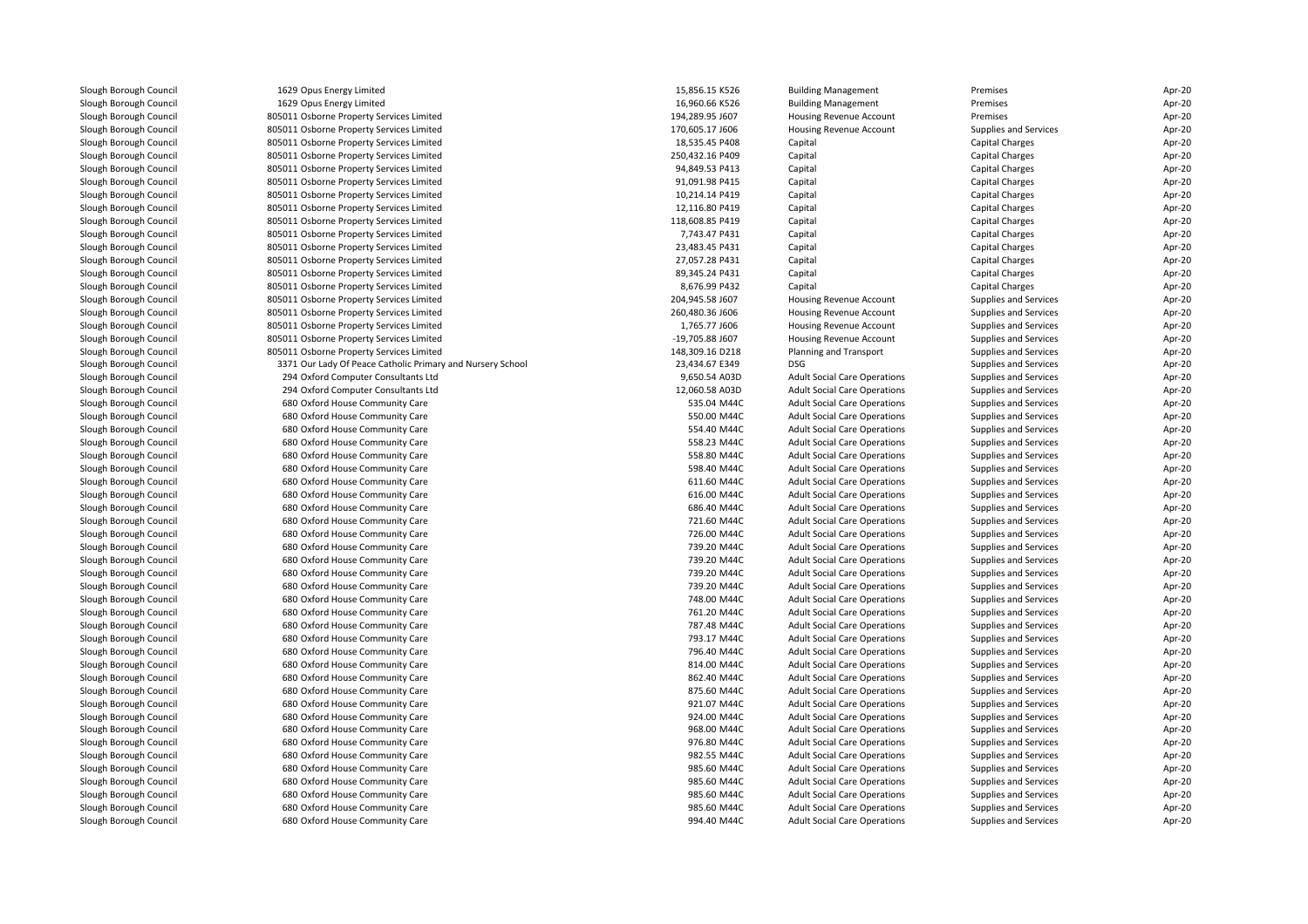| Slough Borough Council | 1629 Opus Energy Limited                                   | 15,856.15 K526  | <b>Building Management</b>          | Premises               | Apr-20 |
|------------------------|------------------------------------------------------------|-----------------|-------------------------------------|------------------------|--------|
| Slough Borough Council | 1629 Opus Energy Limited                                   | 16,960.66 K526  | <b>Building Management</b>          | Premises               | Apr-20 |
| Slough Borough Council | 805011 Osborne Property Services Limited                   | 194,289.95 J607 | Housing Revenue Account             | Premises               | Apr-20 |
| Slough Borough Council | 805011 Osborne Property Services Limited                   | 170,605.17 J606 | Housing Revenue Account             | Supplies and Services  | Apr-20 |
| Slough Borough Council | 805011 Osborne Property Services Limited                   | 18,535.45 P408  | Capital                             | Capital Charges        | Apr-20 |
| Slough Borough Council | 805011 Osborne Property Services Limited                   | 250,432.16 P409 | Capital                             | Capital Charges        | Apr-20 |
| Slough Borough Council | 805011 Osborne Property Services Limited                   | 94,849.53 P413  | Capital                             | Capital Charges        | Apr-20 |
| Slough Borough Council | 805011 Osborne Property Services Limited                   | 91,091.98 P415  | Capital                             | Capital Charges        | Apr-20 |
| Slough Borough Council | 805011 Osborne Property Services Limited                   | 10,214.14 P419  | Capital                             | Capital Charges        | Apr-20 |
| Slough Borough Council | 805011 Osborne Property Services Limited                   | 12,116.80 P419  | Capital                             | Capital Charges        | Apr-20 |
| Slough Borough Council | 805011 Osborne Property Services Limited                   | 118,608.85 P419 | Capital                             | <b>Capital Charges</b> | Apr-20 |
| Slough Borough Council | 805011 Osborne Property Services Limited                   | 7,743.47 P431   | Capital                             | Capital Charges        | Apr-20 |
| Slough Borough Council | 805011 Osborne Property Services Limited                   | 23,483.45 P431  | Capital                             | Capital Charges        | Apr-20 |
| Slough Borough Council | 805011 Osborne Property Services Limited                   | 27,057.28 P431  | Capital                             | Capital Charges        | Apr-20 |
| Slough Borough Council | 805011 Osborne Property Services Limited                   | 89,345.24 P431  | Capital                             | Capital Charges        | Apr-20 |
| Slough Borough Council | 805011 Osborne Property Services Limited                   | 8,676.99 P432   | Capital                             | Capital Charges        | Apr-20 |
| Slough Borough Council | 805011 Osborne Property Services Limited                   | 204,945.58 J607 | Housing Revenue Account             | Supplies and Services  | Apr-20 |
| Slough Borough Council | 805011 Osborne Property Services Limited                   | 260,480.36 J606 | Housing Revenue Account             | Supplies and Services  | Apr-20 |
| Slough Borough Council | 805011 Osborne Property Services Limited                   | 1.765.77 J606   | Housing Revenue Account             | Supplies and Services  | Apr-20 |
| Slough Borough Council | 805011 Osborne Property Services Limited                   | -19,705.88 J607 | Housing Revenue Account             | Supplies and Services  | Apr-20 |
| Slough Borough Council | 805011 Osborne Property Services Limited                   | 148,309.16 D218 | Planning and Transport              | Supplies and Services  | Apr-20 |
| Slough Borough Council | 3371 Our Lady Of Peace Catholic Primary and Nursery School | 23,434.67 E349  | <b>DSG</b>                          | Supplies and Services  | Apr-20 |
| Slough Borough Council | 294 Oxford Computer Consultants Ltd                        | 9,650.54 A03D   | <b>Adult Social Care Operations</b> | Supplies and Services  | Apr-20 |
|                        |                                                            |                 |                                     |                        |        |
| Slough Borough Council | 294 Oxford Computer Consultants Ltd                        | 12,060.58 A03D  | <b>Adult Social Care Operations</b> | Supplies and Services  | Apr-20 |
| Slough Borough Council | 680 Oxford House Community Care                            | 535.04 M44C     | <b>Adult Social Care Operations</b> | Supplies and Services  | Apr-20 |
| Slough Borough Council | 680 Oxford House Community Care                            | 550.00 M44C     | <b>Adult Social Care Operations</b> | Supplies and Services  | Apr-20 |
| Slough Borough Council | 680 Oxford House Community Care                            | 554.40 M44C     | <b>Adult Social Care Operations</b> | Supplies and Services  | Apr-20 |
| Slough Borough Council | 680 Oxford House Community Care                            | 558.23 M44C     | <b>Adult Social Care Operations</b> | Supplies and Services  | Apr-20 |
| Slough Borough Council | 680 Oxford House Community Care                            | 558.80 M44C     | <b>Adult Social Care Operations</b> | Supplies and Services  | Apr-20 |
| Slough Borough Council | 680 Oxford House Community Care                            | 598.40 M44C     | <b>Adult Social Care Operations</b> | Supplies and Services  | Apr-20 |
| Slough Borough Council | 680 Oxford House Community Care                            | 611.60 M44C     | <b>Adult Social Care Operations</b> | Supplies and Services  | Apr-20 |
| Slough Borough Council | 680 Oxford House Community Care                            | 616.00 M44C     | <b>Adult Social Care Operations</b> | Supplies and Services  | Apr-20 |
| Slough Borough Council | 680 Oxford House Community Care                            | 686.40 M44C     | <b>Adult Social Care Operations</b> | Supplies and Services  | Apr-20 |
| Slough Borough Council | 680 Oxford House Community Care                            | 721.60 M44C     | <b>Adult Social Care Operations</b> | Supplies and Services  | Apr-20 |
| Slough Borough Council | 680 Oxford House Community Care                            | 726.00 M44C     | <b>Adult Social Care Operations</b> | Supplies and Services  | Apr-20 |
| Slough Borough Council | 680 Oxford House Community Care                            | 739.20 M44C     | <b>Adult Social Care Operations</b> | Supplies and Services  | Apr-20 |
| Slough Borough Council | 680 Oxford House Community Care                            | 739.20 M44C     | <b>Adult Social Care Operations</b> | Supplies and Services  | Apr-20 |
| Slough Borough Council | 680 Oxford House Community Care                            | 739.20 M44C     | <b>Adult Social Care Operations</b> | Supplies and Services  | Apr-20 |
| Slough Borough Council | 680 Oxford House Community Care                            | 739.20 M44C     | <b>Adult Social Care Operations</b> | Supplies and Services  | Apr-20 |
| Slough Borough Council | 680 Oxford House Community Care                            | 748.00 M44C     | <b>Adult Social Care Operations</b> | Supplies and Services  | Apr-20 |
| Slough Borough Council | 680 Oxford House Community Care                            | 761.20 M44C     | <b>Adult Social Care Operations</b> | Supplies and Services  | Apr-20 |
| Slough Borough Council | 680 Oxford House Community Care                            | 787.48 M44C     | <b>Adult Social Care Operations</b> | Supplies and Services  | Apr-20 |
| Slough Borough Council | 680 Oxford House Community Care                            | 793.17 M44C     | <b>Adult Social Care Operations</b> | Supplies and Services  | Apr-20 |
| Slough Borough Council | 680 Oxford House Community Care                            | 796.40 M44C     | <b>Adult Social Care Operations</b> | Supplies and Services  | Apr-20 |
| Slough Borough Council | 680 Oxford House Community Care                            | 814.00 M44C     | <b>Adult Social Care Operations</b> | Supplies and Services  | Apr-20 |
| Slough Borough Council | 680 Oxford House Community Care                            | 862.40 M44C     | <b>Adult Social Care Operations</b> | Supplies and Services  | Apr-20 |
| Slough Borough Council | 680 Oxford House Community Care                            | 875.60 M44C     | <b>Adult Social Care Operations</b> | Supplies and Services  | Apr-20 |
| Slough Borough Council | 680 Oxford House Community Care                            | 921.07 M44C     | <b>Adult Social Care Operations</b> | Supplies and Services  | Apr-20 |
| Slough Borough Council | 680 Oxford House Community Care                            | 924.00 M44C     | <b>Adult Social Care Operations</b> | Supplies and Services  | Apr-20 |
| Slough Borough Council | 680 Oxford House Community Care                            | 968.00 M44C     | <b>Adult Social Care Operations</b> | Supplies and Services  | Apr-20 |
| Slough Borough Council | 680 Oxford House Community Care                            | 976.80 M44C     | <b>Adult Social Care Operations</b> | Supplies and Services  | Apr-20 |
| Slough Borough Council | 680 Oxford House Community Care                            | 982.55 M44C     | <b>Adult Social Care Operations</b> | Supplies and Services  | Apr-20 |
| Slough Borough Council | 680 Oxford House Community Care                            | 985.60 M44C     | <b>Adult Social Care Operations</b> | Supplies and Services  | Apr-20 |
| Slough Borough Council | 680 Oxford House Community Care                            | 985.60 M44C     | <b>Adult Social Care Operations</b> | Supplies and Services  | Apr-20 |
| Slough Borough Council | 680 Oxford House Community Care                            | 985.60 M44C     | <b>Adult Social Care Operations</b> | Supplies and Services  | Apr-20 |
| Slough Borough Council | 680 Oxford House Community Care                            | 985.60 M44C     | <b>Adult Social Care Operations</b> | Supplies and Services  | Apr-20 |
| Slough Borough Council | 680 Oxford House Community Care                            | 994.40 M44C     | <b>Adult Social Care Operations</b> | Supplies and Services  | Apr-20 |
|                        |                                                            |                 |                                     |                        |        |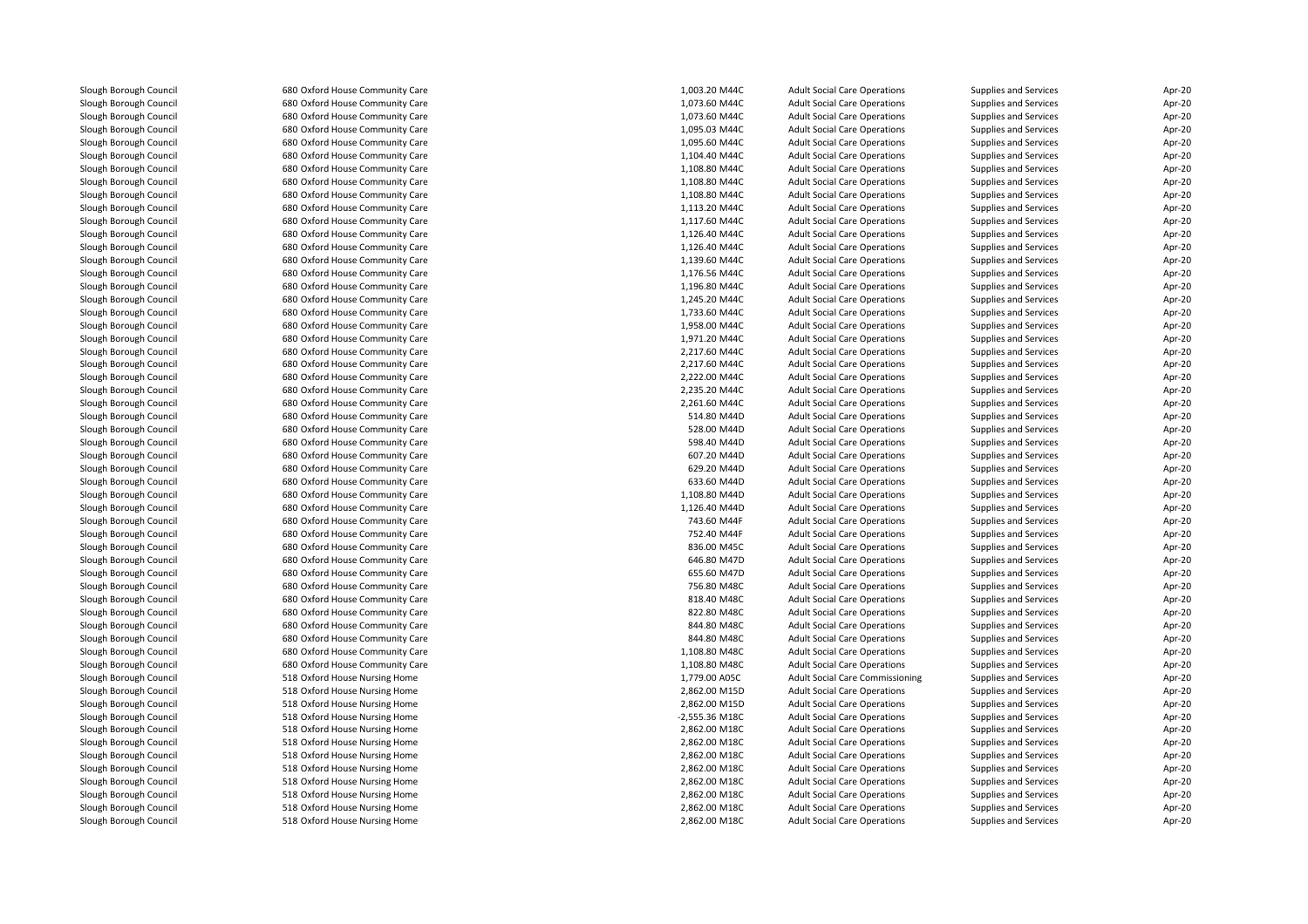| Slough Borough Council | 680 Oxford House Community Care | 1,003.20 M44C  | <b>Adult Social Care Operations</b>    | Supplies and Services | Apr-20 |
|------------------------|---------------------------------|----------------|----------------------------------------|-----------------------|--------|
| Slough Borough Council | 680 Oxford House Community Care | 1,073.60 M44C  | <b>Adult Social Care Operations</b>    | Supplies and Services | Apr-20 |
| Slough Borough Council | 680 Oxford House Community Care | 1,073.60 M44C  | <b>Adult Social Care Operations</b>    | Supplies and Services | Apr-20 |
| Slough Borough Council | 680 Oxford House Community Care | 1,095.03 M44C  | <b>Adult Social Care Operations</b>    | Supplies and Services | Apr-20 |
| Slough Borough Council | 680 Oxford House Community Care | 1,095.60 M44C  | <b>Adult Social Care Operations</b>    | Supplies and Services | Apr-20 |
| Slough Borough Council | 680 Oxford House Community Care | 1,104.40 M44C  | <b>Adult Social Care Operations</b>    | Supplies and Services | Apr-20 |
| Slough Borough Council | 680 Oxford House Community Care | 1,108.80 M44C  | <b>Adult Social Care Operations</b>    | Supplies and Services | Apr-20 |
| Slough Borough Council | 680 Oxford House Community Care | 1,108.80 M44C  | <b>Adult Social Care Operations</b>    | Supplies and Services | Apr-20 |
| Slough Borough Council | 680 Oxford House Community Care | 1,108.80 M44C  | <b>Adult Social Care Operations</b>    | Supplies and Services | Apr-20 |
| Slough Borough Council | 680 Oxford House Community Care | 1,113.20 M44C  | <b>Adult Social Care Operations</b>    | Supplies and Services | Apr-20 |
| Slough Borough Council | 680 Oxford House Community Care | 1,117.60 M44C  | <b>Adult Social Care Operations</b>    | Supplies and Services | Apr-20 |
| Slough Borough Council | 680 Oxford House Community Care | 1,126.40 M44C  | <b>Adult Social Care Operations</b>    | Supplies and Services | Apr-20 |
| Slough Borough Council | 680 Oxford House Community Care | 1,126.40 M44C  | <b>Adult Social Care Operations</b>    | Supplies and Services | Apr-20 |
| Slough Borough Council | 680 Oxford House Community Care | 1,139.60 M44C  | <b>Adult Social Care Operations</b>    | Supplies and Services | Apr-20 |
| Slough Borough Council | 680 Oxford House Community Care | 1,176.56 M44C  | <b>Adult Social Care Operations</b>    | Supplies and Services | Apr-20 |
| Slough Borough Council | 680 Oxford House Community Care | 1,196.80 M44C  | <b>Adult Social Care Operations</b>    | Supplies and Services | Apr-20 |
| Slough Borough Council | 680 Oxford House Community Care | 1,245.20 M44C  | <b>Adult Social Care Operations</b>    | Supplies and Services | Apr-20 |
|                        |                                 |                |                                        |                       | Apr-20 |
| Slough Borough Council | 680 Oxford House Community Care | 1,733.60 M44C  | <b>Adult Social Care Operations</b>    | Supplies and Services |        |
| Slough Borough Council | 680 Oxford House Community Care | 1,958.00 M44C  | <b>Adult Social Care Operations</b>    | Supplies and Services | Apr-20 |
| Slough Borough Council | 680 Oxford House Community Care | 1,971.20 M44C  | <b>Adult Social Care Operations</b>    | Supplies and Services | Apr-20 |
| Slough Borough Council | 680 Oxford House Community Care | 2,217.60 M44C  | <b>Adult Social Care Operations</b>    | Supplies and Services | Apr-20 |
| Slough Borough Council | 680 Oxford House Community Care | 2.217.60 M44C  | <b>Adult Social Care Operations</b>    | Supplies and Services | Apr-20 |
| Slough Borough Council | 680 Oxford House Community Care | 2,222.00 M44C  | <b>Adult Social Care Operations</b>    | Supplies and Services | Apr-20 |
| Slough Borough Council | 680 Oxford House Community Care | 2,235.20 M44C  | <b>Adult Social Care Operations</b>    | Supplies and Services | Apr-20 |
| Slough Borough Council | 680 Oxford House Community Care | 2,261.60 M44C  | <b>Adult Social Care Operations</b>    | Supplies and Services | Apr-20 |
| Slough Borough Council | 680 Oxford House Community Care | 514.80 M44D    | <b>Adult Social Care Operations</b>    | Supplies and Services | Apr-20 |
| Slough Borough Council | 680 Oxford House Community Care | 528.00 M44D    | <b>Adult Social Care Operations</b>    | Supplies and Services | Apr-20 |
| Slough Borough Council | 680 Oxford House Community Care | 598.40 M44D    | <b>Adult Social Care Operations</b>    | Supplies and Services | Apr-20 |
| Slough Borough Council | 680 Oxford House Community Care | 607.20 M44D    | <b>Adult Social Care Operations</b>    | Supplies and Services | Apr-20 |
| Slough Borough Council | 680 Oxford House Community Care | 629.20 M44D    | <b>Adult Social Care Operations</b>    | Supplies and Services | Apr-20 |
| Slough Borough Council | 680 Oxford House Community Care | 633.60 M44D    | <b>Adult Social Care Operations</b>    | Supplies and Services | Apr-20 |
| Slough Borough Council | 680 Oxford House Community Care | 1,108.80 M44D  | <b>Adult Social Care Operations</b>    | Supplies and Services | Apr-20 |
| Slough Borough Council | 680 Oxford House Community Care | 1,126.40 M44D  | <b>Adult Social Care Operations</b>    | Supplies and Services | Apr-20 |
| Slough Borough Council | 680 Oxford House Community Care | 743.60 M44F    | <b>Adult Social Care Operations</b>    | Supplies and Services | Apr-20 |
| Slough Borough Council | 680 Oxford House Community Care | 752.40 M44F    | <b>Adult Social Care Operations</b>    | Supplies and Services | Apr-20 |
| Slough Borough Council | 680 Oxford House Community Care | 836.00 M45C    | <b>Adult Social Care Operations</b>    | Supplies and Services | Apr-20 |
| Slough Borough Council | 680 Oxford House Community Care | 646.80 M47D    | <b>Adult Social Care Operations</b>    | Supplies and Services | Apr-20 |
| Slough Borough Council | 680 Oxford House Community Care | 655.60 M47D    | <b>Adult Social Care Operations</b>    | Supplies and Services | Apr-20 |
| Slough Borough Council | 680 Oxford House Community Care | 756.80 M48C    | <b>Adult Social Care Operations</b>    | Supplies and Services | Apr-20 |
| Slough Borough Council | 680 Oxford House Community Care | 818.40 M48C    | <b>Adult Social Care Operations</b>    | Supplies and Services | Apr-20 |
| Slough Borough Council | 680 Oxford House Community Care | 822.80 M48C    | <b>Adult Social Care Operations</b>    | Supplies and Services | Apr-20 |
| Slough Borough Council | 680 Oxford House Community Care | 844.80 M48C    | <b>Adult Social Care Operations</b>    | Supplies and Services | Apr-20 |
| Slough Borough Council | 680 Oxford House Community Care | 844.80 M48C    | <b>Adult Social Care Operations</b>    | Supplies and Services | Apr-20 |
| Slough Borough Council | 680 Oxford House Community Care | 1,108.80 M48C  | <b>Adult Social Care Operations</b>    | Supplies and Services | Apr-20 |
| Slough Borough Council | 680 Oxford House Community Care | 1,108.80 M48C  | <b>Adult Social Care Operations</b>    | Supplies and Services | Apr-20 |
| Slough Borough Council | 518 Oxford House Nursing Home   | 1,779.00 A05C  | <b>Adult Social Care Commissioning</b> | Supplies and Services | Apr-20 |
| Slough Borough Council | 518 Oxford House Nursing Home   | 2,862.00 M15D  | <b>Adult Social Care Operations</b>    | Supplies and Services | Apr-20 |
| Slough Borough Council | 518 Oxford House Nursing Home   | 2,862.00 M15D  | <b>Adult Social Care Operations</b>    | Supplies and Services | Apr-20 |
| Slough Borough Council | 518 Oxford House Nursing Home   | -2,555.36 M18C | <b>Adult Social Care Operations</b>    | Supplies and Services | Apr-20 |
| Slough Borough Council | 518 Oxford House Nursing Home   | 2,862.00 M18C  | <b>Adult Social Care Operations</b>    | Supplies and Services | Apr-20 |
| Slough Borough Council | 518 Oxford House Nursing Home   | 2,862.00 M18C  | <b>Adult Social Care Operations</b>    | Supplies and Services | Apr-20 |
| Slough Borough Council | 518 Oxford House Nursing Home   | 2,862.00 M18C  | <b>Adult Social Care Operations</b>    | Supplies and Services | Apr-20 |
| Slough Borough Council | 518 Oxford House Nursing Home   | 2,862.00 M18C  | <b>Adult Social Care Operations</b>    | Supplies and Services | Apr-20 |
| Slough Borough Council | 518 Oxford House Nursing Home   | 2,862.00 M18C  | <b>Adult Social Care Operations</b>    | Supplies and Services | Apr-20 |
| Slough Borough Council | 518 Oxford House Nursing Home   | 2,862.00 M18C  | <b>Adult Social Care Operations</b>    | Supplies and Services | Apr-20 |
| Slough Borough Council | 518 Oxford House Nursing Home   | 2,862.00 M18C  | <b>Adult Social Care Operations</b>    | Supplies and Services | Apr-20 |
| Slough Borough Council | 518 Oxford House Nursing Home   | 2,862.00 M18C  | <b>Adult Social Care Operations</b>    | Supplies and Services | Apr-20 |
|                        |                                 |                |                                        |                       |        |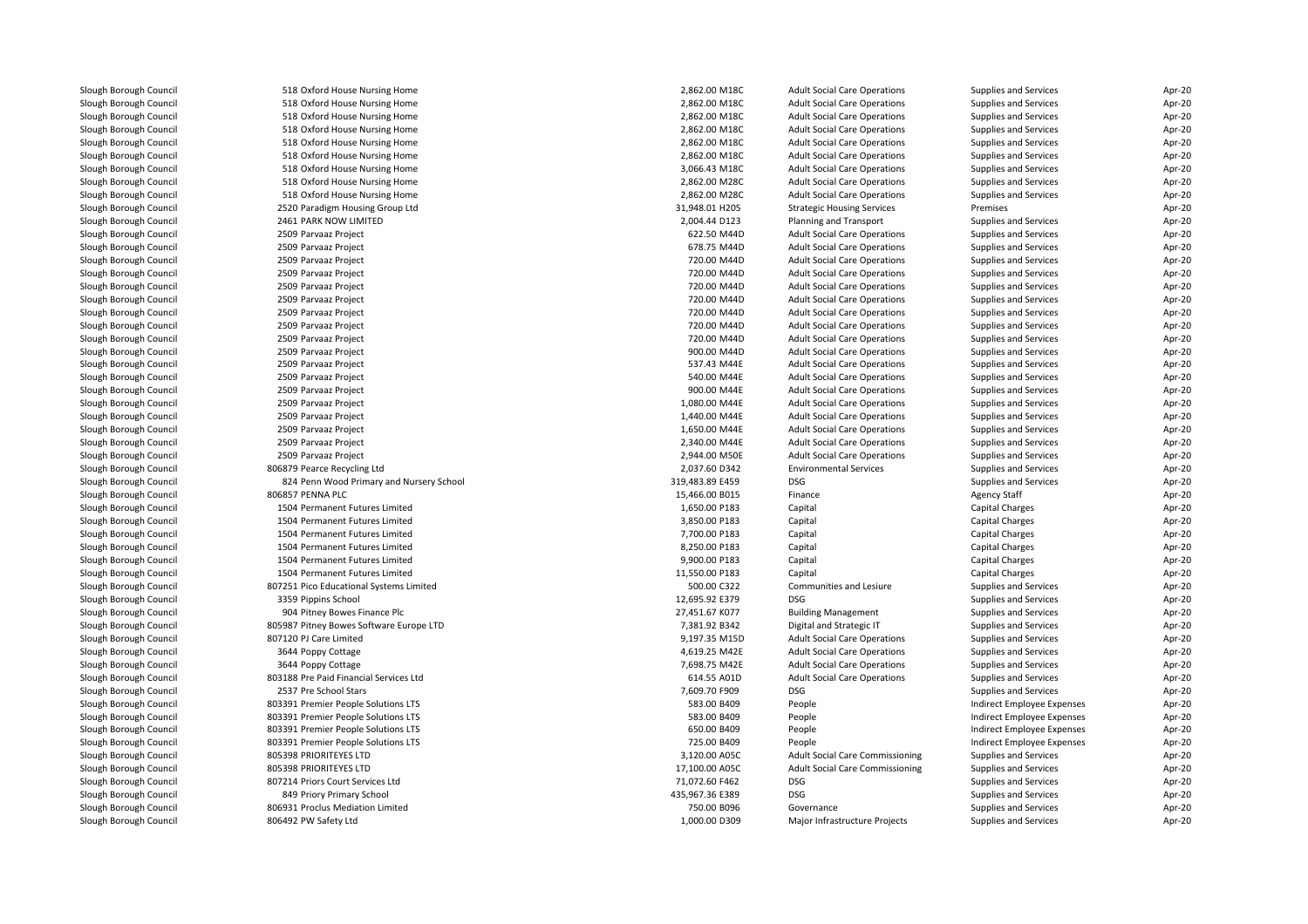| Slough Borough Council | 518 Oxford House Nursing Home            | 2,862.00 M18C   | <b>Adult Social Care Operations</b>    | Supplies and Services      | Apr-20 |
|------------------------|------------------------------------------|-----------------|----------------------------------------|----------------------------|--------|
| Slough Borough Council | 518 Oxford House Nursing Home            | 2,862.00 M18C   | <b>Adult Social Care Operations</b>    | Supplies and Services      | Apr-20 |
| Slough Borough Council | 518 Oxford House Nursing Home            | 2,862.00 M18C   | <b>Adult Social Care Operations</b>    | Supplies and Services      | Apr-20 |
| Slough Borough Council | 518 Oxford House Nursing Home            | 2,862.00 M18C   | <b>Adult Social Care Operations</b>    | Supplies and Services      | Apr-20 |
| Slough Borough Council | 518 Oxford House Nursing Home            | 2,862.00 M18C   | <b>Adult Social Care Operations</b>    | Supplies and Services      | Apr-20 |
| Slough Borough Council | 518 Oxford House Nursing Home            | 2,862.00 M18C   | <b>Adult Social Care Operations</b>    | Supplies and Services      | Apr-20 |
| Slough Borough Council | 518 Oxford House Nursing Home            | 3,066.43 M18C   | <b>Adult Social Care Operations</b>    | Supplies and Services      | Apr-20 |
| Slough Borough Council | 518 Oxford House Nursing Home            | 2,862.00 M28C   | <b>Adult Social Care Operations</b>    | Supplies and Services      | Apr-20 |
| Slough Borough Council | 518 Oxford House Nursing Home            | 2,862.00 M28C   | <b>Adult Social Care Operations</b>    | Supplies and Services      | Apr-20 |
| Slough Borough Council | 2520 Paradigm Housing Group Ltd          | 31,948.01 H205  | <b>Strategic Housing Services</b>      | Premises                   | Apr-20 |
| Slough Borough Council | 2461 PARK NOW LIMITED                    | 2,004.44 D123   | Planning and Transport                 | Supplies and Services      | Apr-20 |
| Slough Borough Council | 2509 Parvaaz Project                     | 622.50 M44D     | <b>Adult Social Care Operations</b>    | Supplies and Services      | Apr-20 |
| Slough Borough Council | 2509 Parvaaz Project                     | 678.75 M44D     | <b>Adult Social Care Operations</b>    | Supplies and Services      | Apr-20 |
| Slough Borough Council | 2509 Parvaaz Project                     | 720.00 M44D     | <b>Adult Social Care Operations</b>    | Supplies and Services      | Apr-20 |
| Slough Borough Council | 2509 Parvaaz Project                     | 720.00 M44D     | <b>Adult Social Care Operations</b>    | Supplies and Services      | Apr-20 |
| Slough Borough Council | 2509 Parvaaz Project                     | 720.00 M44D     | <b>Adult Social Care Operations</b>    | Supplies and Services      | Apr-20 |
| Slough Borough Council | 2509 Parvaaz Project                     | 720.00 M44D     | <b>Adult Social Care Operations</b>    | Supplies and Services      | Apr-20 |
| Slough Borough Council | 2509 Parvaaz Project                     | 720.00 M44D     | <b>Adult Social Care Operations</b>    | Supplies and Services      | Apr-20 |
| Slough Borough Council | 2509 Parvaaz Project                     | 720.00 M44D     | <b>Adult Social Care Operations</b>    | Supplies and Services      | Apr-20 |
| Slough Borough Council | 2509 Parvaaz Project                     | 720.00 M44D     | <b>Adult Social Care Operations</b>    | Supplies and Services      | Apr-20 |
| Slough Borough Council | 2509 Parvaaz Project                     | 900.00 M44D     | <b>Adult Social Care Operations</b>    | Supplies and Services      | Apr-20 |
| Slough Borough Council | 2509 Parvaaz Project                     | 537.43 M44E     | <b>Adult Social Care Operations</b>    | Supplies and Services      | Apr-20 |
| Slough Borough Council | 2509 Parvaaz Project                     | 540.00 M44E     | <b>Adult Social Care Operations</b>    | Supplies and Services      | Apr-20 |
| Slough Borough Council | 2509 Parvaaz Project                     | 900.00 M44E     | <b>Adult Social Care Operations</b>    | Supplies and Services      | Apr-20 |
| Slough Borough Council | 2509 Parvaaz Project                     | 1,080.00 M44E   | <b>Adult Social Care Operations</b>    | Supplies and Services      | Apr-20 |
| Slough Borough Council | 2509 Parvaaz Project                     | 1,440.00 M44E   | <b>Adult Social Care Operations</b>    | Supplies and Services      | Apr-20 |
| Slough Borough Council | 2509 Parvaaz Project                     | 1,650.00 M44E   | <b>Adult Social Care Operations</b>    | Supplies and Services      | Apr-20 |
| Slough Borough Council | 2509 Parvaaz Project                     | 2,340.00 M44E   | <b>Adult Social Care Operations</b>    | Supplies and Services      | Apr-20 |
| Slough Borough Council | 2509 Parvaaz Project                     | 2,944.00 M50E   | <b>Adult Social Care Operations</b>    | Supplies and Services      | Apr-20 |
| Slough Borough Council | 806879 Pearce Recycling Ltd              | 2,037.60 D342   | <b>Environmental Services</b>          | Supplies and Services      | Apr-20 |
| Slough Borough Council | 824 Penn Wood Primary and Nursery School | 319,483.89 E459 | <b>DSG</b>                             | Supplies and Services      | Apr-20 |
| Slough Borough Council | 806857 PENNA PLC                         | 15,466.00 B015  | Finance                                | <b>Agency Staff</b>        | Apr-20 |
| Slough Borough Council | 1504 Permanent Futures Limited           | 1,650.00 P183   | Capital                                | <b>Capital Charges</b>     | Apr-20 |
| Slough Borough Council | 1504 Permanent Futures Limited           | 3,850.00 P183   | Capital                                | Capital Charges            | Apr-20 |
| Slough Borough Council | 1504 Permanent Futures Limited           | 7,700.00 P183   | Capital                                | Capital Charges            | Apr-20 |
| Slough Borough Council | 1504 Permanent Futures Limited           | 8,250.00 P183   | Capital                                | Capital Charges            | Apr-20 |
| Slough Borough Council | 1504 Permanent Futures Limited           | 9,900.00 P183   | Capital                                | Capital Charges            | Apr-20 |
| Slough Borough Council | 1504 Permanent Futures Limited           | 11,550.00 P183  | Capital                                | <b>Capital Charges</b>     | Apr-20 |
| Slough Borough Council | 807251 Pico Educational Systems Limited  | 500.00 C322     | Communities and Lesiure                | Supplies and Services      | Apr-20 |
| Slough Borough Council | 3359 Pippins School                      | 12,695.92 E379  | <b>DSG</b>                             | Supplies and Services      | Apr-20 |
| Slough Borough Council | 904 Pitney Bowes Finance Plc             | 27,451.67 K077  | <b>Building Management</b>             | Supplies and Services      | Apr-20 |
| Slough Borough Council | 805987 Pitney Bowes Software Europe LTD  | 7,381.92 B342   | Digital and Strategic IT               | Supplies and Services      | Apr-20 |
| Slough Borough Council | 807120 PJ Care Limited                   | 9,197.35 M15D   | <b>Adult Social Care Operations</b>    | Supplies and Services      | Apr-20 |
| Slough Borough Council | 3644 Poppy Cottage                       | 4,619.25 M42E   | <b>Adult Social Care Operations</b>    | Supplies and Services      | Apr-20 |
| Slough Borough Council | 3644 Poppy Cottage                       | 7,698.75 M42E   | <b>Adult Social Care Operations</b>    | Supplies and Services      | Apr-20 |
| Slough Borough Council | 803188 Pre Paid Financial Services Ltd   | 614.55 A01D     | <b>Adult Social Care Operations</b>    | Supplies and Services      | Apr-20 |
| Slough Borough Council | 2537 Pre School Stars                    | 7,609.70 F909   | DSG                                    | Supplies and Services      | Apr-20 |
| Slough Borough Council | 803391 Premier People Solutions LTS      | 583.00 B409     | People                                 | Indirect Employee Expenses | Apr-20 |
| Slough Borough Council | 803391 Premier People Solutions LTS      | 583.00 B409     | People                                 | Indirect Employee Expenses | Apr-20 |
| Slough Borough Council | 803391 Premier People Solutions LTS      | 650.00 B409     | People                                 | Indirect Employee Expenses | Apr-20 |
| Slough Borough Council | 803391 Premier People Solutions LTS      | 725.00 B409     | People                                 | Indirect Employee Expenses | Apr-20 |
| Slough Borough Council | 805398 PRIORITEYES LTD                   | 3,120.00 A05C   | Adult Social Care Commissioning        | Supplies and Services      | Apr-20 |
| Slough Borough Council | 805398 PRIORITEYES LTD                   | 17,100.00 A05C  | <b>Adult Social Care Commissioning</b> | Supplies and Services      | Apr-20 |
| Slough Borough Council | 807214 Priors Court Services Ltd         | 71,072.60 F462  | <b>DSG</b>                             | Supplies and Services      | Apr-20 |
| Slough Borough Council | 849 Priory Primary School                | 435,967.36 E389 | <b>DSG</b>                             | Supplies and Services      | Apr-20 |
| Slough Borough Council | 806931 Proclus Mediation Limited         | 750.00 B096     | Governance                             | Supplies and Services      | Apr-20 |
| Slough Borough Council | 806492 PW Safety Ltd                     | 1,000.00 D309   | Major Infrastructure Projects          | Supplies and Services      | Apr-20 |
|                        |                                          |                 |                                        |                            |        |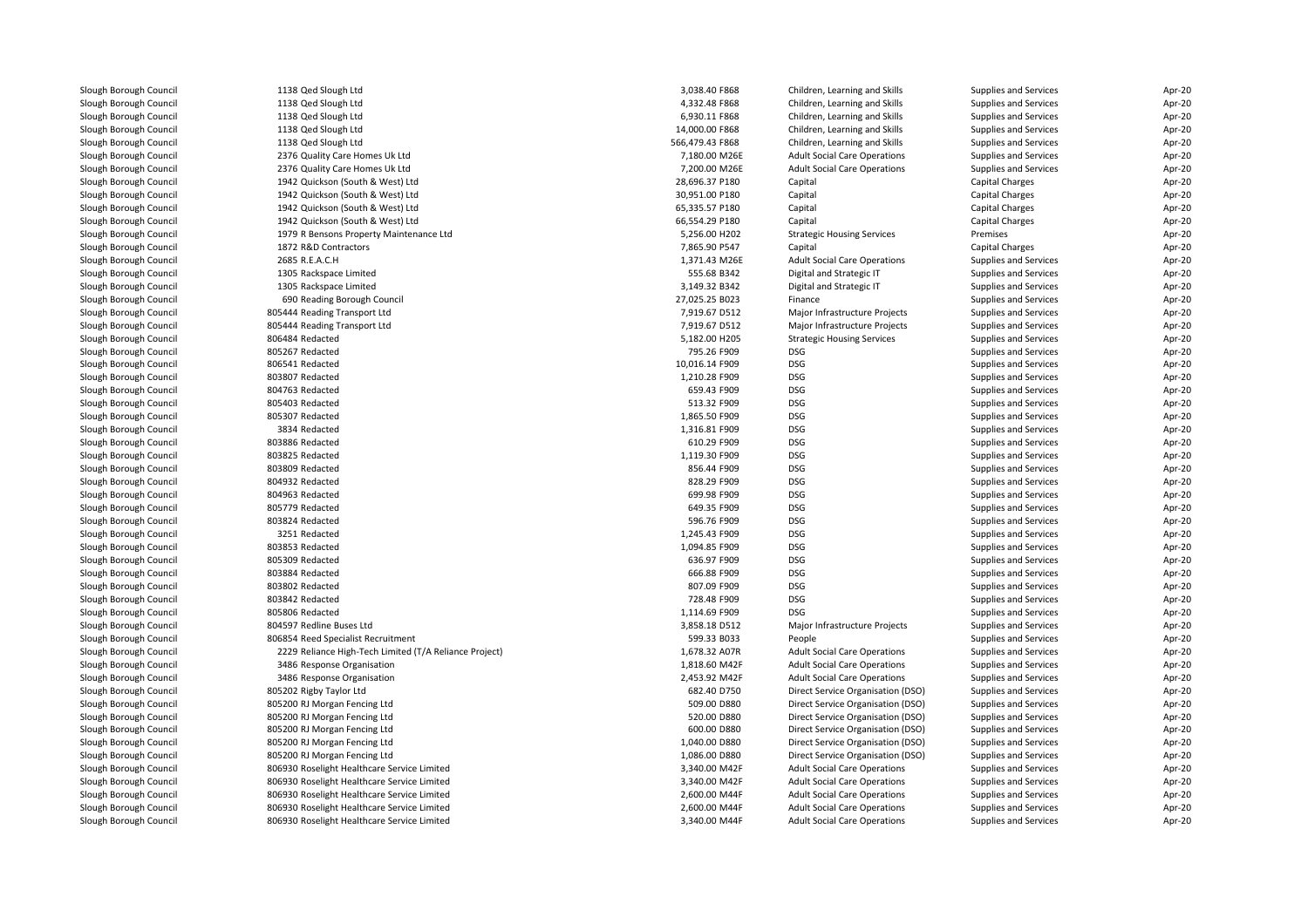| Slough Borough Council | 1138 Qed Slough Ltd                                    | 3,038.40 F868   | Children, Learning and Skills       | Supplies and Services | Apr-20 |
|------------------------|--------------------------------------------------------|-----------------|-------------------------------------|-----------------------|--------|
| Slough Borough Council | 1138 Qed Slough Ltd                                    | 4,332.48 F868   | Children, Learning and Skills       | Supplies and Services | Apr-20 |
| Slough Borough Council | 1138 Qed Slough Ltd                                    | 6,930.11 F868   | Children, Learning and Skills       | Supplies and Services | Apr-20 |
| Slough Borough Council | 1138 Qed Slough Ltd                                    | 14,000.00 F868  | Children, Learning and Skills       | Supplies and Services | Apr-20 |
| Slough Borough Council | 1138 Qed Slough Ltd                                    | 566,479.43 F868 | Children, Learning and Skills       | Supplies and Services | Apr-20 |
| Slough Borough Council | 2376 Quality Care Homes Uk Ltd                         | 7,180.00 M26E   | <b>Adult Social Care Operations</b> | Supplies and Services | Apr-20 |
| Slough Borough Council | 2376 Quality Care Homes Uk Ltd                         | 7,200.00 M26E   | <b>Adult Social Care Operations</b> | Supplies and Services | Apr-20 |
| Slough Borough Council | 1942 Quickson (South & West) Ltd                       | 28,696.37 P180  | Capital                             | Capital Charges       | Apr-20 |
| Slough Borough Council | 1942 Quickson (South & West) Ltd                       | 30,951.00 P180  | Capital                             | Capital Charges       | Apr-20 |
| Slough Borough Council | 1942 Quickson (South & West) Ltd                       | 65,335.57 P180  | Capital                             | Capital Charges       | Apr-20 |
| Slough Borough Council | 1942 Quickson (South & West) Ltd                       | 66,554.29 P180  | Capital                             | Capital Charges       | Apr-20 |
| Slough Borough Council | 1979 R Bensons Property Maintenance Ltd                | 5,256.00 H202   | <b>Strategic Housing Services</b>   | Premises              | Apr-20 |
| Slough Borough Council | 1872 R&D Contractors                                   | 7,865.90 P547   | Capital                             | Capital Charges       | Apr-20 |
| Slough Borough Council | 2685 R.E.A.C.H                                         | 1,371.43 M26E   | <b>Adult Social Care Operations</b> | Supplies and Services | Apr-20 |
| Slough Borough Council | 1305 Rackspace Limited                                 | 555.68 B342     | Digital and Strategic IT            | Supplies and Services | Apr-20 |
| Slough Borough Council | 1305 Rackspace Limited                                 | 3,149.32 B342   | Digital and Strategic IT            | Supplies and Services | Apr-20 |
| Slough Borough Council | 690 Reading Borough Council                            | 27,025.25 B023  | Finance                             | Supplies and Services | Apr-20 |
| Slough Borough Council | 805444 Reading Transport Ltd                           | 7,919.67 D512   | Major Infrastructure Projects       | Supplies and Services | Apr-20 |
| Slough Borough Council | 805444 Reading Transport Ltd                           | 7,919.67 D512   | Major Infrastructure Projects       | Supplies and Services | Apr-20 |
| Slough Borough Council | 806484 Redacted                                        | 5,182.00 H205   | <b>Strategic Housing Services</b>   | Supplies and Services | Apr-20 |
| Slough Borough Council | 805267 Redacted                                        | 795.26 F909     | <b>DSG</b>                          | Supplies and Services | Apr-20 |
| Slough Borough Council | 806541 Redacted                                        | 10.016.14 F909  | <b>DSG</b>                          | Supplies and Services | Apr-20 |
| Slough Borough Council | 803807 Redacted                                        | 1,210.28 F909   | <b>DSG</b>                          | Supplies and Services | Apr-20 |
| Slough Borough Council | 804763 Redacted                                        | 659.43 F909     | <b>DSG</b>                          | Supplies and Services | Apr-20 |
| Slough Borough Council | 805403 Redacted                                        | 513.32 F909     | <b>DSG</b>                          | Supplies and Services | Apr-20 |
| Slough Borough Council | 805307 Redacted                                        | 1,865.50 F909   | <b>DSG</b>                          | Supplies and Services | Apr-20 |
| Slough Borough Council | 3834 Redacted                                          | 1,316.81 F909   | DSG                                 | Supplies and Services | Apr-20 |
| Slough Borough Council | 803886 Redacted                                        | 610.29 F909     | <b>DSG</b>                          | Supplies and Services | Apr-20 |
| Slough Borough Council | 803825 Redacted                                        | 1,119.30 F909   | <b>DSG</b>                          | Supplies and Services | Apr-20 |
| Slough Borough Council | 803809 Redacted                                        | 856.44 F909     | <b>DSG</b>                          | Supplies and Services | Apr-20 |
| Slough Borough Council | 804932 Redacted                                        | 828.29 F909     | <b>DSG</b>                          | Supplies and Services | Apr-20 |
| Slough Borough Council | 804963 Redacted                                        | 699.98 F909     | <b>DSG</b>                          | Supplies and Services | Apr-20 |
| Slough Borough Council | 805779 Redacted                                        | 649.35 F909     | <b>DSG</b>                          | Supplies and Services | Apr-20 |
| Slough Borough Council | 803824 Redacted                                        | 596.76 F909     | <b>DSG</b>                          | Supplies and Services | Apr-20 |
| Slough Borough Council | 3251 Redacted                                          | 1,245.43 F909   | <b>DSG</b>                          | Supplies and Services | Apr-20 |
| Slough Borough Council | 803853 Redacted                                        | 1,094.85 F909   | <b>DSG</b>                          | Supplies and Services | Apr-20 |
| Slough Borough Council | 805309 Redacted                                        | 636.97 F909     | <b>DSG</b>                          | Supplies and Services | Apr-20 |
| Slough Borough Council | 803884 Redacted                                        | 666.88 F909     | <b>DSG</b>                          | Supplies and Services | Apr-20 |
| Slough Borough Council | 803802 Redacted                                        | 807.09 F909     | <b>DSG</b>                          | Supplies and Services | Apr-20 |
| Slough Borough Council | 803842 Redacted                                        | 728.48 F909     | <b>DSG</b>                          | Supplies and Services | Apr-20 |
| Slough Borough Council | 805806 Redacted                                        | 1,114.69 F909   | <b>DSG</b>                          | Supplies and Services | Apr-20 |
| Slough Borough Council | 804597 Redline Buses Ltd                               | 3,858.18 D512   | Major Infrastructure Projects       | Supplies and Services | Apr-20 |
| Slough Borough Council | 806854 Reed Specialist Recruitment                     | 599.33 B033     | People                              | Supplies and Services | Apr-20 |
| Slough Borough Council | 2229 Reliance High-Tech Limited (T/A Reliance Project) | 1,678.32 A07R   | <b>Adult Social Care Operations</b> | Supplies and Services | Apr-20 |
| Slough Borough Council | 3486 Response Organisation                             | 1,818.60 M42F   | <b>Adult Social Care Operations</b> | Supplies and Services | Apr-20 |
| Slough Borough Council | 3486 Response Organisation                             | 2,453.92 M42F   | <b>Adult Social Care Operations</b> | Supplies and Services | Apr-20 |
| Slough Borough Council | 805202 Rigby Taylor Ltd                                | 682.40 D750     | Direct Service Organisation (DSO)   | Supplies and Services | Apr-20 |
| Slough Borough Council | 805200 RJ Morgan Fencing Ltd                           | 509.00 D880     | Direct Service Organisation (DSO)   | Supplies and Services | Apr-20 |
| Slough Borough Council | 805200 RJ Morgan Fencing Ltd                           | 520.00 D880     | Direct Service Organisation (DSO)   | Supplies and Services | Apr-20 |
| Slough Borough Council | 805200 RJ Morgan Fencing Ltd                           | 600.00 D880     | Direct Service Organisation (DSO)   | Supplies and Services | Apr-20 |
| Slough Borough Council | 805200 RJ Morgan Fencing Ltd                           | 1,040.00 D880   | Direct Service Organisation (DSO)   | Supplies and Services | Apr-20 |
| Slough Borough Council | 805200 RJ Morgan Fencing Ltd                           | 1,086.00 D880   | Direct Service Organisation (DSO)   | Supplies and Services | Apr-20 |
| Slough Borough Council | 806930 Roselight Healthcare Service Limited            | 3,340.00 M42F   | <b>Adult Social Care Operations</b> | Supplies and Services | Apr-20 |
| Slough Borough Council | 806930 Roselight Healthcare Service Limited            | 3,340.00 M42F   | <b>Adult Social Care Operations</b> | Supplies and Services | Apr-20 |
| Slough Borough Council | 806930 Roselight Healthcare Service Limited            | 2,600.00 M44F   | <b>Adult Social Care Operations</b> | Supplies and Services | Apr-20 |
| Slough Borough Council | 806930 Roselight Healthcare Service Limited            | 2,600.00 M44F   | <b>Adult Social Care Operations</b> | Supplies and Services | Apr-20 |
| Slough Borough Council | 806930 Roselight Healthcare Service Limited            | 3,340.00 M44F   | <b>Adult Social Care Operations</b> | Supplies and Services | Apr-20 |
|                        |                                                        |                 |                                     |                       |        |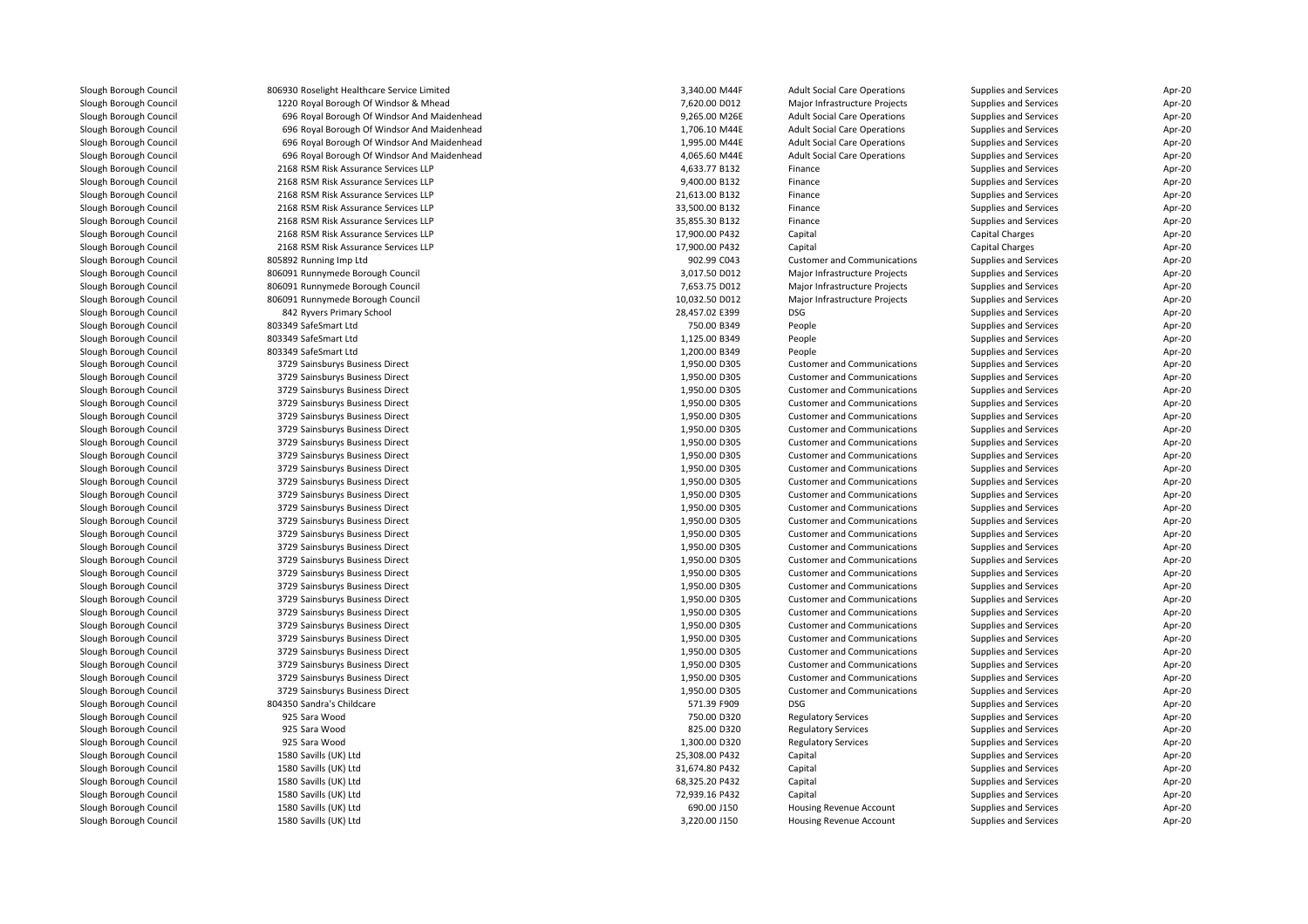| Slough Borough Council | 806930 Roselight Healthcare Service Limited | 3,340.00 M44F  | <b>Adult Social Care Operations</b> | Supplies and Services  | Apr-20           |
|------------------------|---------------------------------------------|----------------|-------------------------------------|------------------------|------------------|
| Slough Borough Council | 1220 Royal Borough Of Windsor & Mhead       | 7,620.00 D012  | Major Infrastructure Projects       | Supplies and Services  | Apr-20           |
| Slough Borough Council | 696 Royal Borough Of Windsor And Maidenhead | 9,265.00 M26E  | <b>Adult Social Care Operations</b> | Supplies and Services  | Apr-20           |
| Slough Borough Council | 696 Royal Borough Of Windsor And Maidenhead | 1,706.10 M44E  | <b>Adult Social Care Operations</b> | Supplies and Services  | Apr-20           |
| Slough Borough Council | 696 Royal Borough Of Windsor And Maidenhead | 1,995.00 M44E  | <b>Adult Social Care Operations</b> | Supplies and Services  | Apr-20           |
| Slough Borough Council | 696 Royal Borough Of Windsor And Maidenhead | 4,065.60 M44E  | <b>Adult Social Care Operations</b> | Supplies and Services  | Apr-20           |
| Slough Borough Council | 2168 RSM Risk Assurance Services LLP        | 4,633.77 B132  | Finance                             | Supplies and Services  | Apr-20           |
| Slough Borough Council | 2168 RSM Risk Assurance Services LLP        | 9,400.00 B132  | Finance                             | Supplies and Services  | Apr-20           |
| Slough Borough Council | 2168 RSM Risk Assurance Services LLP        | 21,613.00 B132 | Finance                             | Supplies and Services  | Apr-20           |
| Slough Borough Council | 2168 RSM Risk Assurance Services LLP        | 33,500.00 B132 | Finance                             | Supplies and Services  | Apr-20           |
| Slough Borough Council | 2168 RSM Risk Assurance Services LLP        | 35,855.30 B132 | Finance                             | Supplies and Services  | Apr-20           |
| Slough Borough Council | 2168 RSM Risk Assurance Services LLP        | 17,900.00 P432 | Capital                             | Capital Charges        | Apr-20           |
| Slough Borough Council | 2168 RSM Risk Assurance Services LLP        | 17,900.00 P432 | Capital                             | <b>Capital Charges</b> | Apr-20           |
| Slough Borough Council | 805892 Running Imp Ltd                      | 902.99 C043    | <b>Customer and Communications</b>  | Supplies and Services  | Apr-20           |
| Slough Borough Council | 806091 Runnymede Borough Council            | 3,017.50 D012  | Major Infrastructure Projects       | Supplies and Services  | Apr-20           |
| Slough Borough Council | 806091 Runnymede Borough Council            | 7,653.75 D012  | Major Infrastructure Projects       | Supplies and Services  | Apr-20           |
| Slough Borough Council | 806091 Runnymede Borough Council            | 10,032.50 D012 | Major Infrastructure Projects       | Supplies and Services  | Apr-20           |
| Slough Borough Council | 842 Ryvers Primary School                   | 28,457.02 E399 | <b>DSG</b>                          | Supplies and Services  | Apr-20           |
| Slough Borough Council | 803349 SafeSmart Ltd                        | 750.00 B349    | People                              | Supplies and Services  | Apr-20           |
| Slough Borough Council | 803349 SafeSmart Ltd                        | 1,125.00 B349  | People                              | Supplies and Services  | Apr-20           |
| Slough Borough Council | 803349 SafeSmart Ltd                        | 1,200.00 B349  | People                              | Supplies and Services  | Apr-20           |
| Slough Borough Council | 3729 Sainsburys Business Direct             | 1,950.00 D305  | <b>Customer and Communications</b>  | Supplies and Services  | Apr-20           |
|                        | 3729 Sainsburys Business Direct             | 1,950.00 D305  | <b>Customer and Communications</b>  |                        | Apr-20           |
| Slough Borough Council |                                             |                |                                     | Supplies and Services  |                  |
| Slough Borough Council | 3729 Sainsburys Business Direct             | 1,950.00 D305  | <b>Customer and Communications</b>  | Supplies and Services  | Apr-20<br>Apr-20 |
| Slough Borough Council | 3729 Sainsburys Business Direct             | 1,950.00 D305  | <b>Customer and Communications</b>  | Supplies and Services  |                  |
| Slough Borough Council | 3729 Sainsburys Business Direct             | 1,950.00 D305  | <b>Customer and Communications</b>  | Supplies and Services  | Apr-20           |
| Slough Borough Council | 3729 Sainsburys Business Direct             | 1,950.00 D305  | <b>Customer and Communications</b>  | Supplies and Services  | Apr-20           |
| Slough Borough Council | 3729 Sainsburys Business Direct             | 1,950.00 D305  | <b>Customer and Communications</b>  | Supplies and Services  | Apr-20           |
| Slough Borough Council | 3729 Sainsburys Business Direct             | 1,950.00 D305  | <b>Customer and Communications</b>  | Supplies and Services  | Apr-20           |
| Slough Borough Council | 3729 Sainsburys Business Direct             | 1,950.00 D305  | <b>Customer and Communications</b>  | Supplies and Services  | Apr-20           |
| Slough Borough Council | 3729 Sainsburys Business Direct             | 1,950.00 D305  | <b>Customer and Communications</b>  | Supplies and Services  | Apr-20           |
| Slough Borough Council | 3729 Sainsburys Business Direct             | 1,950.00 D305  | <b>Customer and Communications</b>  | Supplies and Services  | Apr-20           |
| Slough Borough Council | 3729 Sainsburys Business Direct             | 1,950.00 D305  | <b>Customer and Communications</b>  | Supplies and Services  | Apr-20           |
| Slough Borough Council | 3729 Sainsburys Business Direct             | 1,950.00 D305  | <b>Customer and Communications</b>  | Supplies and Services  | Apr-20           |
| Slough Borough Council | 3729 Sainsburys Business Direct             | 1,950.00 D305  | <b>Customer and Communications</b>  | Supplies and Services  | Apr-20           |
| Slough Borough Council | 3729 Sainsburys Business Direct             | 1,950.00 D305  | <b>Customer and Communications</b>  | Supplies and Services  | Apr-20           |
| Slough Borough Council | 3729 Sainsburys Business Direct             | 1,950.00 D305  | <b>Customer and Communications</b>  | Supplies and Services  | Apr-20           |
| Slough Borough Council | 3729 Sainsburys Business Direct             | 1,950.00 D305  | <b>Customer and Communications</b>  | Supplies and Services  | Apr-20           |
| Slough Borough Council | 3729 Sainsburys Business Direct             | 1,950.00 D305  | <b>Customer and Communications</b>  | Supplies and Services  | Apr-20           |
| Slough Borough Council | 3729 Sainsburys Business Direct             | 1,950.00 D305  | <b>Customer and Communications</b>  | Supplies and Services  | Apr-20           |
| Slough Borough Council | 3729 Sainsburys Business Direct             | 1,950.00 D305  | <b>Customer and Communications</b>  | Supplies and Services  | Apr-20           |
| Slough Borough Council | 3729 Sainsburys Business Direct             | 1,950.00 D305  | <b>Customer and Communications</b>  | Supplies and Services  | Apr-20           |
| Slough Borough Council | 3729 Sainsburys Business Direct             | 1,950.00 D305  | <b>Customer and Communications</b>  | Supplies and Services  | Apr-20           |
| Slough Borough Council | 3729 Sainsburys Business Direct             | 1,950.00 D305  | <b>Customer and Communications</b>  | Supplies and Services  | Apr-20           |
| Slough Borough Council | 3729 Sainsburys Business Direct             | 1,950.00 D305  | <b>Customer and Communications</b>  | Supplies and Services  | Apr-20           |
| Slough Borough Council | 3729 Sainsburys Business Direct             | 1,950.00 D305  | <b>Customer and Communications</b>  | Supplies and Services  | Apr-20           |
| Slough Borough Council | 3729 Sainsburys Business Direct             | 1,950.00 D305  | <b>Customer and Communications</b>  | Supplies and Services  | Apr-20           |
| Slough Borough Council | 804350 Sandra's Childcare                   | 571.39 F909    | <b>DSG</b>                          | Supplies and Services  | Apr-20           |
| Slough Borough Council | 925 Sara Wood                               | 750.00 D320    | <b>Regulatory Services</b>          | Supplies and Services  | Apr-20           |
| Slough Borough Council | 925 Sara Wood                               | 825.00 D320    | <b>Regulatory Services</b>          | Supplies and Services  | Apr-20           |
| Slough Borough Council | 925 Sara Wood                               | 1,300.00 D320  | <b>Regulatory Services</b>          | Supplies and Services  | Apr-20           |
| Slough Borough Council | 1580 Savills (UK) Ltd                       | 25,308.00 P432 | Capital                             | Supplies and Services  | Apr-20           |
| Slough Borough Council | 1580 Savills (UK) Ltd                       | 31,674.80 P432 | Capital                             | Supplies and Services  | Apr-20           |
| Slough Borough Council | 1580 Savills (UK) Ltd                       | 68,325.20 P432 | Capital                             | Supplies and Services  | Apr-20           |
| Slough Borough Council | 1580 Savills (UK) Ltd                       | 72,939.16 P432 | Capital                             | Supplies and Services  | Apr-20           |
| Slough Borough Council | 1580 Savills (UK) Ltd                       | 690.00 J150    | Housing Revenue Account             | Supplies and Services  | Apr-20           |
| Slough Borough Council | 1580 Savills (UK) Ltd                       | 3,220.00 J150  | Housing Revenue Account             | Supplies and Services  | Apr-20           |
|                        |                                             |                |                                     |                        |                  |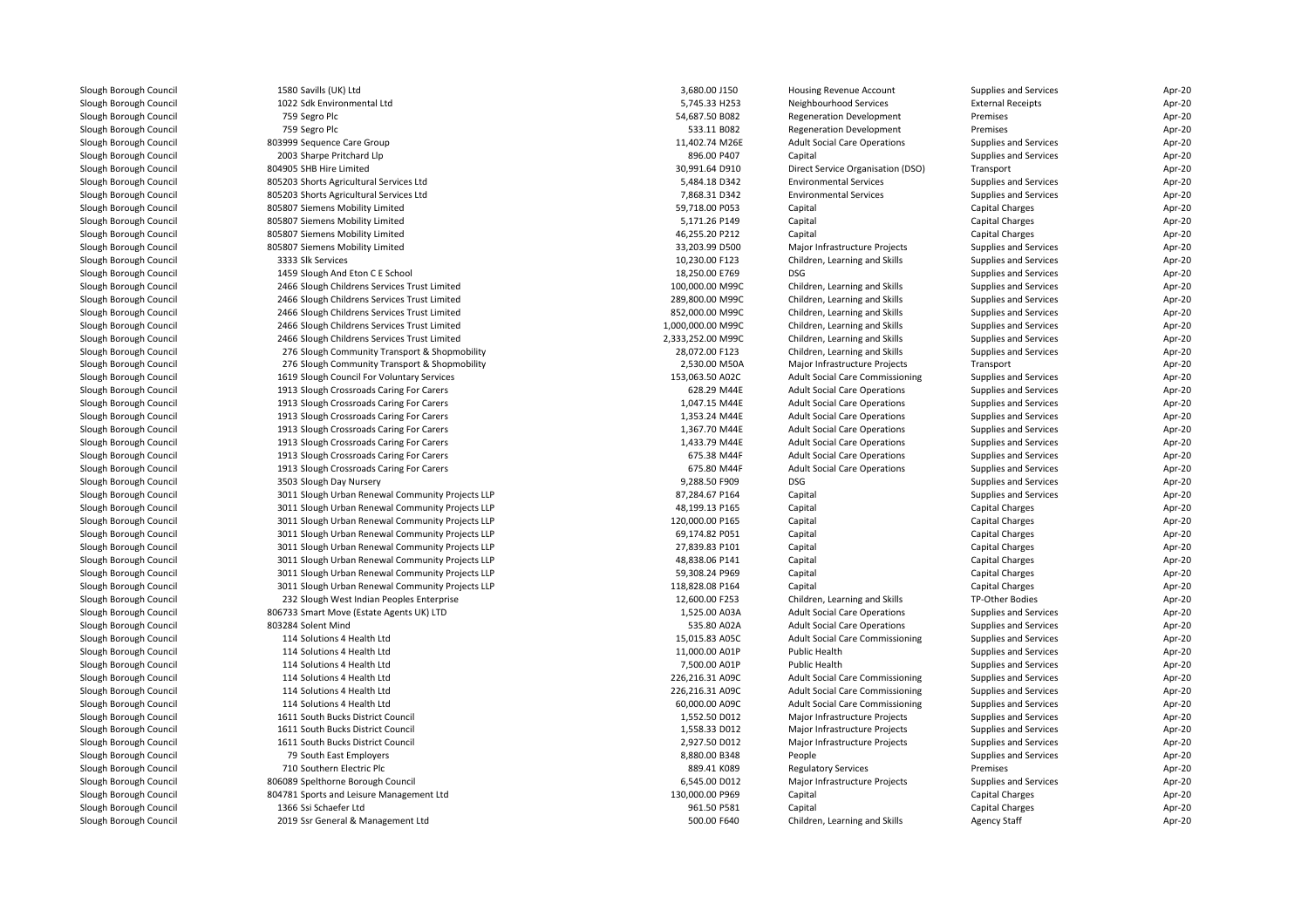| Slough Borough Council | 1580 Savills (UK) Ltd                            | 3,680.00 J150     | Housing Revenue Account                | Supplies and Services        | Apr-20 |
|------------------------|--------------------------------------------------|-------------------|----------------------------------------|------------------------------|--------|
| Slough Borough Council | 1022 Sdk Environmental Ltd                       | 5,745.33 H253     | Neighbourhood Services                 | <b>External Receipts</b>     | Apr-20 |
| Slough Borough Council | 759 Segro Plc                                    | 54,687.50 B082    | <b>Regeneration Development</b>        | Premises                     | Apr-20 |
| Slough Borough Council | 759 Segro Plc                                    | 533.11 B082       | <b>Regeneration Development</b>        | Premises                     | Apr-20 |
| Slough Borough Council | 803999 Sequence Care Group                       | 11,402.74 M26E    | <b>Adult Social Care Operations</b>    | Supplies and Services        | Apr-20 |
| Slough Borough Council | 2003 Sharpe Pritchard Llp                        | 896.00 P407       | Capital                                | Supplies and Services        | Apr-20 |
| Slough Borough Council | 804905 SHB Hire Limited                          | 30,991.64 D910    | Direct Service Organisation (DSO)      | Transport                    | Apr-20 |
| Slough Borough Council | 805203 Shorts Agricultural Services Ltd          | 5,484.18 D342     | <b>Environmental Services</b>          | Supplies and Services        | Apr-20 |
| Slough Borough Council | 805203 Shorts Agricultural Services Ltd          | 7,868.31 D342     | <b>Environmental Services</b>          | Supplies and Services        | Apr-20 |
| Slough Borough Council | 805807 Siemens Mobility Limited                  | 59,718.00 P053    | Capital                                | Capital Charges              | Apr-20 |
| Slough Borough Council | 805807 Siemens Mobility Limited                  | 5,171.26 P149     | Capital                                | Capital Charges              | Apr-20 |
| Slough Borough Council | 805807 Siemens Mobility Limited                  | 46,255.20 P212    | Capital                                | Capital Charges              | Apr-20 |
| Slough Borough Council | 805807 Siemens Mobility Limited                  | 33,203.99 D500    | Major Infrastructure Projects          | Supplies and Services        | Apr-20 |
| Slough Borough Council | 3333 Slk Services                                | 10,230.00 F123    | Children, Learning and Skills          | <b>Supplies and Services</b> | Apr-20 |
| Slough Borough Council | 1459 Slough And Eton C E School                  | 18,250.00 E769    | DSG                                    | <b>Supplies and Services</b> | Apr-20 |
| Slough Borough Council | 2466 Slough Childrens Services Trust Limited     | 100,000.00 M99C   | Children, Learning and Skills          | Supplies and Services        | Apr-20 |
| Slough Borough Council | 2466 Slough Childrens Services Trust Limited     | 289,800.00 M99C   | Children, Learning and Skills          | Supplies and Services        | Apr-20 |
| Slough Borough Council | 2466 Slough Childrens Services Trust Limited     | 852,000.00 M99C   | Children, Learning and Skills          | Supplies and Services        | Apr-20 |
| Slough Borough Council | 2466 Slough Childrens Services Trust Limited     | 1,000,000.00 M99C | Children, Learning and Skills          | Supplies and Services        | Apr-20 |
| Slough Borough Council | 2466 Slough Childrens Services Trust Limited     | 2,333,252.00 M99C | Children, Learning and Skills          | Supplies and Services        | Apr-20 |
| Slough Borough Council | 276 Slough Community Transport & Shopmobility    | 28,072.00 F123    | Children, Learning and Skills          | Supplies and Services        | Apr-20 |
| Slough Borough Council | 276 Slough Community Transport & Shopmobility    | 2,530.00 M50A     | Major Infrastructure Projects          | Transport                    | Apr-20 |
| Slough Borough Council | 1619 Slough Council For Voluntary Services       | 153,063.50 A02C   | <b>Adult Social Care Commissioning</b> | Supplies and Services        | Apr-20 |
|                        |                                                  |                   |                                        |                              |        |
| Slough Borough Council | 1913 Slough Crossroads Caring For Carers         | 628.29 M44E       | <b>Adult Social Care Operations</b>    | Supplies and Services        | Apr-20 |
| Slough Borough Council | 1913 Slough Crossroads Caring For Carers         | 1,047.15 M44E     | <b>Adult Social Care Operations</b>    | Supplies and Services        | Apr-20 |
| Slough Borough Council | 1913 Slough Crossroads Caring For Carers         | 1,353.24 M44E     | <b>Adult Social Care Operations</b>    | Supplies and Services        | Apr-20 |
| Slough Borough Council | 1913 Slough Crossroads Caring For Carers         | 1,367.70 M44E     | <b>Adult Social Care Operations</b>    | Supplies and Services        | Apr-20 |
| Slough Borough Council | 1913 Slough Crossroads Caring For Carers         | 1,433.79 M44E     | <b>Adult Social Care Operations</b>    | Supplies and Services        | Apr-20 |
| Slough Borough Council | 1913 Slough Crossroads Caring For Carers         | 675.38 M44F       | <b>Adult Social Care Operations</b>    | Supplies and Services        | Apr-20 |
| Slough Borough Council | 1913 Slough Crossroads Caring For Carers         | 675.80 M44F       | <b>Adult Social Care Operations</b>    | Supplies and Services        | Apr-20 |
| Slough Borough Council | 3503 Slough Day Nursery                          | 9,288.50 F909     | DSG                                    | Supplies and Services        | Apr-20 |
| Slough Borough Council | 3011 Slough Urban Renewal Community Projects LLP | 87,284.67 P164    | Capital                                | Supplies and Services        | Apr-20 |
| Slough Borough Council | 3011 Slough Urban Renewal Community Projects LLP | 48,199.13 P165    | Capital                                | Capital Charges              | Apr-20 |
| Slough Borough Council | 3011 Slough Urban Renewal Community Projects LLP | 120,000.00 P165   | Capital                                | Capital Charges              | Apr-20 |
| Slough Borough Council | 3011 Slough Urban Renewal Community Projects LLP | 69,174.82 P051    | Capital                                | Capital Charges              | Apr-20 |
| Slough Borough Council | 3011 Slough Urban Renewal Community Projects LLP | 27,839.83 P101    | Capital                                | Capital Charges              | Apr-20 |
| Slough Borough Council | 3011 Slough Urban Renewal Community Projects LLP | 48,838.06 P141    | Capital                                | Capital Charges              | Apr-20 |
| Slough Borough Council | 3011 Slough Urban Renewal Community Projects LLP | 59,308.24 P969    | Capital                                | Capital Charges              | Apr-20 |
| Slough Borough Council | 3011 Slough Urban Renewal Community Projects LLP | 118,828.08 P164   | Capital                                | <b>Capital Charges</b>       | Apr-20 |
| Slough Borough Council | 232 Slough West Indian Peoples Enterprise        | 12,600.00 F253    | Children, Learning and Skills          | TP-Other Bodies              | Apr-20 |
| Slough Borough Council | 806733 Smart Move (Estate Agents UK) LTD         | 1,525.00 A03A     | <b>Adult Social Care Operations</b>    | <b>Supplies and Services</b> | Apr-20 |
| Slough Borough Council | 803284 Solent Mind                               | 535.80 A02A       | <b>Adult Social Care Operations</b>    | Supplies and Services        | Apr-20 |
| Slough Borough Council | 114 Solutions 4 Health Ltd                       | 15,015.83 A05C    | <b>Adult Social Care Commissioning</b> | Supplies and Services        | Apr-20 |
| Slough Borough Council | 114 Solutions 4 Health Ltd                       | 11,000.00 A01P    | Public Health                          | <b>Supplies and Services</b> | Apr-20 |
| Slough Borough Council | 114 Solutions 4 Health Ltd                       | 7,500.00 A01P     | Public Health                          | Supplies and Services        | Apr-20 |
| Slough Borough Council | 114 Solutions 4 Health Ltd                       | 226,216.31 A09C   | <b>Adult Social Care Commissioning</b> | Supplies and Services        | Apr-20 |
| Slough Borough Council | 114 Solutions 4 Health Ltd                       | 226,216.31 A09C   | <b>Adult Social Care Commissioning</b> | Supplies and Services        | Apr-20 |
| Slough Borough Council | 114 Solutions 4 Health Ltd                       | 60,000.00 A09C    | Adult Social Care Commissioning        | Supplies and Services        | Apr-20 |
| Slough Borough Council | 1611 South Bucks District Council                | 1,552.50 D012     | Major Infrastructure Projects          | Supplies and Services        | Apr-20 |
| Slough Borough Council | 1611 South Bucks District Council                | 1,558.33 D012     | Major Infrastructure Projects          | <b>Supplies and Services</b> | Apr-20 |
| Slough Borough Council | 1611 South Bucks District Council                | 2,927.50 D012     | Major Infrastructure Projects          | Supplies and Services        | Apr-20 |
| Slough Borough Council | 79 South East Employers                          | 8,880.00 B348     | People                                 | Supplies and Services        | Apr-20 |
| Slough Borough Council | 710 Southern Electric Plc                        | 889.41 K089       | <b>Regulatory Services</b>             | Premises                     | Apr-20 |
| Slough Borough Council | 806089 Spelthorne Borough Council                | 6,545.00 D012     | Major Infrastructure Projects          | Supplies and Services        | Apr-20 |
| Slough Borough Council | 804781 Sports and Leisure Management Ltd         | 130,000.00 P969   | Capital                                | Capital Charges              | Apr-20 |
| Slough Borough Council | 1366 Ssi Schaefer Ltd                            | 961.50 P581       | Capital                                | Capital Charges              | Apr-20 |
| Slough Borough Council | 2019 Ssr General & Management Ltd                | 500.00 F640       | Children, Learning and Skills          | <b>Agency Staff</b>          | Apr-20 |
|                        |                                                  |                   |                                        |                              |        |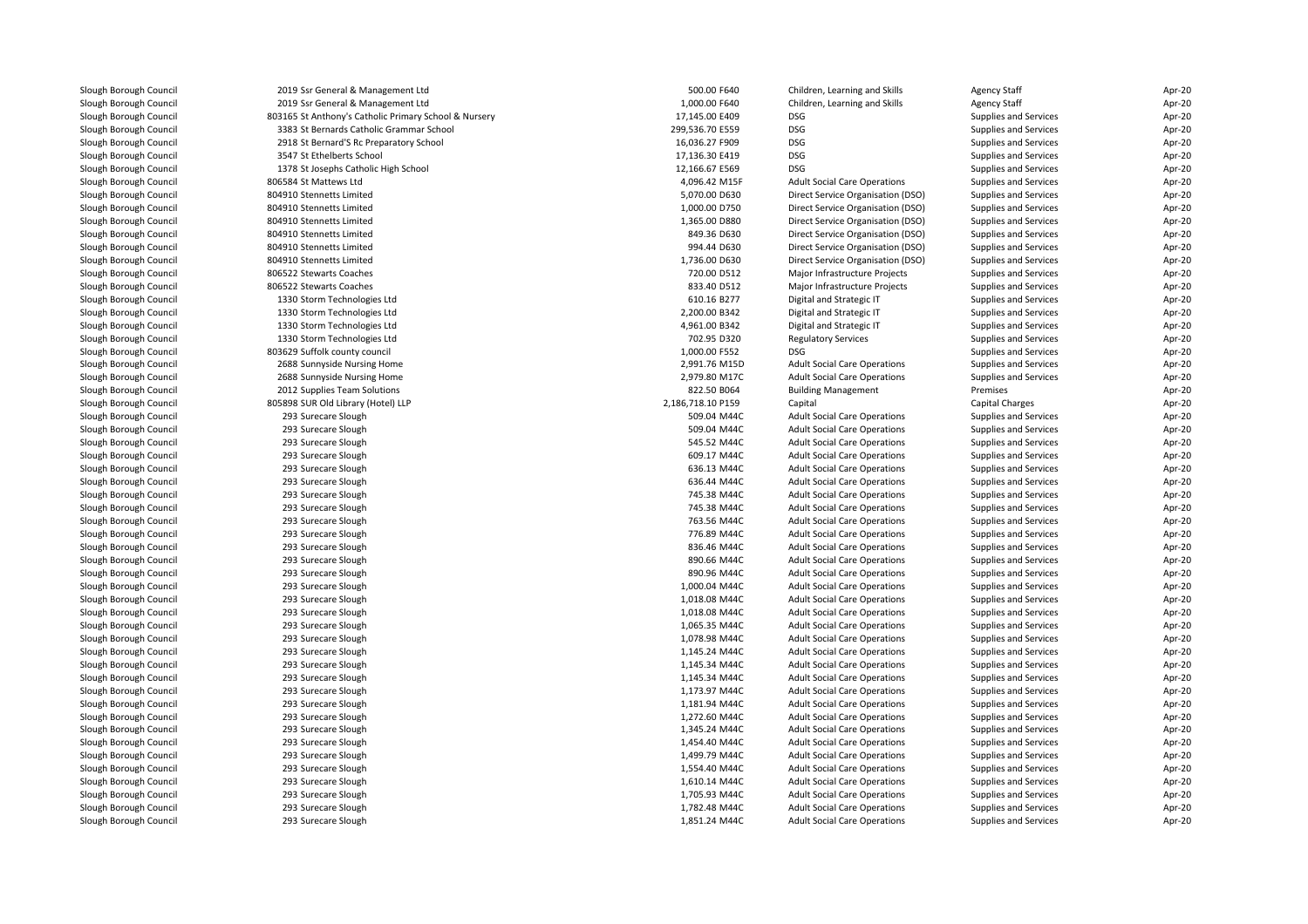| Slough Borough Council | 2019 Ssr General & Management Ltd                     | 500.00 F640       | Children, Learning and Skills       | <b>Agency Staff</b>    | Apr-20 |
|------------------------|-------------------------------------------------------|-------------------|-------------------------------------|------------------------|--------|
| Slough Borough Council | 2019 Ssr General & Management Ltd                     | 1,000.00 F640     | Children, Learning and Skills       | <b>Agency Staff</b>    | Apr-20 |
| Slough Borough Council | 803165 St Anthony's Catholic Primary School & Nursery | 17,145.00 E409    | DSG                                 | Supplies and Services  | Apr-20 |
| Slough Borough Council | 3383 St Bernards Catholic Grammar School              | 299,536.70 E559   | <b>DSG</b>                          | Supplies and Services  | Apr-20 |
| Slough Borough Council | 2918 St Bernard'S Rc Preparatory School               | 16,036.27 F909    | <b>DSG</b>                          | Supplies and Services  | Apr-20 |
| Slough Borough Council | 3547 St Ethelberts School                             | 17,136.30 E419    | <b>DSG</b>                          | Supplies and Services  | Apr-20 |
| Slough Borough Council | 1378 St Josephs Catholic High School                  | 12,166.67 E569    | <b>DSG</b>                          | Supplies and Services  | Apr-20 |
| Slough Borough Council | 806584 St Mattews Ltd                                 | 4,096.42 M15F     | <b>Adult Social Care Operations</b> | Supplies and Services  | Apr-20 |
| Slough Borough Council | 804910 Stennetts Limited                              | 5,070.00 D630     | Direct Service Organisation (DSO)   | Supplies and Services  | Apr-20 |
| Slough Borough Council | 804910 Stennetts Limited                              | 1,000.00 D750     | Direct Service Organisation (DSO)   | Supplies and Services  | Apr-20 |
| Slough Borough Council | 804910 Stennetts Limited                              | 1,365.00 D880     | Direct Service Organisation (DSO)   | Supplies and Services  | Apr-20 |
| Slough Borough Council | 804910 Stennetts Limited                              | 849.36 D630       | Direct Service Organisation (DSO)   | Supplies and Services  | Apr-20 |
| Slough Borough Council | 804910 Stennetts Limited                              | 994.44 D630       | Direct Service Organisation (DSO)   | Supplies and Services  | Apr-20 |
| Slough Borough Council | 804910 Stennetts Limited                              | 1,736.00 D630     | Direct Service Organisation (DSO)   | Supplies and Services  | Apr-20 |
| Slough Borough Council | 806522 Stewarts Coaches                               | 720.00 D512       | Major Infrastructure Projects       | Supplies and Services  | Apr-20 |
| Slough Borough Council | 806522 Stewarts Coaches                               | 833.40 D512       | Major Infrastructure Projects       | Supplies and Services  | Apr-20 |
| Slough Borough Council | 1330 Storm Technologies Ltd                           | 610.16 B277       | Digital and Strategic IT            | Supplies and Services  | Apr-20 |
| Slough Borough Council | 1330 Storm Technologies Ltd                           | 2,200.00 B342     | Digital and Strategic IT            | Supplies and Services  | Apr-20 |
| Slough Borough Council | 1330 Storm Technologies Ltd                           | 4,961.00 B342     | Digital and Strategic IT            | Supplies and Services  | Apr-20 |
| Slough Borough Council | 1330 Storm Technologies Ltd                           | 702.95 D320       | <b>Regulatory Services</b>          | Supplies and Services  | Apr-20 |
| Slough Borough Council | 803629 Suffolk county council                         | 1,000.00 F552     | <b>DSG</b>                          | Supplies and Services  | Apr-20 |
| Slough Borough Council | 2688 Sunnyside Nursing Home                           | 2,991.76 M15D     | <b>Adult Social Care Operations</b> | Supplies and Services  | Apr-20 |
| Slough Borough Council | 2688 Sunnyside Nursing Home                           | 2,979.80 M17C     | <b>Adult Social Care Operations</b> | Supplies and Services  | Apr-20 |
| Slough Borough Council | 2012 Supplies Team Solutions                          | 822.50 B064       |                                     | Premises               | Apr-20 |
|                        |                                                       | 2,186,718.10 P159 | <b>Building Management</b>          |                        |        |
| Slough Borough Council | 805898 SUR Old Library (Hotel) LLP                    |                   | Capital                             | <b>Capital Charges</b> | Apr-20 |
| Slough Borough Council | 293 Surecare Slough                                   | 509.04 M44C       | <b>Adult Social Care Operations</b> | Supplies and Services  | Apr-20 |
| Slough Borough Council | 293 Surecare Slough                                   | 509.04 M44C       | <b>Adult Social Care Operations</b> | Supplies and Services  | Apr-20 |
| Slough Borough Council | 293 Surecare Slough                                   | 545.52 M44C       | <b>Adult Social Care Operations</b> | Supplies and Services  | Apr-20 |
| Slough Borough Council | 293 Surecare Slough                                   | 609.17 M44C       | <b>Adult Social Care Operations</b> | Supplies and Services  | Apr-20 |
| Slough Borough Council | 293 Surecare Slough                                   | 636.13 M44C       | <b>Adult Social Care Operations</b> | Supplies and Services  | Apr-20 |
| Slough Borough Council | 293 Surecare Slough                                   | 636.44 M44C       | <b>Adult Social Care Operations</b> | Supplies and Services  | Apr-20 |
| Slough Borough Council | 293 Surecare Slough                                   | 745.38 M44C       | <b>Adult Social Care Operations</b> | Supplies and Services  | Apr-20 |
| Slough Borough Council | 293 Surecare Slough                                   | 745.38 M44C       | <b>Adult Social Care Operations</b> | Supplies and Services  | Apr-20 |
| Slough Borough Council | 293 Surecare Slough                                   | 763.56 M44C       | <b>Adult Social Care Operations</b> | Supplies and Services  | Apr-20 |
| Slough Borough Council | 293 Surecare Slough                                   | 776.89 M44C       | <b>Adult Social Care Operations</b> | Supplies and Services  | Apr-20 |
| Slough Borough Council | 293 Surecare Slough                                   | 836.46 M44C       | <b>Adult Social Care Operations</b> | Supplies and Services  | Apr-20 |
| Slough Borough Council | 293 Surecare Slough                                   | 890.66 M44C       | <b>Adult Social Care Operations</b> | Supplies and Services  | Apr-20 |
| Slough Borough Council | 293 Surecare Slough                                   | 890.96 M44C       | <b>Adult Social Care Operations</b> | Supplies and Services  | Apr-20 |
| Slough Borough Council | 293 Surecare Slough                                   | 1,000.04 M44C     | <b>Adult Social Care Operations</b> | Supplies and Services  | Apr-20 |
| Slough Borough Council | 293 Surecare Slough                                   | 1,018.08 M44C     | <b>Adult Social Care Operations</b> | Supplies and Services  | Apr-20 |
| Slough Borough Council | 293 Surecare Slough                                   | 1,018.08 M44C     | <b>Adult Social Care Operations</b> | Supplies and Services  | Apr-20 |
| Slough Borough Council | 293 Surecare Slough                                   | 1,065.35 M44C     | <b>Adult Social Care Operations</b> | Supplies and Services  | Apr-20 |
| Slough Borough Council | 293 Surecare Slough                                   | 1,078.98 M44C     | <b>Adult Social Care Operations</b> | Supplies and Services  | Apr-20 |
| Slough Borough Council | 293 Surecare Slough                                   | 1,145.24 M44C     | <b>Adult Social Care Operations</b> | Supplies and Services  | Apr-20 |
| Slough Borough Council | 293 Surecare Slough                                   | 1,145.34 M44C     | <b>Adult Social Care Operations</b> | Supplies and Services  | Apr-20 |
| Slough Borough Council | 293 Surecare Slough                                   | 1,145.34 M44C     | <b>Adult Social Care Operations</b> | Supplies and Services  | Apr-20 |
| Slough Borough Council | 293 Surecare Slough                                   | 1,173.97 M44C     | <b>Adult Social Care Operations</b> | Supplies and Services  | Apr-20 |
| Slough Borough Council | 293 Surecare Slough                                   | 1,181.94 M44C     | <b>Adult Social Care Operations</b> | Supplies and Services  | Apr-20 |
| Slough Borough Council | 293 Surecare Slough                                   | 1,272.60 M44C     | <b>Adult Social Care Operations</b> | Supplies and Services  | Apr-20 |
| Slough Borough Council | 293 Surecare Slough                                   | 1,345.24 M44C     | <b>Adult Social Care Operations</b> | Supplies and Services  | Apr-20 |
| Slough Borough Council | 293 Surecare Slough                                   | 1,454.40 M44C     | <b>Adult Social Care Operations</b> | Supplies and Services  | Apr-20 |
| Slough Borough Council | 293 Surecare Slough                                   | 1,499.79 M44C     | <b>Adult Social Care Operations</b> | Supplies and Services  | Apr-20 |
| Slough Borough Council | 293 Surecare Slough                                   | 1,554.40 M44C     | <b>Adult Social Care Operations</b> | Supplies and Services  | Apr-20 |
| Slough Borough Council | 293 Surecare Slough                                   | 1,610.14 M44C     | <b>Adult Social Care Operations</b> | Supplies and Services  | Apr-20 |
| Slough Borough Council | 293 Surecare Slough                                   | 1,705.93 M44C     | <b>Adult Social Care Operations</b> | Supplies and Services  | Apr-20 |
| Slough Borough Council | 293 Surecare Slough                                   | 1,782.48 M44C     | <b>Adult Social Care Operations</b> | Supplies and Services  | Apr-20 |
| Slough Borough Council | 293 Surecare Slough                                   | 1,851.24 M44C     | <b>Adult Social Care Operations</b> | Supplies and Services  | Apr-20 |
|                        |                                                       |                   |                                     |                        |        |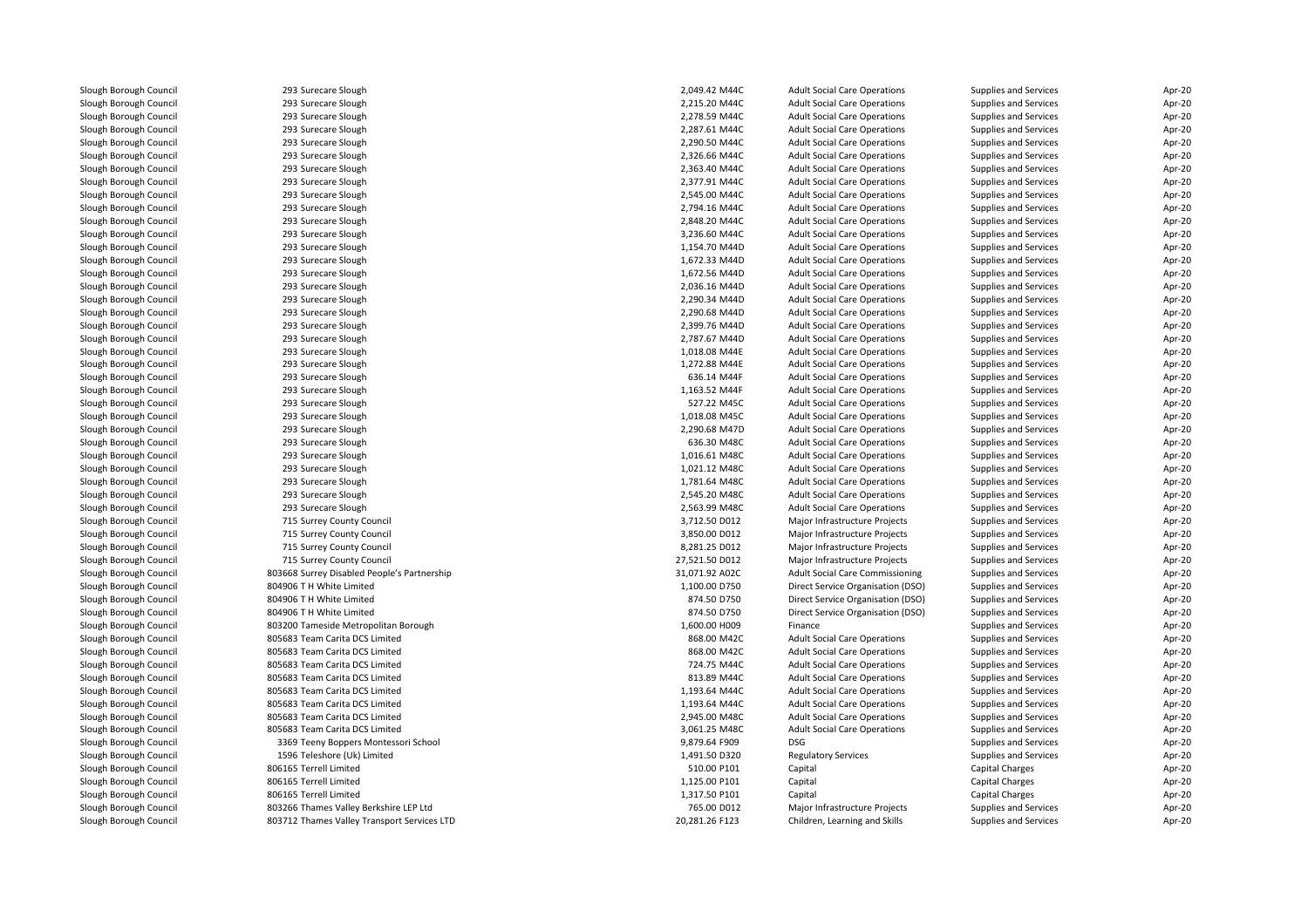| Slough Borough Council | 293 Surecare Slough                         | 2,049.42 M44C  | <b>Adult Social Care Operations</b> | Supplies and Services | Apr-20 |
|------------------------|---------------------------------------------|----------------|-------------------------------------|-----------------------|--------|
| Slough Borough Council | 293 Surecare Slough                         | 2,215.20 M44C  | <b>Adult Social Care Operations</b> | Supplies and Services | Apr-20 |
| Slough Borough Council | 293 Surecare Slough                         | 2.278.59 M44C  | <b>Adult Social Care Operations</b> | Supplies and Services | Apr-20 |
| Slough Borough Council | 293 Surecare Slough                         | 2,287.61 M44C  | <b>Adult Social Care Operations</b> | Supplies and Services | Apr-20 |
| Slough Borough Council | 293 Surecare Slough                         | 2,290.50 M44C  | <b>Adult Social Care Operations</b> | Supplies and Services | Apr-20 |
| Slough Borough Council | 293 Surecare Slough                         | 2,326.66 M44C  | <b>Adult Social Care Operations</b> | Supplies and Services | Apr-20 |
| Slough Borough Council | 293 Surecare Slough                         | 2,363.40 M44C  | <b>Adult Social Care Operations</b> | Supplies and Services | Apr-20 |
| Slough Borough Council | 293 Surecare Slough                         | 2,377.91 M44C  | <b>Adult Social Care Operations</b> | Supplies and Services | Apr-20 |
| Slough Borough Council | 293 Surecare Slough                         | 2,545.00 M44C  | <b>Adult Social Care Operations</b> | Supplies and Services | Apr-20 |
| Slough Borough Council | 293 Surecare Slough                         | 2,794.16 M44C  | <b>Adult Social Care Operations</b> | Supplies and Services | Apr-20 |
| Slough Borough Council | 293 Surecare Slough                         | 2,848.20 M44C  | <b>Adult Social Care Operations</b> | Supplies and Services | Apr-20 |
| Slough Borough Council | 293 Surecare Slough                         | 3,236.60 M44C  | <b>Adult Social Care Operations</b> | Supplies and Services | Apr-20 |
| Slough Borough Council | 293 Surecare Slough                         | 1,154.70 M44D  | <b>Adult Social Care Operations</b> | Supplies and Services | Apr-20 |
| Slough Borough Council | 293 Surecare Slough                         | 1,672.33 M44D  | <b>Adult Social Care Operations</b> | Supplies and Services | Apr-20 |
| Slough Borough Council | 293 Surecare Slough                         | 1,672.56 M44D  | <b>Adult Social Care Operations</b> | Supplies and Services | Apr-20 |
| Slough Borough Council | 293 Surecare Slough                         | 2,036.16 M44D  | <b>Adult Social Care Operations</b> | Supplies and Services | Apr-20 |
| Slough Borough Council | 293 Surecare Slough                         | 2,290.34 M44D  | <b>Adult Social Care Operations</b> | Supplies and Services | Apr-20 |
| Slough Borough Council | 293 Surecare Slough                         | 2,290.68 M44D  | <b>Adult Social Care Operations</b> | Supplies and Services | Apr-20 |
| Slough Borough Council | 293 Surecare Slough                         | 2.399.76 M44D  | <b>Adult Social Care Operations</b> | Supplies and Services | Apr-20 |
| Slough Borough Council | 293 Surecare Slough                         | 2,787.67 M44D  |                                     |                       | Apr-20 |
|                        |                                             | 1,018.08 M44E  | <b>Adult Social Care Operations</b> | Supplies and Services |        |
| Slough Borough Council | 293 Surecare Slough                         |                | <b>Adult Social Care Operations</b> | Supplies and Services | Apr-20 |
| Slough Borough Council | 293 Surecare Slough                         | 1,272.88 M44E  | <b>Adult Social Care Operations</b> | Supplies and Services | Apr-20 |
| Slough Borough Council | 293 Surecare Slough                         | 636.14 M44F    | <b>Adult Social Care Operations</b> | Supplies and Services | Apr-20 |
| Slough Borough Council | 293 Surecare Slough                         | 1,163.52 M44F  | <b>Adult Social Care Operations</b> | Supplies and Services | Apr-20 |
| Slough Borough Council | 293 Surecare Slough                         | 527.22 M45C    | <b>Adult Social Care Operations</b> | Supplies and Services | Apr-20 |
| Slough Borough Council | 293 Surecare Slough                         | 1,018.08 M45C  | <b>Adult Social Care Operations</b> | Supplies and Services | Apr-20 |
| Slough Borough Council | 293 Surecare Slough                         | 2,290.68 M47D  | <b>Adult Social Care Operations</b> | Supplies and Services | Apr-20 |
| Slough Borough Council | 293 Surecare Slough                         | 636.30 M48C    | <b>Adult Social Care Operations</b> | Supplies and Services | Apr-20 |
| Slough Borough Council | 293 Surecare Slough                         | 1,016.61 M48C  | <b>Adult Social Care Operations</b> | Supplies and Services | Apr-20 |
| Slough Borough Council | 293 Surecare Slough                         | 1,021.12 M48C  | <b>Adult Social Care Operations</b> | Supplies and Services | Apr-20 |
| Slough Borough Council | 293 Surecare Slough                         | 1,781.64 M48C  | <b>Adult Social Care Operations</b> | Supplies and Services | Apr-20 |
| Slough Borough Council | 293 Surecare Slough                         | 2,545.20 M48C  | <b>Adult Social Care Operations</b> | Supplies and Services | Apr-20 |
| Slough Borough Council | 293 Surecare Slough                         | 2,563.99 M48C  | <b>Adult Social Care Operations</b> | Supplies and Services | Apr-20 |
| Slough Borough Council | 715 Surrey County Council                   | 3,712.50 D012  | Major Infrastructure Projects       | Supplies and Services | Apr-20 |
| Slough Borough Council | 715 Surrey County Council                   | 3,850.00 D012  | Major Infrastructure Projects       | Supplies and Services | Apr-20 |
| Slough Borough Council | 715 Surrey County Council                   | 8,281.25 D012  | Major Infrastructure Projects       | Supplies and Services | Apr-20 |
| Slough Borough Council | 715 Surrey County Council                   | 27,521.50 D012 | Major Infrastructure Projects       | Supplies and Services | Apr-20 |
| Slough Borough Council | 803668 Surrey Disabled People's Partnership | 31,071.92 A02C | Adult Social Care Commissioning     | Supplies and Services | Apr-20 |
| Slough Borough Council | 804906 T H White Limited                    | 1,100.00 D750  | Direct Service Organisation (DSO)   | Supplies and Services | Apr-20 |
| Slough Borough Council | 804906 T H White Limited                    | 874.50 D750    | Direct Service Organisation (DSO)   | Supplies and Services | Apr-20 |
| Slough Borough Council | 804906 T H White Limited                    | 874.50 D750    | Direct Service Organisation (DSO)   | Supplies and Services | Apr-20 |
| Slough Borough Council | 803200 Tameside Metropolitan Borough        | 1,600.00 H009  | Finance                             | Supplies and Services | Apr-20 |
| Slough Borough Council | 805683 Team Carita DCS Limited              | 868.00 M42C    | <b>Adult Social Care Operations</b> | Supplies and Services | Apr-20 |
| Slough Borough Council | 805683 Team Carita DCS Limited              | 868.00 M42C    | <b>Adult Social Care Operations</b> | Supplies and Services | Apr-20 |
| Slough Borough Council | 805683 Team Carita DCS Limited              | 724.75 M44C    | <b>Adult Social Care Operations</b> | Supplies and Services | Apr-20 |
| Slough Borough Council | 805683 Team Carita DCS Limited              | 813.89 M44C    | <b>Adult Social Care Operations</b> | Supplies and Services | Apr-20 |
| Slough Borough Council | 805683 Team Carita DCS Limited              | 1,193.64 M44C  | <b>Adult Social Care Operations</b> | Supplies and Services | Apr-20 |
| Slough Borough Council | 805683 Team Carita DCS Limited              | 1,193.64 M44C  | <b>Adult Social Care Operations</b> | Supplies and Services | Apr-20 |
| Slough Borough Council | 805683 Team Carita DCS Limited              | 2,945.00 M48C  | <b>Adult Social Care Operations</b> | Supplies and Services | Apr-20 |
| Slough Borough Council | 805683 Team Carita DCS Limited              | 3,061.25 M48C  | <b>Adult Social Care Operations</b> | Supplies and Services | Apr-20 |
| Slough Borough Council | 3369 Teeny Boppers Montessori School        | 9,879.64 F909  | <b>DSG</b>                          | Supplies and Services | Apr-20 |
| Slough Borough Council | 1596 Teleshore (Uk) Limited                 | 1,491.50 D320  | <b>Regulatory Services</b>          | Supplies and Services | Apr-20 |
| Slough Borough Council | 806165 Terrell Limited                      | 510.00 P101    | Capital                             | Capital Charges       | Apr-20 |
| Slough Borough Council | 806165 Terrell Limited                      | 1,125.00 P101  | Capital                             | Capital Charges       | Apr-20 |
| Slough Borough Council | 806165 Terrell Limited                      | 1,317.50 P101  | Capital                             | Capital Charges       | Apr-20 |
| Slough Borough Council | 803266 Thames Valley Berkshire LEP Ltd      | 765.00 D012    | Major Infrastructure Projects       | Supplies and Services | Apr-20 |
| Slough Borough Council | 803712 Thames Valley Transport Services LTD | 20,281.26 F123 | Children, Learning and Skills       | Supplies and Services | Apr-20 |
|                        |                                             |                |                                     |                       |        |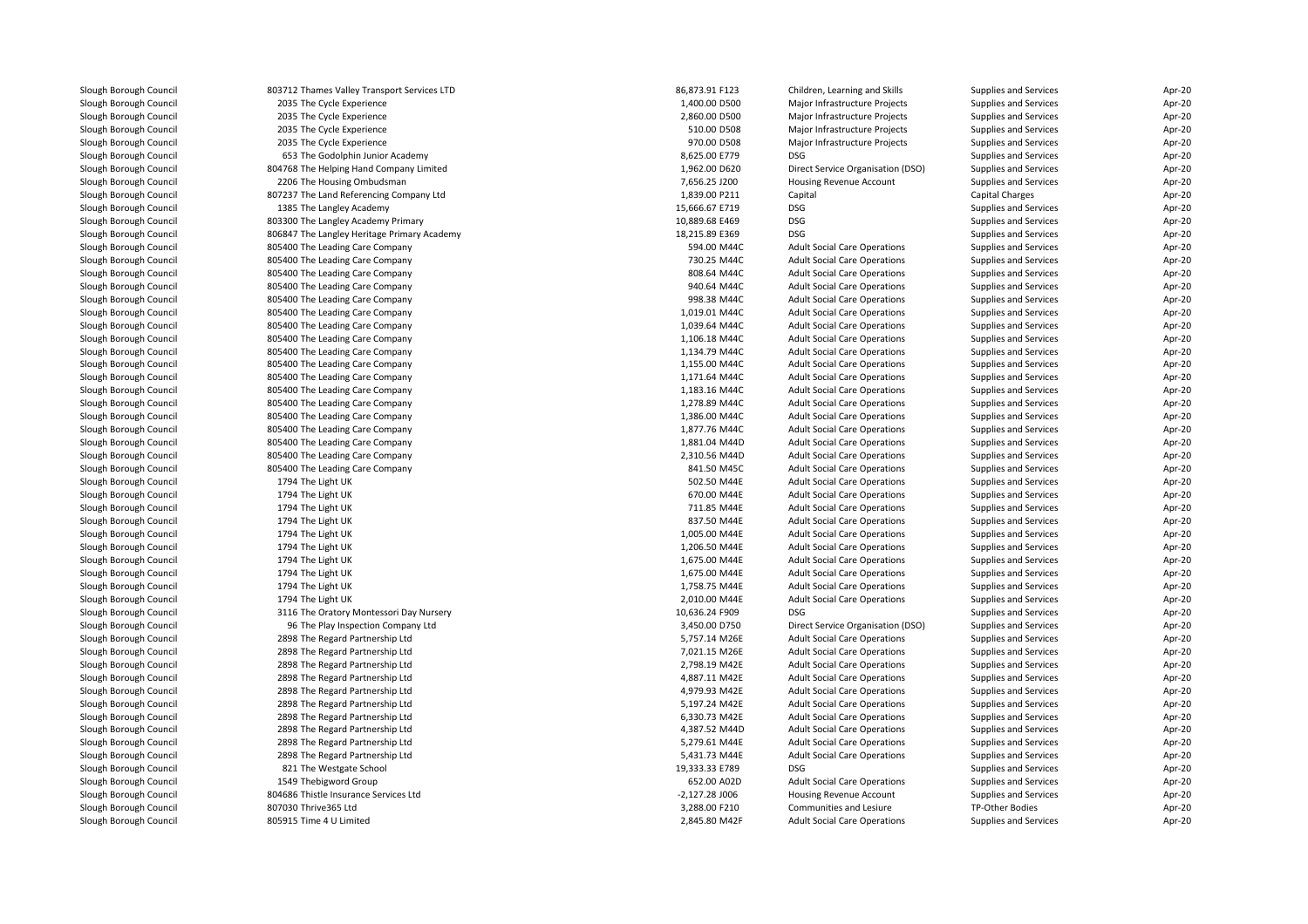| Slough Borough Council | 803712 Thames Valley Transport Services LTD | 86,873.91 F123   | Children, Learning and Skills       | Supplies and Services        | Apr-20 |
|------------------------|---------------------------------------------|------------------|-------------------------------------|------------------------------|--------|
| Slough Borough Council | 2035 The Cycle Experience                   | 1,400.00 D500    | Major Infrastructure Projects       | Supplies and Services        | Apr-20 |
| Slough Borough Council | 2035 The Cycle Experience                   | 2,860.00 D500    | Major Infrastructure Projects       | Supplies and Services        | Apr-20 |
| Slough Borough Council | 2035 The Cycle Experience                   | 510.00 D508      | Major Infrastructure Projects       | Supplies and Services        | Apr-20 |
| Slough Borough Council | 2035 The Cycle Experience                   | 970.00 D508      | Major Infrastructure Projects       | Supplies and Services        | Apr-20 |
| Slough Borough Council | 653 The Godolphin Junior Academy            | 8,625.00 E779    | <b>DSG</b>                          | Supplies and Services        | Apr-20 |
| Slough Borough Council | 804768 The Helping Hand Company Limited     | 1,962.00 D620    | Direct Service Organisation (DSO)   | Supplies and Services        | Apr-20 |
| Slough Borough Council | 2206 The Housing Ombudsman                  | 7,656.25 J200    | Housing Revenue Account             | Supplies and Services        | Apr-20 |
| Slough Borough Council | 807237 The Land Referencing Company Ltd     | 1,839.00 P211    | Capital                             | Capital Charges              | Apr-20 |
| Slough Borough Council | 1385 The Langley Academy                    | 15,666.67 E719   | DSG                                 | Supplies and Services        | Apr-20 |
| Slough Borough Council | 803300 The Langley Academy Primary          | 10,889.68 E469   | <b>DSG</b>                          | Supplies and Services        | Apr-20 |
| Slough Borough Council | 806847 The Langley Heritage Primary Academy | 18,215.89 E369   | <b>DSG</b>                          | <b>Supplies and Services</b> | Apr-20 |
| Slough Borough Council | 805400 The Leading Care Company             | 594.00 M44C      | <b>Adult Social Care Operations</b> | Supplies and Services        | Apr-20 |
| Slough Borough Council | 805400 The Leading Care Company             | 730.25 M44C      | <b>Adult Social Care Operations</b> | Supplies and Services        | Apr-20 |
| Slough Borough Council | 805400 The Leading Care Company             | 808.64 M44C      | <b>Adult Social Care Operations</b> | Supplies and Services        | Apr-20 |
| Slough Borough Council | 805400 The Leading Care Company             | 940.64 M44C      | <b>Adult Social Care Operations</b> | Supplies and Services        | Apr-20 |
| Slough Borough Council | 805400 The Leading Care Company             | 998.38 M44C      | <b>Adult Social Care Operations</b> | Supplies and Services        | Apr-20 |
| Slough Borough Council | 805400 The Leading Care Company             | 1,019.01 M44C    | <b>Adult Social Care Operations</b> | Supplies and Services        | Apr-20 |
| Slough Borough Council | 805400 The Leading Care Company             | 1,039.64 M44C    | <b>Adult Social Care Operations</b> | Supplies and Services        | Apr-20 |
| Slough Borough Council |                                             | 1,106.18 M44C    |                                     |                              | Apr-20 |
|                        | 805400 The Leading Care Company             | 1,134.79 M44C    | <b>Adult Social Care Operations</b> | Supplies and Services        | Apr-20 |
| Slough Borough Council | 805400 The Leading Care Company             |                  | <b>Adult Social Care Operations</b> | Supplies and Services        |        |
| Slough Borough Council | 805400 The Leading Care Company             | 1,155.00 M44C    | <b>Adult Social Care Operations</b> | Supplies and Services        | Apr-20 |
| Slough Borough Council | 805400 The Leading Care Company             | 1,171.64 M44C    | <b>Adult Social Care Operations</b> | Supplies and Services        | Apr-20 |
| Slough Borough Council | 805400 The Leading Care Company             | 1,183.16 M44C    | <b>Adult Social Care Operations</b> | Supplies and Services        | Apr-20 |
| Slough Borough Council | 805400 The Leading Care Company             | 1,278.89 M44C    | <b>Adult Social Care Operations</b> | Supplies and Services        | Apr-20 |
| Slough Borough Council | 805400 The Leading Care Company             | 1,386.00 M44C    | <b>Adult Social Care Operations</b> | Supplies and Services        | Apr-20 |
| Slough Borough Council | 805400 The Leading Care Company             | 1,877.76 M44C    | <b>Adult Social Care Operations</b> | Supplies and Services        | Apr-20 |
| Slough Borough Council | 805400 The Leading Care Company             | 1,881.04 M44D    | <b>Adult Social Care Operations</b> | Supplies and Services        | Apr-20 |
| Slough Borough Council | 805400 The Leading Care Company             | 2,310.56 M44D    | <b>Adult Social Care Operations</b> | Supplies and Services        | Apr-20 |
| Slough Borough Council | 805400 The Leading Care Company             | 841.50 M45C      | <b>Adult Social Care Operations</b> | Supplies and Services        | Apr-20 |
| Slough Borough Council | 1794 The Light UK                           | 502.50 M44E      | <b>Adult Social Care Operations</b> | Supplies and Services        | Apr-20 |
| Slough Borough Council | 1794 The Light UK                           | 670.00 M44E      | <b>Adult Social Care Operations</b> | Supplies and Services        | Apr-20 |
| Slough Borough Council | 1794 The Light UK                           | 711.85 M44E      | <b>Adult Social Care Operations</b> | Supplies and Services        | Apr-20 |
| Slough Borough Council | 1794 The Light UK                           | 837.50 M44E      | <b>Adult Social Care Operations</b> | Supplies and Services        | Apr-20 |
| Slough Borough Council | 1794 The Light UK                           | 1,005.00 M44E    | <b>Adult Social Care Operations</b> | Supplies and Services        | Apr-20 |
| Slough Borough Council | 1794 The Light UK                           | 1,206.50 M44E    | <b>Adult Social Care Operations</b> | Supplies and Services        | Apr-20 |
| Slough Borough Council | 1794 The Light UK                           | 1,675.00 M44E    | <b>Adult Social Care Operations</b> | Supplies and Services        | Apr-20 |
| Slough Borough Council | 1794 The Light UK                           | 1,675.00 M44E    | <b>Adult Social Care Operations</b> | Supplies and Services        | Apr-20 |
| Slough Borough Council | 1794 The Light UK                           | 1,758.75 M44E    | <b>Adult Social Care Operations</b> | Supplies and Services        | Apr-20 |
| Slough Borough Council | 1794 The Light UK                           | 2,010.00 M44E    | <b>Adult Social Care Operations</b> | Supplies and Services        | Apr-20 |
| Slough Borough Council | 3116 The Oratory Montessori Day Nursery     | 10,636.24 F909   | <b>DSG</b>                          | Supplies and Services        | Apr-20 |
| Slough Borough Council | 96 The Play Inspection Company Ltd          | 3,450.00 D750    | Direct Service Organisation (DSO)   | Supplies and Services        | Apr-20 |
| Slough Borough Council | 2898 The Regard Partnership Ltd             | 5,757.14 M26E    | <b>Adult Social Care Operations</b> | Supplies and Services        | Apr-20 |
| Slough Borough Council | 2898 The Regard Partnership Ltd             | 7,021.15 M26E    | <b>Adult Social Care Operations</b> | Supplies and Services        | Apr-20 |
| Slough Borough Council | 2898 The Regard Partnership Ltd             | 2,798.19 M42E    | <b>Adult Social Care Operations</b> | Supplies and Services        | Apr-20 |
| Slough Borough Council | 2898 The Regard Partnership Ltd             | 4,887.11 M42E    | <b>Adult Social Care Operations</b> | Supplies and Services        | Apr-20 |
| Slough Borough Council | 2898 The Regard Partnership Ltd             | 4,979.93 M42E    | <b>Adult Social Care Operations</b> | Supplies and Services        | Apr-20 |
| Slough Borough Council | 2898 The Regard Partnership Ltd             | 5,197.24 M42E    | <b>Adult Social Care Operations</b> | Supplies and Services        | Apr-20 |
| Slough Borough Council | 2898 The Regard Partnership Ltd             | 6,330.73 M42E    | <b>Adult Social Care Operations</b> | Supplies and Services        | Apr-20 |
| Slough Borough Council | 2898 The Regard Partnership Ltd             | 4,387.52 M44D    | <b>Adult Social Care Operations</b> | Supplies and Services        | Apr-20 |
| Slough Borough Council | 2898 The Regard Partnership Ltd             | 5,279.61 M44E    | <b>Adult Social Care Operations</b> | Supplies and Services        | Apr-20 |
| Slough Borough Council | 2898 The Regard Partnership Ltd             | 5,431.73 M44E    | <b>Adult Social Care Operations</b> | Supplies and Services        | Apr-20 |
| Slough Borough Council | 821 The Westgate School                     | 19,333.33 E789   | <b>DSG</b>                          | Supplies and Services        | Apr-20 |
| Slough Borough Council | 1549 Thebigword Group                       | 652.00 A02D      | <b>Adult Social Care Operations</b> | Supplies and Services        | Apr-20 |
| Slough Borough Council | 804686 Thistle Insurance Services Ltd       | $-2,127.28$ J006 | <b>Housing Revenue Account</b>      | Supplies and Services        | Apr-20 |
| Slough Borough Council | 807030 Thrive365 Ltd                        | 3,288.00 F210    | Communities and Lesiure             | TP-Other Bodies              | Apr-20 |
| Slough Borough Council | 805915 Time 4 U Limited                     | 2,845.80 M42F    | <b>Adult Social Care Operations</b> | Supplies and Services        | Apr-20 |
|                        |                                             |                  |                                     |                              |        |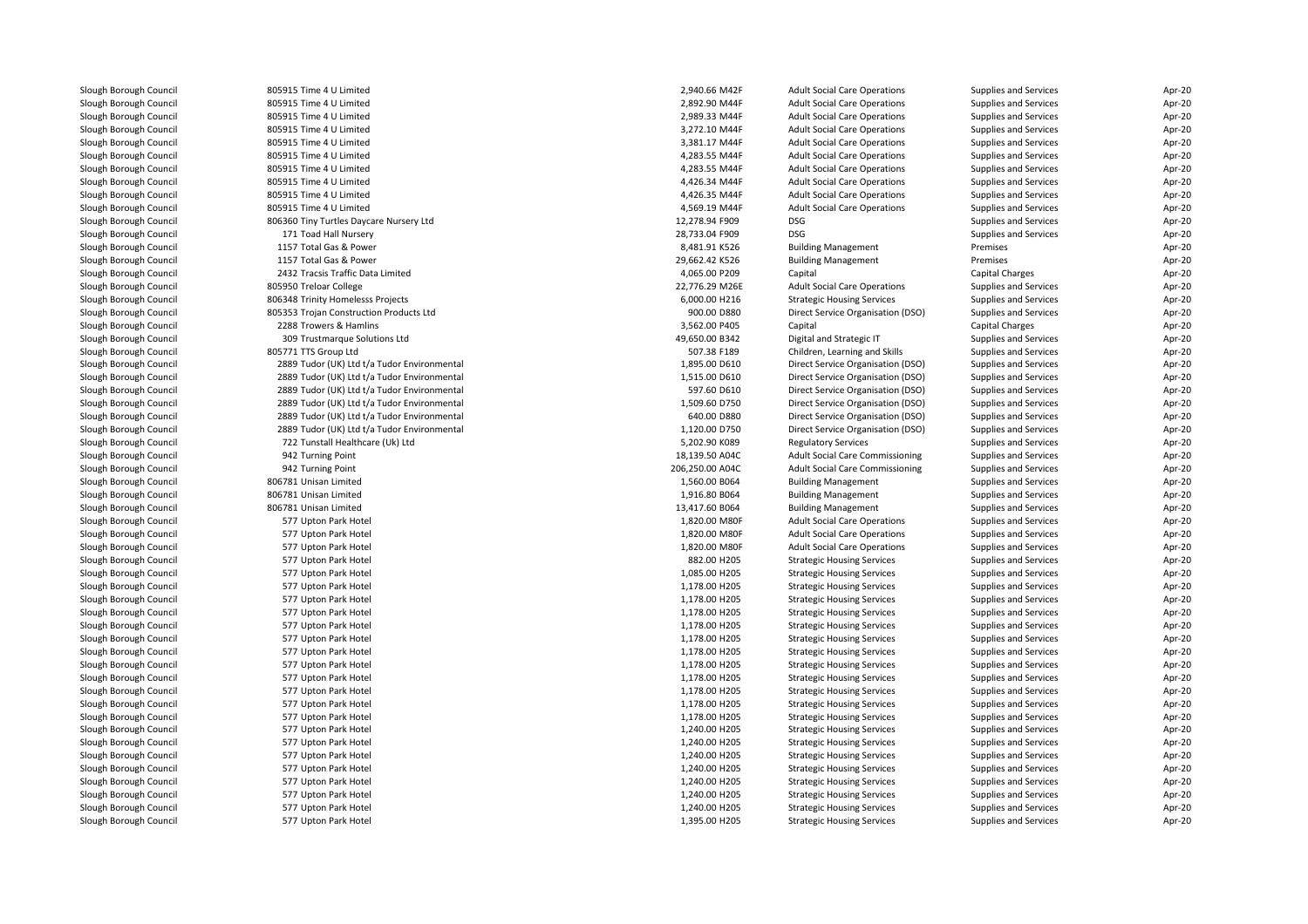| Slough Borough Council | 805915 Time 4 U Limited                     | 2,940.66 M42F   | <b>Adult Social Care Operations</b>    | Supplies and Services        | Apr-20 |
|------------------------|---------------------------------------------|-----------------|----------------------------------------|------------------------------|--------|
| Slough Borough Council | 805915 Time 4 U Limited                     | 2,892.90 M44F   | <b>Adult Social Care Operations</b>    | Supplies and Services        | Apr-20 |
| Slough Borough Council | 805915 Time 4 U Limited                     | 2,989.33 M44F   | <b>Adult Social Care Operations</b>    | Supplies and Services        | Apr-20 |
| Slough Borough Council | 805915 Time 4 U Limited                     | 3,272.10 M44F   | <b>Adult Social Care Operations</b>    | Supplies and Services        | Apr-20 |
| Slough Borough Council | 805915 Time 4 U Limited                     | 3,381.17 M44F   | <b>Adult Social Care Operations</b>    | Supplies and Services        | Apr-20 |
| Slough Borough Council | 805915 Time 4 U Limited                     | 4,283.55 M44F   | <b>Adult Social Care Operations</b>    | Supplies and Services        | Apr-20 |
| Slough Borough Council | 805915 Time 4 U Limited                     | 4,283.55 M44F   | <b>Adult Social Care Operations</b>    | Supplies and Services        | Apr-20 |
| Slough Borough Council | 805915 Time 4 U Limited                     | 4,426.34 M44F   | <b>Adult Social Care Operations</b>    | Supplies and Services        | Apr-20 |
| Slough Borough Council | 805915 Time 4 U Limited                     | 4,426.35 M44F   | <b>Adult Social Care Operations</b>    | Supplies and Services        | Apr-20 |
| Slough Borough Council | 805915 Time 4 U Limited                     | 4,569.19 M44F   | <b>Adult Social Care Operations</b>    | Supplies and Services        | Apr-20 |
| Slough Borough Council | 806360 Tiny Turtles Daycare Nursery Ltd     | 12,278.94 F909  | <b>DSG</b>                             | Supplies and Services        | Apr-20 |
| Slough Borough Council | 171 Toad Hall Nursery                       | 28,733.04 F909  | <b>DSG</b>                             | Supplies and Services        | Apr-20 |
| Slough Borough Council | 1157 Total Gas & Power                      | 8,481.91 K526   | <b>Building Management</b>             | Premises                     | Apr-20 |
| Slough Borough Council | 1157 Total Gas & Power                      | 29,662.42 K526  | <b>Building Management</b>             | Premises                     | Apr-20 |
| Slough Borough Council | 2432 Tracsis Traffic Data Limited           | 4,065.00 P209   | Capital                                | Capital Charges              | Apr-20 |
| Slough Borough Council | 805950 Treloar College                      | 22,776.29 M26E  | <b>Adult Social Care Operations</b>    | Supplies and Services        | Apr-20 |
| Slough Borough Council | 806348 Trinity Homelesss Projects           | 6,000.00 H216   | <b>Strategic Housing Services</b>      | Supplies and Services        | Apr-20 |
| Slough Borough Council | 805353 Trojan Construction Products Ltd     | 900.00 D880     | Direct Service Organisation (DSO)      | Supplies and Services        | Apr-20 |
| Slough Borough Council | 2288 Trowers & Hamlins                      | 3,562.00 P405   | Capital                                | Capital Charges              | Apr-20 |
| Slough Borough Council | 309 Trustmarque Solutions Ltd               | 49,650.00 B342  | Digital and Strategic IT               | Supplies and Services        | Apr-20 |
| Slough Borough Council | 805771 TTS Group Ltd                        | 507.38 F189     | Children, Learning and Skills          | Supplies and Services        | Apr-20 |
| Slough Borough Council | 2889 Tudor (UK) Ltd t/a Tudor Environmental | 1,895.00 D610   | Direct Service Organisation (DSO)      | Supplies and Services        | Apr-20 |
| Slough Borough Council | 2889 Tudor (UK) Ltd t/a Tudor Environmental | 1,515.00 D610   | Direct Service Organisation (DSO)      | Supplies and Services        | Apr-20 |
| Slough Borough Council | 2889 Tudor (UK) Ltd t/a Tudor Environmental | 597.60 D610     | Direct Service Organisation (DSO)      | Supplies and Services        | Apr-20 |
| Slough Borough Council | 2889 Tudor (UK) Ltd t/a Tudor Environmental | 1,509.60 D750   | Direct Service Organisation (DSO)      | Supplies and Services        | Apr-20 |
| Slough Borough Council | 2889 Tudor (UK) Ltd t/a Tudor Environmental | 640.00 D880     | Direct Service Organisation (DSO)      | Supplies and Services        | Apr-20 |
|                        |                                             |                 |                                        |                              |        |
| Slough Borough Council | 2889 Tudor (UK) Ltd t/a Tudor Environmental | 1,120.00 D750   | Direct Service Organisation (DSO)      | Supplies and Services        | Apr-20 |
| Slough Borough Council | 722 Tunstall Healthcare (Uk) Ltd            | 5,202.90 K089   | <b>Regulatory Services</b>             | Supplies and Services        | Apr-20 |
| Slough Borough Council | 942 Turning Point                           | 18,139.50 A04C  | <b>Adult Social Care Commissioning</b> | Supplies and Services        | Apr-20 |
| Slough Borough Council | 942 Turning Point                           | 206,250.00 A04C | Adult Social Care Commissioning        | Supplies and Services        | Apr-20 |
| Slough Borough Council | 806781 Unisan Limited                       | 1,560.00 B064   | <b>Building Management</b>             | Supplies and Services        | Apr-20 |
| Slough Borough Council | 806781 Unisan Limited                       | 1,916.80 B064   | <b>Building Management</b>             | Supplies and Services        | Apr-20 |
| Slough Borough Council | 806781 Unisan Limited                       | 13,417.60 B064  | <b>Building Management</b>             | Supplies and Services        | Apr-20 |
| Slough Borough Council | 577 Upton Park Hotel                        | 1,820.00 M80F   | <b>Adult Social Care Operations</b>    | Supplies and Services        | Apr-20 |
| Slough Borough Council | 577 Upton Park Hotel                        | 1,820.00 M80F   | <b>Adult Social Care Operations</b>    | Supplies and Services        | Apr-20 |
| Slough Borough Council | 577 Upton Park Hotel                        | 1,820.00 M80F   | <b>Adult Social Care Operations</b>    | Supplies and Services        | Apr-20 |
| Slough Borough Council | 577 Upton Park Hotel                        | 882.00 H205     | <b>Strategic Housing Services</b>      | Supplies and Services        | Apr-20 |
| Slough Borough Council | 577 Upton Park Hotel                        | 1,085.00 H205   | <b>Strategic Housing Services</b>      | Supplies and Services        | Apr-20 |
| Slough Borough Council | 577 Upton Park Hotel                        | 1,178.00 H205   | <b>Strategic Housing Services</b>      | Supplies and Services        | Apr-20 |
| Slough Borough Council | 577 Upton Park Hotel                        | 1,178.00 H205   | <b>Strategic Housing Services</b>      | Supplies and Services        | Apr-20 |
| Slough Borough Council | 577 Upton Park Hotel                        | 1,178.00 H205   | <b>Strategic Housing Services</b>      | Supplies and Services        | Apr-20 |
| Slough Borough Council | 577 Upton Park Hotel                        | 1,178.00 H205   | <b>Strategic Housing Services</b>      | Supplies and Services        | Apr-20 |
| Slough Borough Council | 577 Upton Park Hotel                        | 1,178.00 H205   | <b>Strategic Housing Services</b>      | Supplies and Services        | Apr-20 |
| Slough Borough Council | 577 Upton Park Hotel                        | 1,178.00 H205   | <b>Strategic Housing Services</b>      | Supplies and Services        | Apr-20 |
| Slough Borough Council | 577 Upton Park Hotel                        | 1,178.00 H205   | <b>Strategic Housing Services</b>      | Supplies and Services        | Apr-20 |
| Slough Borough Council | 577 Upton Park Hotel                        | 1,178.00 H205   | <b>Strategic Housing Services</b>      | Supplies and Services        | Apr-20 |
| Slough Borough Council | 577 Upton Park Hotel                        | 1,178.00 H205   | <b>Strategic Housing Services</b>      | Supplies and Services        | Apr-20 |
| Slough Borough Council | 577 Upton Park Hotel                        | 1,178.00 H205   | <b>Strategic Housing Services</b>      | Supplies and Services        | Apr-20 |
| Slough Borough Council | 577 Upton Park Hotel                        | 1,178.00 H205   | <b>Strategic Housing Services</b>      | Supplies and Services        | Apr-20 |
| Slough Borough Council | 577 Upton Park Hotel                        | 1,240.00 H205   | <b>Strategic Housing Services</b>      | Supplies and Services        | Apr-20 |
| Slough Borough Council | 577 Upton Park Hotel                        | 1,240.00 H205   | <b>Strategic Housing Services</b>      | Supplies and Services        | Apr-20 |
| Slough Borough Council | 577 Upton Park Hotel                        | 1,240.00 H205   | <b>Strategic Housing Services</b>      | Supplies and Services        | Apr-20 |
| Slough Borough Council | 577 Upton Park Hotel                        | 1,240.00 H205   | <b>Strategic Housing Services</b>      | Supplies and Services        | Apr-20 |
| Slough Borough Council | 577 Upton Park Hotel                        | 1,240.00 H205   | <b>Strategic Housing Services</b>      | Supplies and Services        | Apr-20 |
| Slough Borough Council | 577 Upton Park Hotel                        | 1,240.00 H205   | <b>Strategic Housing Services</b>      | <b>Supplies and Services</b> | Apr-20 |
| Slough Borough Council | 577 Upton Park Hotel                        | 1,240.00 H205   | <b>Strategic Housing Services</b>      | Supplies and Services        | Apr-20 |
| Slough Borough Council | 577 Upton Park Hotel                        | 1,395.00 H205   | <b>Strategic Housing Services</b>      | Supplies and Services        | Apr-20 |
|                        |                                             |                 |                                        |                              |        |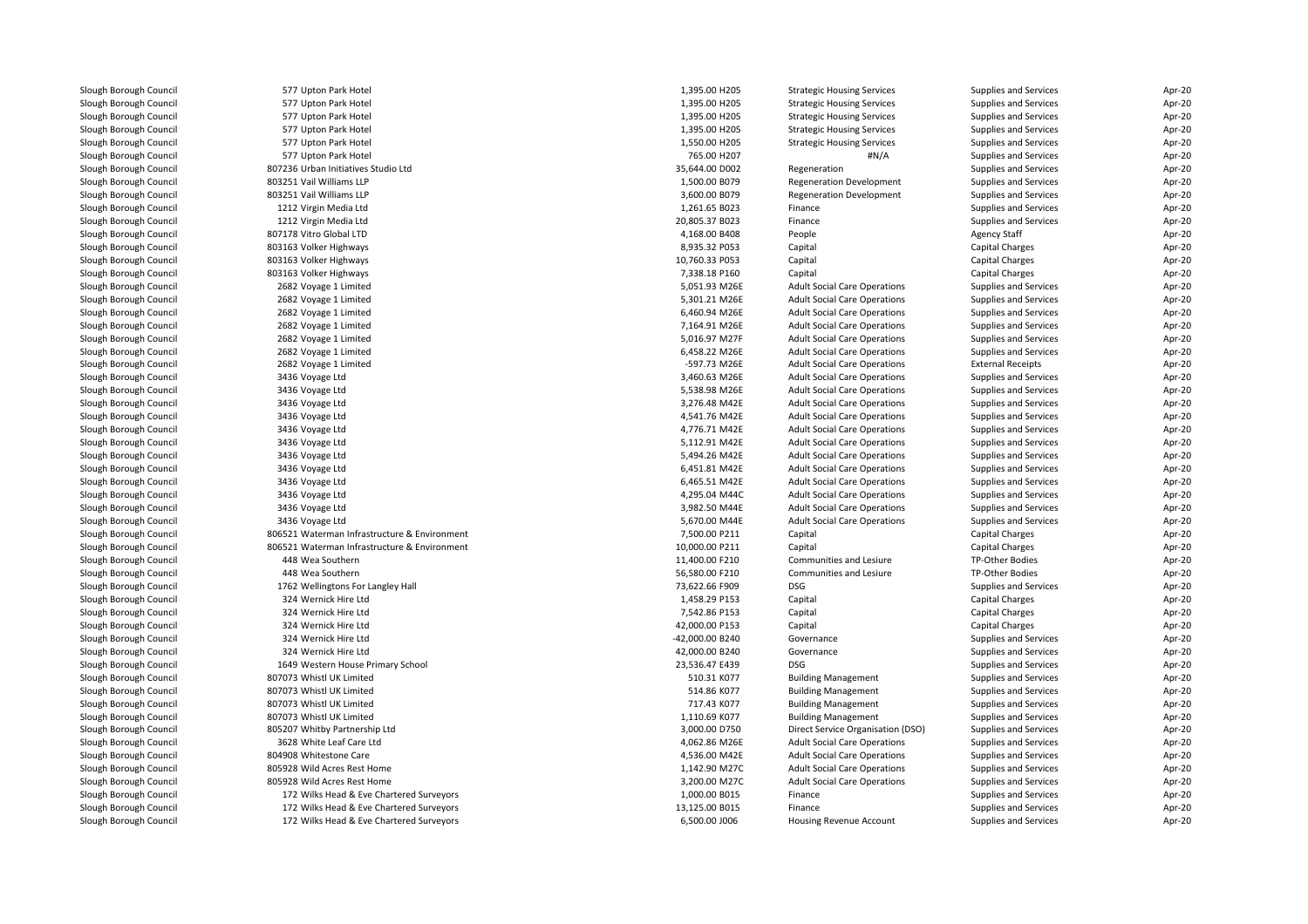| Slough Borough Council | 577 Upton Park Hotel                         | 1,395.00 H205   | <b>Strategic Housing Services</b>   | Supplies and Services        | Apr-20 |
|------------------------|----------------------------------------------|-----------------|-------------------------------------|------------------------------|--------|
| Slough Borough Council | 577 Upton Park Hotel                         | 1,395.00 H205   | <b>Strategic Housing Services</b>   | <b>Supplies and Services</b> | Apr-20 |
| Slough Borough Council | 577 Upton Park Hotel                         | 1,395.00 H205   | <b>Strategic Housing Services</b>   | Supplies and Services        | Apr-20 |
| Slough Borough Council | 577 Upton Park Hotel                         | 1,395.00 H205   | <b>Strategic Housing Services</b>   | Supplies and Services        | Apr-20 |
| Slough Borough Council | 577 Upton Park Hotel                         | 1,550.00 H205   | <b>Strategic Housing Services</b>   | Supplies and Services        | Apr-20 |
| Slough Borough Council | 577 Upton Park Hotel                         | 765.00 H207     | #N/A                                | Supplies and Services        | Apr-20 |
| Slough Borough Council | 807236 Urban Initiatives Studio Ltd          | 35,644.00 D002  | Regeneration                        | Supplies and Services        | Apr-20 |
| Slough Borough Council | 803251 Vail Williams LLP                     | 1,500.00 B079   | <b>Regeneration Development</b>     | Supplies and Services        | Apr-20 |
| Slough Borough Council | 803251 Vail Williams LLP                     | 3,600.00 B079   | <b>Regeneration Development</b>     | Supplies and Services        | Apr-20 |
| Slough Borough Council | 1212 Virgin Media Ltd                        | 1,261.65 B023   | Finance                             | Supplies and Services        | Apr-20 |
| Slough Borough Council | 1212 Virgin Media Ltd                        | 20,805.37 B023  | Finance                             | Supplies and Services        | Apr-20 |
| Slough Borough Council | 807178 Vitro Global LTD                      | 4,168.00 B408   | People                              | <b>Agency Staff</b>          | Apr-20 |
| Slough Borough Council | 803163 Volker Highways                       | 8,935.32 P053   | Capital                             | Capital Charges              | Apr-20 |
| Slough Borough Council | 803163 Volker Highways                       | 10,760.33 P053  | Capital                             | Capital Charges              | Apr-20 |
| Slough Borough Council | 803163 Volker Highways                       | 7,338.18 P160   | Capital                             | Capital Charges              | Apr-20 |
| Slough Borough Council | 2682 Voyage 1 Limited                        | 5,051.93 M26E   | <b>Adult Social Care Operations</b> | Supplies and Services        | Apr-20 |
|                        |                                              |                 |                                     |                              |        |
| Slough Borough Council | 2682 Voyage 1 Limited                        | 5,301.21 M26E   | <b>Adult Social Care Operations</b> | Supplies and Services        | Apr-20 |
| Slough Borough Council | 2682 Voyage 1 Limited                        | 6,460.94 M26E   | <b>Adult Social Care Operations</b> | Supplies and Services        | Apr-20 |
| Slough Borough Council | 2682 Voyage 1 Limited                        | 7,164.91 M26E   | <b>Adult Social Care Operations</b> | Supplies and Services        | Apr-20 |
| Slough Borough Council | 2682 Voyage 1 Limited                        | 5,016.97 M27F   | <b>Adult Social Care Operations</b> | Supplies and Services        | Apr-20 |
| Slough Borough Council | 2682 Voyage 1 Limited                        | 6,458.22 M26E   | <b>Adult Social Care Operations</b> | Supplies and Services        | Apr-20 |
| Slough Borough Council | 2682 Voyage 1 Limited                        | -597.73 M26E    | <b>Adult Social Care Operations</b> | <b>External Receipts</b>     | Apr-20 |
| Slough Borough Council | 3436 Voyage Ltd                              | 3,460.63 M26E   | <b>Adult Social Care Operations</b> | Supplies and Services        | Apr-20 |
| Slough Borough Council | 3436 Voyage Ltd                              | 5,538.98 M26E   | <b>Adult Social Care Operations</b> | Supplies and Services        | Apr-20 |
| Slough Borough Council | 3436 Voyage Ltd                              | 3,276.48 M42E   | <b>Adult Social Care Operations</b> | Supplies and Services        | Apr-20 |
| Slough Borough Council | 3436 Voyage Ltd                              | 4,541.76 M42E   | <b>Adult Social Care Operations</b> | Supplies and Services        | Apr-20 |
| Slough Borough Council | 3436 Voyage Ltd                              | 4,776.71 M42E   | <b>Adult Social Care Operations</b> | Supplies and Services        | Apr-20 |
| Slough Borough Council | 3436 Voyage Ltd                              | 5,112.91 M42E   | <b>Adult Social Care Operations</b> | Supplies and Services        | Apr-20 |
| Slough Borough Council | 3436 Voyage Ltd                              | 5,494.26 M42E   | <b>Adult Social Care Operations</b> | Supplies and Services        | Apr-20 |
| Slough Borough Council | 3436 Voyage Ltd                              | 6,451.81 M42E   | <b>Adult Social Care Operations</b> | Supplies and Services        | Apr-20 |
| Slough Borough Council | 3436 Voyage Ltd                              | 6,465.51 M42E   | <b>Adult Social Care Operations</b> | Supplies and Services        | Apr-20 |
| Slough Borough Council | 3436 Voyage Ltd                              | 4,295.04 M44C   | <b>Adult Social Care Operations</b> | Supplies and Services        | Apr-20 |
| Slough Borough Council | 3436 Voyage Ltd                              | 3,982.50 M44E   | <b>Adult Social Care Operations</b> | Supplies and Services        | Apr-20 |
| Slough Borough Council | 3436 Voyage Ltd                              | 5,670.00 M44E   | <b>Adult Social Care Operations</b> | Supplies and Services        | Apr-20 |
| Slough Borough Council | 806521 Waterman Infrastructure & Environment | 7,500.00 P211   | Capital                             | Capital Charges              | Apr-20 |
| Slough Borough Council | 806521 Waterman Infrastructure & Environment | 10,000.00 P211  | Capital                             | Capital Charges              | Apr-20 |
| Slough Borough Council | 448 Wea Southern                             | 11,400.00 F210  | <b>Communities and Lesiure</b>      | TP-Other Bodies              | Apr-20 |
| Slough Borough Council | 448 Wea Southern                             | 56,580.00 F210  | Communities and Lesiure             | TP-Other Bodies              | Apr-20 |
| Slough Borough Council | 1762 Wellingtons For Langley Hall            | 73,622.66 F909  | <b>DSG</b>                          | Supplies and Services        | Apr-20 |
| Slough Borough Council | 324 Wernick Hire Ltd                         | 1,458.29 P153   | Capital                             | Capital Charges              | Apr-20 |
| Slough Borough Council | 324 Wernick Hire Ltd                         | 7,542.86 P153   | Capital                             | Capital Charges              | Apr-20 |
| Slough Borough Council | 324 Wernick Hire Ltd                         | 42,000.00 P153  | Capital                             | Capital Charges              | Apr-20 |
| Slough Borough Council | 324 Wernick Hire Ltd                         | -42,000.00 B240 | Governance                          | Supplies and Services        | Apr-20 |
| Slough Borough Council | 324 Wernick Hire Ltd                         | 42,000.00 B240  | Governance                          | Supplies and Services        | Apr-20 |
| Slough Borough Council | 1649 Western House Primary School            | 23,536.47 E439  | <b>DSG</b>                          | Supplies and Services        | Apr-20 |
| Slough Borough Council | 807073 Whistl UK Limited                     | 510.31 K077     | <b>Building Management</b>          | Supplies and Services        | Apr-20 |
| Slough Borough Council | 807073 Whistl UK Limited                     | 514.86 K077     | <b>Building Management</b>          | Supplies and Services        | Apr-20 |
| Slough Borough Council | 807073 Whistl UK Limited                     | 717.43 K077     | <b>Building Management</b>          | Supplies and Services        | Apr-20 |
| Slough Borough Council | 807073 Whistl UK Limited                     | 1,110.69 K077   | <b>Building Management</b>          | Supplies and Services        | Apr-20 |
| Slough Borough Council | 805207 Whitby Partnership Ltd                | 3,000.00 D750   | Direct Service Organisation (DSO)   | Supplies and Services        | Apr-20 |
|                        |                                              |                 |                                     |                              |        |
| Slough Borough Council | 3628 White Leaf Care Ltd                     | 4,062.86 M26E   | <b>Adult Social Care Operations</b> | Supplies and Services        | Apr-20 |
| Slough Borough Council | 804908 Whitestone Care                       | 4,536.00 M42E   | <b>Adult Social Care Operations</b> | Supplies and Services        | Apr-20 |
| Slough Borough Council | 805928 Wild Acres Rest Home                  | 1,142.90 M27C   | <b>Adult Social Care Operations</b> | <b>Supplies and Services</b> | Apr-20 |
| Slough Borough Council | 805928 Wild Acres Rest Home                  | 3,200.00 M27C   | <b>Adult Social Care Operations</b> | Supplies and Services        | Apr-20 |
| Slough Borough Council | 172 Wilks Head & Eve Chartered Surveyors     | 1,000.00 B015   | Finance                             | Supplies and Services        | Apr-20 |
| Slough Borough Council | 172 Wilks Head & Eve Chartered Surveyors     | 13,125.00 B015  | Finance                             | <b>Supplies and Services</b> | Apr-20 |
| Slough Borough Council | 172 Wilks Head & Eve Chartered Surveyors     | 6.500.00 J006   | Housing Revenue Account             | <b>Supplies and Services</b> | Apr-20 |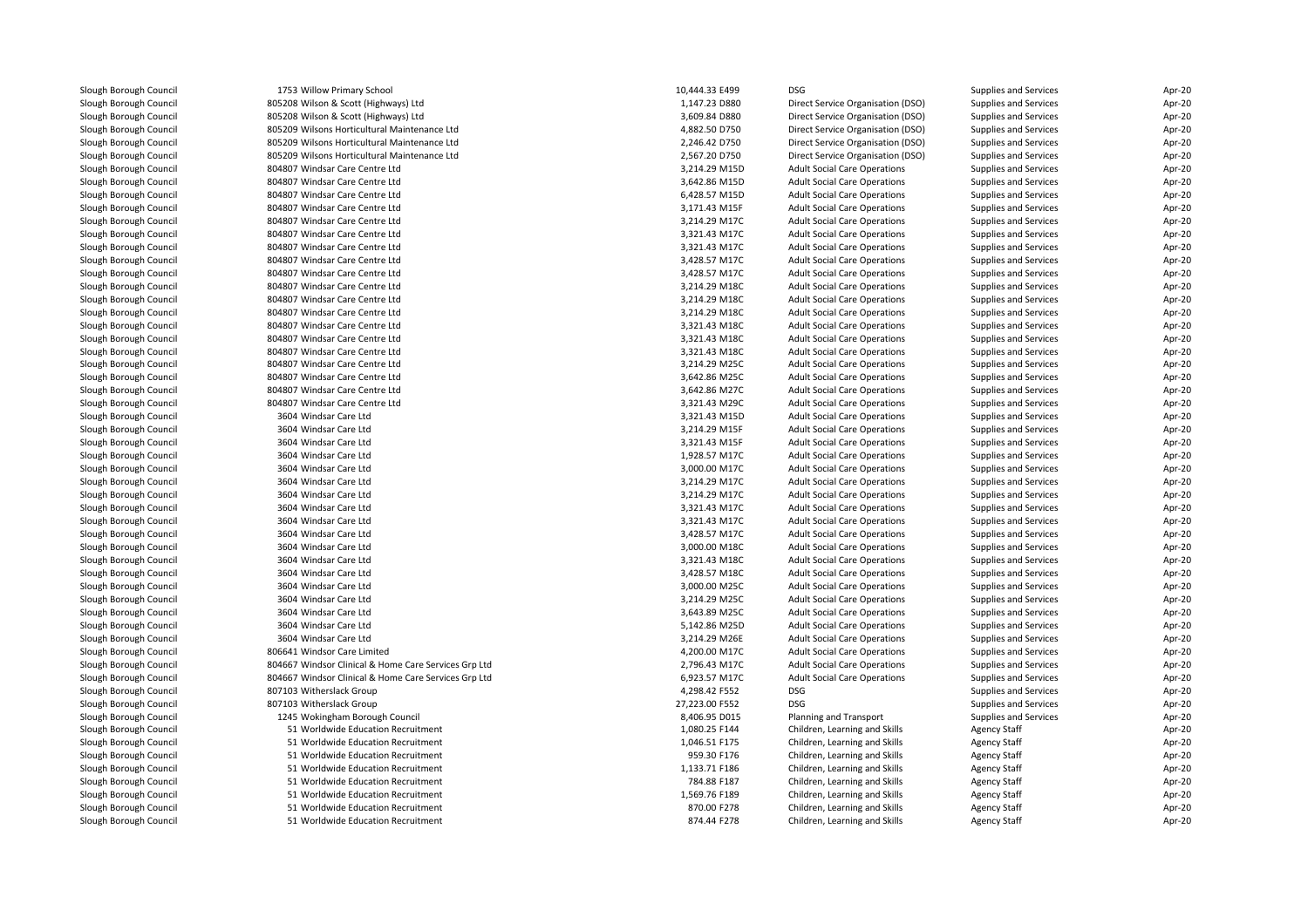| Slough Borough Council | 1753 Willow Primary School                           | 10,444.33 E499 | <b>DSG</b>                          | Supplies and Services | Apr-20 |
|------------------------|------------------------------------------------------|----------------|-------------------------------------|-----------------------|--------|
| Slough Borough Council | 805208 Wilson & Scott (Highways) Ltd                 | 1,147.23 D880  | Direct Service Organisation (DSO)   | Supplies and Services | Apr-20 |
| Slough Borough Council | 805208 Wilson & Scott (Highways) Ltd                 | 3,609.84 D880  | Direct Service Organisation (DSO)   | Supplies and Services | Apr-20 |
| Slough Borough Council | 805209 Wilsons Horticultural Maintenance Ltd         | 4,882.50 D750  | Direct Service Organisation (DSO)   | Supplies and Services | Apr-20 |
| Slough Borough Council | 805209 Wilsons Horticultural Maintenance Ltd         | 2,246.42 D750  | Direct Service Organisation (DSO)   | Supplies and Services | Apr-20 |
| Slough Borough Council | 805209 Wilsons Horticultural Maintenance Ltd         | 2,567.20 D750  | Direct Service Organisation (DSO)   | Supplies and Services | Apr-20 |
| Slough Borough Council | 804807 Windsar Care Centre Ltd                       | 3,214.29 M15D  | <b>Adult Social Care Operations</b> | Supplies and Services | Apr-20 |
| Slough Borough Council | 804807 Windsar Care Centre Ltd                       | 3,642.86 M15D  | <b>Adult Social Care Operations</b> | Supplies and Services | Apr-20 |
| Slough Borough Council | 804807 Windsar Care Centre Ltd                       | 6,428.57 M15D  | <b>Adult Social Care Operations</b> | Supplies and Services | Apr-20 |
| Slough Borough Council | 804807 Windsar Care Centre Ltd                       | 3,171.43 M15F  | <b>Adult Social Care Operations</b> | Supplies and Services | Apr-20 |
| Slough Borough Council | 804807 Windsar Care Centre Ltd                       | 3,214.29 M17C  | <b>Adult Social Care Operations</b> | Supplies and Services | Apr-20 |
| Slough Borough Council | 804807 Windsar Care Centre Ltd                       | 3,321.43 M17C  | <b>Adult Social Care Operations</b> | Supplies and Services | Apr-20 |
| Slough Borough Council | 804807 Windsar Care Centre Ltd                       | 3,321.43 M17C  | <b>Adult Social Care Operations</b> | Supplies and Services | Apr-20 |
| Slough Borough Council | 804807 Windsar Care Centre Ltd                       | 3,428.57 M17C  | <b>Adult Social Care Operations</b> | Supplies and Services | Apr-20 |
| Slough Borough Council | 804807 Windsar Care Centre Ltd                       | 3,428.57 M17C  | <b>Adult Social Care Operations</b> | Supplies and Services | Apr-20 |
| Slough Borough Council | 804807 Windsar Care Centre Ltd                       | 3,214.29 M18C  | <b>Adult Social Care Operations</b> | Supplies and Services | Apr-20 |
| Slough Borough Council | 804807 Windsar Care Centre Ltd                       | 3,214.29 M18C  | <b>Adult Social Care Operations</b> | Supplies and Services | Apr-20 |
| Slough Borough Council | 804807 Windsar Care Centre Ltd                       | 3,214.29 M18C  | <b>Adult Social Care Operations</b> | Supplies and Services | Apr-20 |
| Slough Borough Council | 804807 Windsar Care Centre Ltd                       | 3,321.43 M18C  | <b>Adult Social Care Operations</b> | Supplies and Services | Apr-20 |
| Slough Borough Council | 804807 Windsar Care Centre Ltd                       | 3,321.43 M18C  | <b>Adult Social Care Operations</b> | Supplies and Services | Apr-20 |
| Slough Borough Council | 804807 Windsar Care Centre Ltd                       | 3,321.43 M18C  | <b>Adult Social Care Operations</b> | Supplies and Services | Apr-20 |
| Slough Borough Council | 804807 Windsar Care Centre Ltd                       | 3,214.29 M25C  | <b>Adult Social Care Operations</b> | Supplies and Services | Apr-20 |
| Slough Borough Council | 804807 Windsar Care Centre Ltd                       | 3,642.86 M25C  | <b>Adult Social Care Operations</b> | Supplies and Services | Apr-20 |
| Slough Borough Council | 804807 Windsar Care Centre Ltd                       | 3,642.86 M27C  | <b>Adult Social Care Operations</b> | Supplies and Services | Apr-20 |
| Slough Borough Council | 804807 Windsar Care Centre Ltd                       | 3,321.43 M29C  | <b>Adult Social Care Operations</b> | Supplies and Services | Apr-20 |
| Slough Borough Council | 3604 Windsar Care Ltd                                | 3,321.43 M15D  | <b>Adult Social Care Operations</b> | Supplies and Services | Apr-20 |
| Slough Borough Council | 3604 Windsar Care Ltd                                | 3,214.29 M15F  | <b>Adult Social Care Operations</b> | Supplies and Services | Apr-20 |
| Slough Borough Council | 3604 Windsar Care Ltd                                | 3,321.43 M15F  | <b>Adult Social Care Operations</b> | Supplies and Services | Apr-20 |
| Slough Borough Council | 3604 Windsar Care Ltd                                | 1,928.57 M17C  | <b>Adult Social Care Operations</b> | Supplies and Services | Apr-20 |
| Slough Borough Council | 3604 Windsar Care Ltd                                | 3,000.00 M17C  | <b>Adult Social Care Operations</b> | Supplies and Services | Apr-20 |
| Slough Borough Council | 3604 Windsar Care Ltd                                | 3,214.29 M17C  | <b>Adult Social Care Operations</b> | Supplies and Services | Apr-20 |
| Slough Borough Council | 3604 Windsar Care Ltd                                | 3,214.29 M17C  | <b>Adult Social Care Operations</b> | Supplies and Services | Apr-20 |
| Slough Borough Council | 3604 Windsar Care Ltd                                | 3,321.43 M17C  | <b>Adult Social Care Operations</b> | Supplies and Services | Apr-20 |
| Slough Borough Council | 3604 Windsar Care Ltd                                | 3,321.43 M17C  | <b>Adult Social Care Operations</b> | Supplies and Services | Apr-20 |
| Slough Borough Council | 3604 Windsar Care Ltd                                | 3,428.57 M17C  | <b>Adult Social Care Operations</b> | Supplies and Services | Apr-20 |
| Slough Borough Council | 3604 Windsar Care Ltd                                | 3,000.00 M18C  | <b>Adult Social Care Operations</b> | Supplies and Services | Apr-20 |
| Slough Borough Council | 3604 Windsar Care Ltd                                | 3,321.43 M18C  | <b>Adult Social Care Operations</b> | Supplies and Services | Apr-20 |
| Slough Borough Council | 3604 Windsar Care Ltd                                | 3,428.57 M18C  | <b>Adult Social Care Operations</b> | Supplies and Services | Apr-20 |
| Slough Borough Council | 3604 Windsar Care Ltd                                | 3,000.00 M25C  | <b>Adult Social Care Operations</b> | Supplies and Services | Apr-20 |
| Slough Borough Council | 3604 Windsar Care Ltd                                | 3,214.29 M25C  | <b>Adult Social Care Operations</b> | Supplies and Services | Apr-20 |
| Slough Borough Council | 3604 Windsar Care Ltd                                | 3,643.89 M25C  | <b>Adult Social Care Operations</b> | Supplies and Services | Apr-20 |
| Slough Borough Council | 3604 Windsar Care Ltd                                | 5,142.86 M25D  | <b>Adult Social Care Operations</b> | Supplies and Services | Apr-20 |
| Slough Borough Council | 3604 Windsar Care Ltd                                | 3,214.29 M26E  | <b>Adult Social Care Operations</b> | Supplies and Services | Apr-20 |
| Slough Borough Council | 806641 Windsor Care Limited                          | 4,200.00 M17C  | <b>Adult Social Care Operations</b> | Supplies and Services | Apr-20 |
| Slough Borough Council | 804667 Windsor Clinical & Home Care Services Grp Ltd | 2,796.43 M17C  | <b>Adult Social Care Operations</b> | Supplies and Services | Apr-20 |
| Slough Borough Council | 804667 Windsor Clinical & Home Care Services Grp Ltd | 6,923.57 M17C  | <b>Adult Social Care Operations</b> | Supplies and Services | Apr-20 |
| Slough Borough Council | 807103 Witherslack Group                             | 4,298.42 F552  | <b>DSG</b>                          | Supplies and Services | Apr-20 |
| Slough Borough Council | 807103 Witherslack Group                             | 27,223.00 F552 | <b>DSG</b>                          | Supplies and Services | Apr-20 |
| Slough Borough Council | 1245 Wokingham Borough Council                       | 8,406.95 D015  | Planning and Transport              | Supplies and Services | Apr-20 |
| Slough Borough Council | 51 Worldwide Education Recruitment                   | 1,080.25 F144  | Children, Learning and Skills       | <b>Agency Staff</b>   | Apr-20 |
| Slough Borough Council | 51 Worldwide Education Recruitment                   | 1,046.51 F175  | Children, Learning and Skills       | <b>Agency Staff</b>   | Apr-20 |
| Slough Borough Council | 51 Worldwide Education Recruitment                   | 959.30 F176    | Children, Learning and Skills       | <b>Agency Staff</b>   | Apr-20 |
| Slough Borough Council | 51 Worldwide Education Recruitment                   | 1,133.71 F186  | Children, Learning and Skills       | <b>Agency Staff</b>   | Apr-20 |
| Slough Borough Council | 51 Worldwide Education Recruitment                   | 784.88 F187    | Children, Learning and Skills       | <b>Agency Staff</b>   | Apr-20 |
| Slough Borough Council | 51 Worldwide Education Recruitment                   | 1,569.76 F189  | Children, Learning and Skills       | <b>Agency Staff</b>   | Apr-20 |
| Slough Borough Council | 51 Worldwide Education Recruitment                   | 870.00 F278    | Children, Learning and Skills       | <b>Agency Staff</b>   | Apr-20 |
| Slough Borough Council | 51 Worldwide Education Recruitment                   | 874.44 F278    | Children, Learning and Skills       | <b>Agency Staff</b>   | Apr-20 |
|                        |                                                      |                |                                     |                       |        |